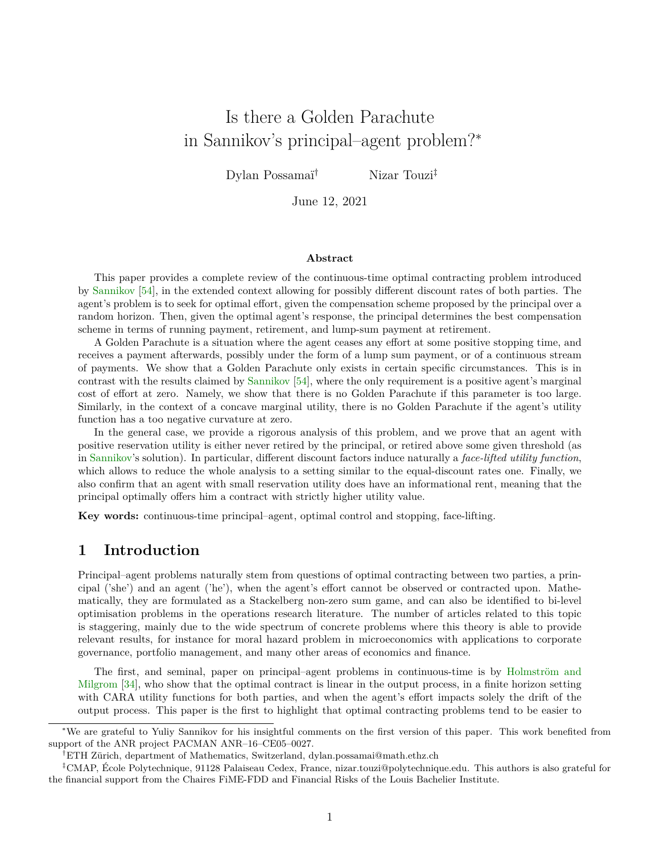# Is there a Golden Parachute in Sannikov's principal–agent problem?<sup>∗</sup>

Dylan Possamaï† Nizar Touzi‡

June 12, 2021

#### **Abstract**

This paper provides a complete review of the continuous-time optimal contracting problem introduced by [Sannikov](#page-37-0) [\[54\]](#page-37-0), in the extended context allowing for possibly different discount rates of both parties. The agent's problem is to seek for optimal effort, given the compensation scheme proposed by the principal over a random horizon. Then, given the optimal agent's response, the principal determines the best compensation scheme in terms of running payment, retirement, and lump-sum payment at retirement.

A Golden Parachute is a situation where the agent ceases any effort at some positive stopping time, and receives a payment afterwards, possibly under the form of a lump sum payment, or of a continuous stream of payments. We show that a Golden Parachute only exists in certain specific circumstances. This is in contrast with the results claimed by [Sannikov](#page-37-0) [\[54\]](#page-37-0), where the only requirement is a positive agent's marginal cost of effort at zero. Namely, we show that there is no Golden Parachute if this parameter is too large. Similarly, in the context of a concave marginal utility, there is no Golden Parachute if the agent's utility function has a too negative curvature at zero.

In the general case, we provide a rigorous analysis of this problem, and we prove that an agent with positive reservation utility is either never retired by the principal, or retired above some given threshold (as in [Sannikov'](#page-37-0)s solution). In particular, different discount factors induce naturally a *face-lifted utility function*, which allows to reduce the whole analysis to a setting similar to the equal-discount rates one. Finally, we also confirm that an agent with small reservation utility does have an informational rent, meaning that the principal optimally offers him a contract with strictly higher utility value.

**Key words:** continuous-time principal–agent, optimal control and stopping, face-lifting.

## **1 Introduction**

Principal–agent problems naturally stem from questions of optimal contracting between two parties, a principal ('she') and an agent ('he'), when the agent's effort cannot be observed or contracted upon. Mathematically, they are formulated as a Stackelberg non-zero sum game, and can also be identified to bi-level optimisation problems in the operations research literature. The number of articles related to this topic is staggering, mainly due to the wide spectrum of concrete problems where this theory is able to provide relevant results, for instance for moral hazard problem in microeconomics with applications to corporate governance, portfolio management, and many other areas of economics and finance.

The first, and seminal, paper on principal–agent problems in continuous-time is by [Holmström and](#page-36-0) [Milgrom](#page-36-0) [\[34\]](#page-36-0), who show that the optimal contract is linear in the output process, in a finite horizon setting with CARA utility functions for both parties, and when the agent's effort impacts solely the drift of the output process. This paper is the first to highlight that optimal contracting problems tend to be easier to

<sup>∗</sup>We are grateful to Yuliy Sannikov for his insightful comments on the first version of this paper. This work benefited from support of the ANR project PACMAN ANR–16–CE05–0027.

<sup>†</sup>ETH Zürich, department of Mathematics, Switzerland, dylan.possamai@math.ethz.ch

<sup>‡</sup>CMAP, École Polytechnique, 91128 Palaiseau Cedex, France, nizar.touzi@polytechnique.edu. This authors is also grateful for the financial support from the Chaires FiME-FDD and Financial Risks of the Louis Bachelier Institute.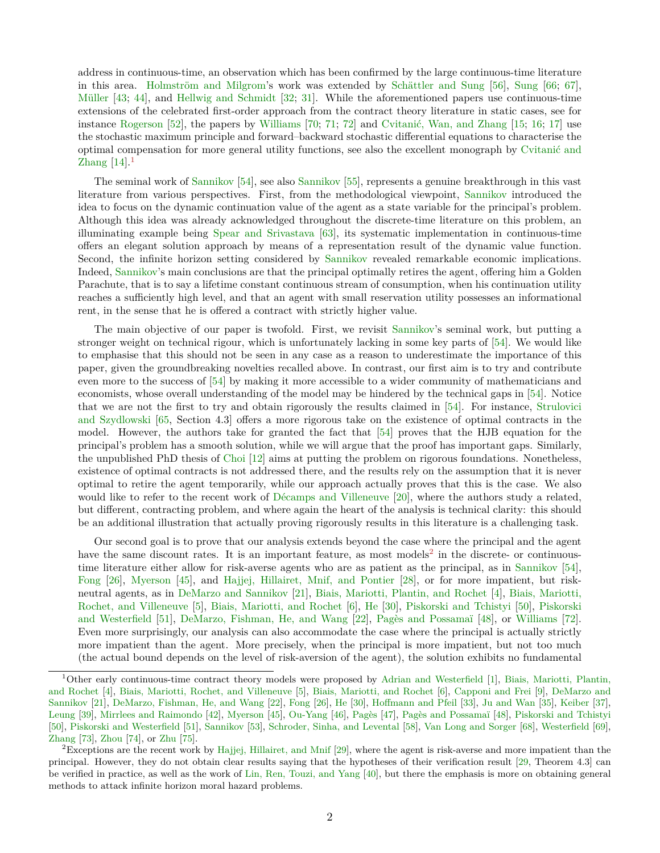address in continuous-time, an observation which has been confirmed by the large continuous-time literature in this area. [Holmström and Milgrom'](#page-36-0)s work was extended by [Schättler and Sung](#page-37-1) [\[56\]](#page-37-1), [Sung](#page-38-0) [\[66;](#page-38-0) [67\]](#page-38-1), [Müller](#page-36-1) [\[43;](#page-36-1) [44\]](#page-37-2), and [Hellwig and Schmidt](#page-36-2) [\[32;](#page-36-2) [31\]](#page-36-3). While the aforementioned papers use continuous-time extensions of the celebrated first-order approach from the contract theory literature in static cases, see for instance [Rogerson](#page-37-3) [\[52\]](#page-37-3), the papers by [Williams](#page-38-2) [\[70;](#page-38-2) [71;](#page-38-3) [72\]](#page-38-4) and [Cvitanić, Wan, and Zhang](#page-35-0) [\[15;](#page-35-1) [16;](#page-35-2) [17\]](#page-35-0) use the stochastic maximum principle and forward–backward stochastic differential equations to characterise the optimal compensation for more general utility functions, see also the excellent monograph by [Cvitanić and](#page-35-3) [Zhang](#page-35-3)  $[14]$ <sup>[1](#page-1-0)</sup>

The seminal work of [Sannikov](#page-37-0) [\[54\]](#page-37-0), see also [Sannikov](#page-37-4) [\[55\]](#page-37-4), represents a genuine breakthrough in this vast literature from various perspectives. First, from the methodological viewpoint, [Sannikov](#page-37-0) introduced the idea to focus on the dynamic continuation value of the agent as a state variable for the principal's problem. Although this idea was already acknowledged throughout the discrete-time literature on this problem, an illuminating example being [Spear and Srivastava](#page-37-5) [\[63\]](#page-37-5), its systematic implementation in continuous-time offers an elegant solution approach by means of a representation result of the dynamic value function. Second, the infinite horizon setting considered by [Sannikov](#page-37-0) revealed remarkable economic implications. Indeed, [Sannikov'](#page-37-0)s main conclusions are that the principal optimally retires the agent, offering him a Golden Parachute, that is to say a lifetime constant continuous stream of consumption, when his continuation utility reaches a sufficiently high level, and that an agent with small reservation utility possesses an informational rent, in the sense that he is offered a contract with strictly higher value.

The main objective of our paper is twofold. First, we revisit [Sannikov'](#page-37-0)s seminal work, but putting a stronger weight on technical rigour, which is unfortunately lacking in some key parts of [\[54\]](#page-37-0). We would like to emphasise that this should not be seen in any case as a reason to underestimate the importance of this paper, given the groundbreaking novelties recalled above. In contrast, our first aim is to try and contribute even more to the success of [\[54\]](#page-37-0) by making it more accessible to a wider community of mathematicians and economists, whose overall understanding of the model may be hindered by the technical gaps in [\[54\]](#page-37-0). Notice that we are not the first to try and obtain rigorously the results claimed in [\[54\]](#page-37-0). For instance, [Strulovici](#page-38-5) [and Szydlowski](#page-38-5) [\[65,](#page-38-5) Section 4.3] offers a more rigorous take on the existence of optimal contracts in the model. However, the authors take for granted the fact that [\[54\]](#page-37-0) proves that the HJB equation for the principal's problem has a smooth solution, while we will argue that the proof has important gaps. Similarly, the unpublished PhD thesis of [Choi](#page-35-4) [\[12\]](#page-35-4) aims at putting the problem on rigorous foundations. Nonetheless, existence of optimal contracts is not addressed there, and the results rely on the assumption that it is never optimal to retire the agent temporarily, while our approach actually proves that this is the case. We also would like to refer to the recent work of [Décamps and Villeneuve](#page-35-5) [\[20\]](#page-35-5), where the authors study a related, but different, contracting problem, and where again the heart of the analysis is technical clarity: this should be an additional illustration that actually proving rigorously results in this literature is a challenging task.

Our second goal is to prove that our analysis extends beyond the case where the principal and the agent have the same discount rates. It is an important feature, as most models<sup>[2](#page-1-1)</sup> in the discrete- or continuoustime literature either allow for risk-averse agents who are as patient as the principal, as in [Sannikov](#page-37-0) [\[54\]](#page-37-0), [Fong](#page-36-4) [\[26\]](#page-36-4), [Myerson](#page-37-6) [\[45\]](#page-37-6), and [Hajjej, Hillairet, Mnif, and Pontier](#page-36-5) [\[28\]](#page-36-5), or for more impatient, but riskneutral agents, as in [DeMarzo and Sannikov](#page-35-6) [\[21\]](#page-35-6), [Biais, Mariotti, Plantin, and Rochet](#page-35-7) [\[4\]](#page-35-7), [Biais, Mariotti,](#page-35-8) [Rochet, and Villeneuve](#page-35-8) [\[5\]](#page-35-8), [Biais, Mariotti, and Rochet](#page-35-9) [\[6\]](#page-35-9), [He](#page-36-6) [\[30\]](#page-36-6), [Piskorski and Tchistyi](#page-37-7) [\[50\]](#page-37-7), [Piskorski](#page-37-8) [and Westerfield](#page-37-8) [\[51\]](#page-37-8), [DeMarzo, Fishman, He, and Wang](#page-35-10) [\[22\]](#page-35-10), [Pagès and Possamaï](#page-37-9) [\[48\]](#page-37-9), or [Williams](#page-38-4) [\[72\]](#page-38-4). Even more surprisingly, our analysis can also accommodate the case where the principal is actually strictly more impatient than the agent. More precisely, when the principal is more impatient, but not too much (the actual bound depends on the level of risk-aversion of the agent), the solution exhibits no fundamental

<span id="page-1-0"></span><sup>1</sup>Other early continuous-time contract theory models were proposed by [Adrian and Westerfield](#page-34-0) [\[1\]](#page-34-0), [Biais, Mariotti, Plantin,](#page-35-7) [and Rochet](#page-35-7) [\[4\]](#page-35-7), [Biais, Mariotti, Rochet, and Villeneuve](#page-35-8) [\[5\]](#page-35-8), [Biais, Mariotti, and Rochet](#page-35-9) [\[6\]](#page-35-9), [Capponi and Frei](#page-35-11) [\[9\]](#page-35-11), [DeMarzo and](#page-35-6) [Sannikov](#page-35-6) [\[21\]](#page-35-6), [DeMarzo, Fishman, He, and Wang](#page-35-10) [\[22\]](#page-35-10), [Fong](#page-36-4) [\[26\]](#page-36-4), [He](#page-36-6) [\[30\]](#page-36-6), [Hoffmann and Pfeil](#page-36-7) [\[33\]](#page-36-7), [Ju and Wan](#page-36-8) [\[35\]](#page-36-8), [Keiber](#page-36-9) [\[37\]](#page-36-9), [Leung](#page-36-10) [\[39\]](#page-36-10), [Mirrlees and Raimondo](#page-36-11) [\[42\]](#page-36-11), [Myerson](#page-37-6) [\[45\]](#page-37-6), [Ou-Yang](#page-37-10) [\[46\]](#page-37-10), [Pagès](#page-37-11) [\[47\]](#page-37-11), [Pagès and Possamaï](#page-37-9) [\[48\]](#page-37-9), [Piskorski and Tchistyi](#page-37-7) [\[50\]](#page-37-7), [Piskorski and Westerfield](#page-37-8) [\[51\]](#page-37-8), [Sannikov](#page-37-12) [\[53\]](#page-37-12), [Schroder, Sinha, and Levental](#page-37-13) [\[58\]](#page-37-13), [Van Long and Sorger](#page-38-6) [\[68\]](#page-38-6), [Westerfield](#page-38-7) [\[69\]](#page-38-7), [Zhang](#page-38-8) [\[73\]](#page-38-8), [Zhou](#page-38-9) [\[74\]](#page-38-9), or [Zhu](#page-38-10) [\[75\]](#page-38-10).

<span id="page-1-1"></span><sup>&</sup>lt;sup>2</sup>Exceptions are the recent work by [Hajjej, Hillairet, and Mnif](#page-36-12) [\[29\]](#page-36-12), where the agent is risk-averse and more impatient than the principal. However, they do not obtain clear results saying that the hypotheses of their verification result [\[29,](#page-36-12) Theorem 4.3] can be verified in practice, as well as the work of [Lin, Ren, Touzi, and Yang](#page-36-13) [\[40\]](#page-36-13), but there the emphasis is more on obtaining general methods to attack infinite horizon moral hazard problems.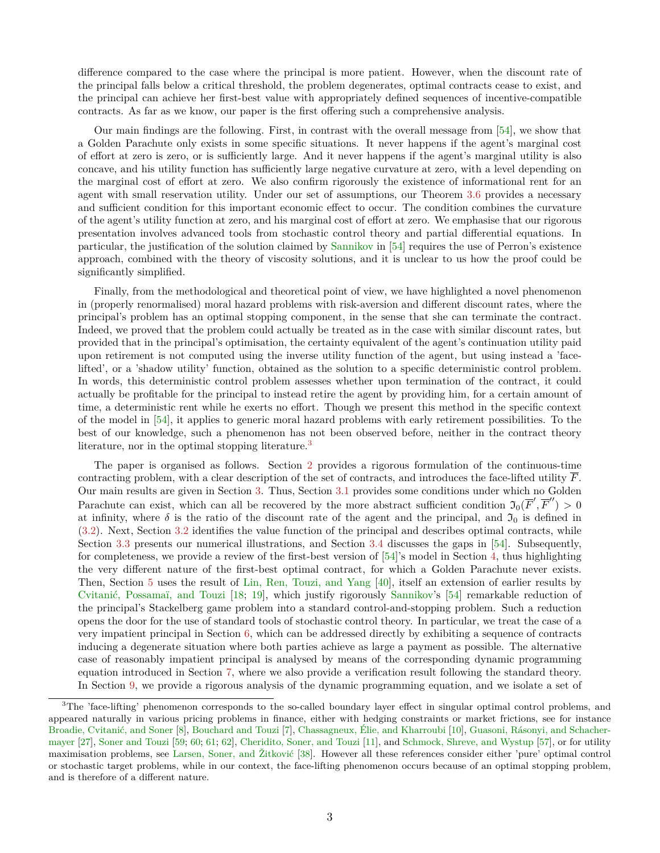difference compared to the case where the principal is more patient. However, when the discount rate of the principal falls below a critical threshold, the problem degenerates, optimal contracts cease to exist, and the principal can achieve her first-best value with appropriately defined sequences of incentive-compatible contracts. As far as we know, our paper is the first offering such a comprehensive analysis.

Our main findings are the following. First, in contrast with the overall message from [\[54\]](#page-37-0), we show that a Golden Parachute only exists in some specific situations. It never happens if the agent's marginal cost of effort at zero is zero, or is sufficiently large. And it never happens if the agent's marginal utility is also concave, and his utility function has sufficiently large negative curvature at zero, with a level depending on the marginal cost of effort at zero. We also confirm rigorously the existence of informational rent for an agent with small reservation utility. Under our set of assumptions, our Theorem [3.6](#page-9-0) provides a necessary and sufficient condition for this important economic effect to occur. The condition combines the curvature of the agent's utility function at zero, and his marginal cost of effort at zero. We emphasise that our rigorous presentation involves advanced tools from stochastic control theory and partial differential equations. In particular, the justification of the solution claimed by [Sannikov](#page-37-0) in [\[54\]](#page-37-0) requires the use of Perron's existence approach, combined with the theory of viscosity solutions, and it is unclear to us how the proof could be significantly simplified.

Finally, from the methodological and theoretical point of view, we have highlighted a novel phenomenon in (properly renormalised) moral hazard problems with risk-aversion and different discount rates, where the principal's problem has an optimal stopping component, in the sense that she can terminate the contract. Indeed, we proved that the problem could actually be treated as in the case with similar discount rates, but provided that in the principal's optimisation, the certainty equivalent of the agent's continuation utility paid upon retirement is not computed using the inverse utility function of the agent, but using instead a 'facelifted', or a 'shadow utility' function, obtained as the solution to a specific deterministic control problem. In words, this deterministic control problem assesses whether upon termination of the contract, it could actually be profitable for the principal to instead retire the agent by providing him, for a certain amount of time, a deterministic rent while he exerts no effort. Though we present this method in the specific context of the model in [\[54\]](#page-37-0), it applies to generic moral hazard problems with early retirement possibilities. To the best of our knowledge, such a phenomenon has not been observed before, neither in the contract theory literature, nor in the optimal stopping literature.<sup>[3](#page-2-0)</sup>

The paper is organised as follows. Section [2](#page-3-0) provides a rigorous formulation of the continuous-time contracting problem, with a clear description of the set of contracts, and introduces the face-lifted utility  $\overline{F}$ . Our main results are given in Section [3.](#page-7-0) Thus, Section [3.1](#page-7-1) provides some conditions under which no Golden Parachute can exist, which can all be recovered by the more abstract sufficient condition  $\mathfrak{I}_0(\overline{F}', \overline{F}'') > 0$ at infinity, where  $\delta$  is the ratio of the discount rate of the agent and the principal, and  $\mathfrak{I}_0$  is defined in [\(3.2\)](#page-7-2). Next, Section [3.2](#page-8-0) identifies the value function of the principal and describes optimal contracts, while Section [3.3](#page-9-1) presents our numerical illustrations, and Section [3.4](#page-10-0) discusses the gaps in [\[54\]](#page-37-0). Subsequently, for completeness, we provide a review of the first-best version of [\[54\]](#page-37-0)'s model in Section [4,](#page-11-0) thus highlighting the very different nature of the first-best optimal contract, for which a Golden Parachute never exists. Then, Section [5](#page-13-0) uses the result of [Lin, Ren, Touzi, and Yang](#page-36-13) [\[40\]](#page-36-13), itself an extension of earlier results by [Cvitanić, Possamaï, and Touzi](#page-35-12) [\[18;](#page-35-12) [19\]](#page-35-13), which justify rigorously [Sannikov'](#page-37-0)s [\[54\]](#page-37-0) remarkable reduction of the principal's Stackelberg game problem into a standard control-and-stopping problem. Such a reduction opens the door for the use of standard tools of stochastic control theory. In particular, we treat the case of a very impatient principal in Section [6,](#page-14-0) which can be addressed directly by exhibiting a sequence of contracts inducing a degenerate situation where both parties achieve as large a payment as possible. The alternative case of reasonably impatient principal is analysed by means of the corresponding dynamic programming equation introduced in Section [7,](#page-16-0) where we also provide a verification result following the standard theory. In Section [9,](#page-19-0) we provide a rigorous analysis of the dynamic programming equation, and we isolate a set of

<span id="page-2-0"></span><sup>&</sup>lt;sup>3</sup>The 'face-lifting' phenomenon corresponds to the so-called boundary layer effect in singular optimal control problems, and appeared naturally in various pricing problems in finance, either with hedging constraints or market frictions, see for instance [Broadie, Cvitanić, and Soner](#page-35-14) [\[8\]](#page-35-14), [Bouchard and Touzi](#page-35-15) [\[7\]](#page-35-15), [Chassagneux, Élie, and Kharroubi](#page-35-16) [\[10\]](#page-35-16), [Guasoni, Rásonyi, and Schacher](#page-36-14)[mayer](#page-36-14) [\[27\]](#page-36-14), [Soner and Touzi](#page-37-14) [\[59;](#page-37-15) [60;](#page-37-14) [61;](#page-37-16) [62\]](#page-37-17), [Cheridito, Soner, and Touzi](#page-35-17) [\[11\]](#page-35-17), and [Schmock, Shreve, and Wystup](#page-37-18) [\[57\]](#page-37-18), or for utility maximisation problems, see [Larsen, Soner, and Žitković](#page-36-15) [\[38\]](#page-36-15). However all these references consider either 'pure' optimal control or stochastic target problems, while in our context, the face-lifting phenomenon occurs because of an optimal stopping problem, and is therefore of a different nature.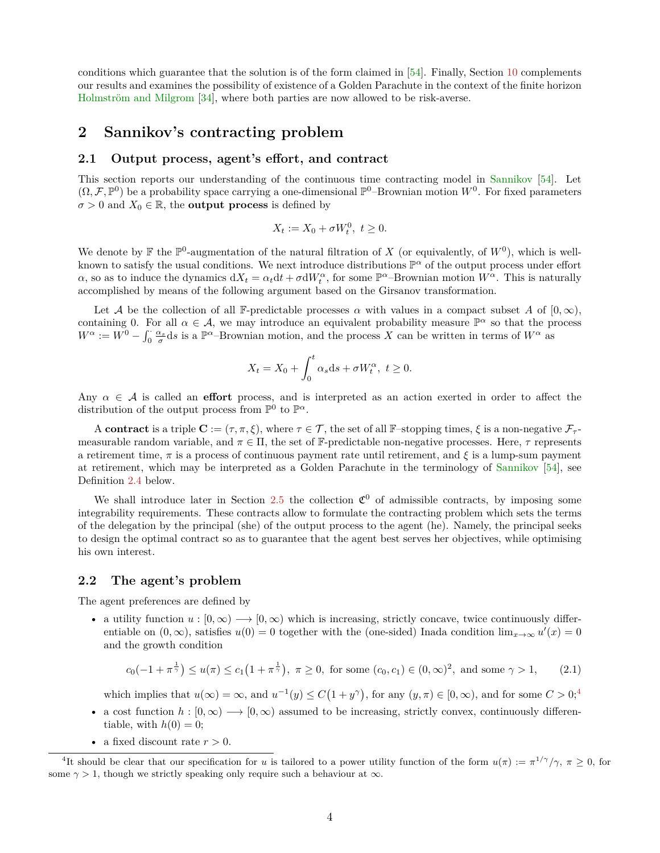conditions which guarantee that the solution is of the form claimed in [\[54\]](#page-37-0). Finally, Section [10](#page-23-0) complements our results and examines the possibility of existence of a Golden Parachute in the context of the finite horizon [Holmström and Milgrom](#page-36-0) [\[34\]](#page-36-0), where both parties are now allowed to be risk-averse.

## <span id="page-3-0"></span>**2 Sannikov's contracting problem**

#### **2.1 Output process, agent's effort, and contract**

This section reports our understanding of the continuous time contracting model in [Sannikov](#page-37-0) [\[54\]](#page-37-0). Let  $(\Omega, \mathcal{F}, \mathbb{P}^0)$  be a probability space carrying a one-dimensional  $\mathbb{P}^0$ -Brownian motion  $W^0$ . For fixed parameters  $\sigma > 0$  and  $X_0 \in \mathbb{R}$ , the **output process** is defined by

$$
X_t := X_0 + \sigma W_t^0, \ t \ge 0.
$$

We denote by  $\mathbb F$  the  $\mathbb P^0$ -augmentation of the natural filtration of X (or equivalently, of  $W^0$ ), which is wellknown to satisfy the usual conditions. We next introduce distributions  $\mathbb{P}^{\alpha}$  of the output process under effort *α*, so as to induce the dynamics  $dX_t = \alpha_t dt + \sigma dW_t^{\alpha}$ , for some  $\mathbb{P}^{\alpha}$ -Brownian motion  $W^{\alpha}$ . This is naturally accomplished by means of the following argument based on the Girsanov transformation.

Let A be the collection of all F-predictable processes  $\alpha$  with values in a compact subset A of  $[0, \infty)$ , containing 0. For all  $\alpha \in \mathcal{A}$ , we may introduce an equivalent probability measure  $\mathbb{P}^{\alpha}$  so that the process  $W^{\alpha} := W^{0} - \int_{0}^{\cdot} \frac{\alpha_{s}}{\sigma} ds$  is a  $\mathbb{P}^{\alpha}$ -Brownian motion, and the process *X* can be written in terms of  $W^{\alpha}$  as

$$
X_t = X_0 + \int_0^t \alpha_s \mathrm{d}s + \sigma W_t^\alpha, \ t \ge 0.
$$

Any  $\alpha \in \mathcal{A}$  is called an **effort** process, and is interpreted as an action exerted in order to affect the distribution of the output process from  $\mathbb{P}^0$  to  $\mathbb{P}^{\alpha}$ .

A **contract** is a triple  $\mathbf{C} := (\tau, \pi, \xi)$ , where  $\tau \in \mathcal{T}$ , the set of all F-stopping times,  $\xi$  is a non-negative  $\mathcal{F}_{\tau}$ measurable random variable, and  $\pi \in \Pi$ , the set of F-predictable non-negative processes. Here,  $\tau$  represents a retirement time, *π* is a process of continuous payment rate until retirement, and *ξ* is a lump-sum payment at retirement, which may be interpreted as a Golden Parachute in the terminology of [Sannikov](#page-37-0) [\[54\]](#page-37-0), see Definition [2.4](#page-7-3) below.

We shall introduce later in Section [2.5](#page-7-4) the collection  $\mathfrak{C}^0$  of admissible contracts, by imposing some integrability requirements. These contracts allow to formulate the contracting problem which sets the terms of the delegation by the principal (she) of the output process to the agent (he). Namely, the principal seeks to design the optimal contract so as to guarantee that the agent best serves her objectives, while optimising his own interest.

#### **2.2 The agent's problem**

The agent preferences are defined by

• a utility function  $u : [0, \infty) \longrightarrow [0, \infty)$  which is increasing, strictly concave, twice continuously differentiable on  $(0, \infty)$ , satisfies  $u(0) = 0$  together with the (one-sided) Inada condition  $\lim_{x\to\infty} u'(x) = 0$ and the growth condition

<span id="page-3-2"></span>
$$
c_0(-1+\pi^{\frac{1}{\gamma}}) \le u(\pi) \le c_1(1+\pi^{\frac{1}{\gamma}}), \ \pi \ge 0
$$
, for some  $(c_0, c_1) \in (0, \infty)^2$ , and some  $\gamma > 1$ , (2.1)

which implies that  $u(\infty) = \infty$ , and  $u^{-1}(y) \leq C(1 + y^{\gamma})$ , for any  $(y, \pi) \in [0, \infty)$ , and for some  $C > 0$ ;<sup>[4](#page-3-1)</sup>

- a cost function  $h : [0, \infty) \longrightarrow [0, \infty)$  assumed to be increasing, strictly convex, continuously differentiable, with  $h(0) = 0$ ;
- a fixed discount rate  $r > 0$ .

<span id="page-3-1"></span><sup>&</sup>lt;sup>4</sup>It should be clear that our specification for *u* is tailored to a power utility function of the form  $u(\pi) := \pi^{1/\gamma}/\gamma$ ,  $\pi \ge 0$ , for some  $\gamma > 1$ , though we strictly speaking only require such a behaviour at  $\infty$ .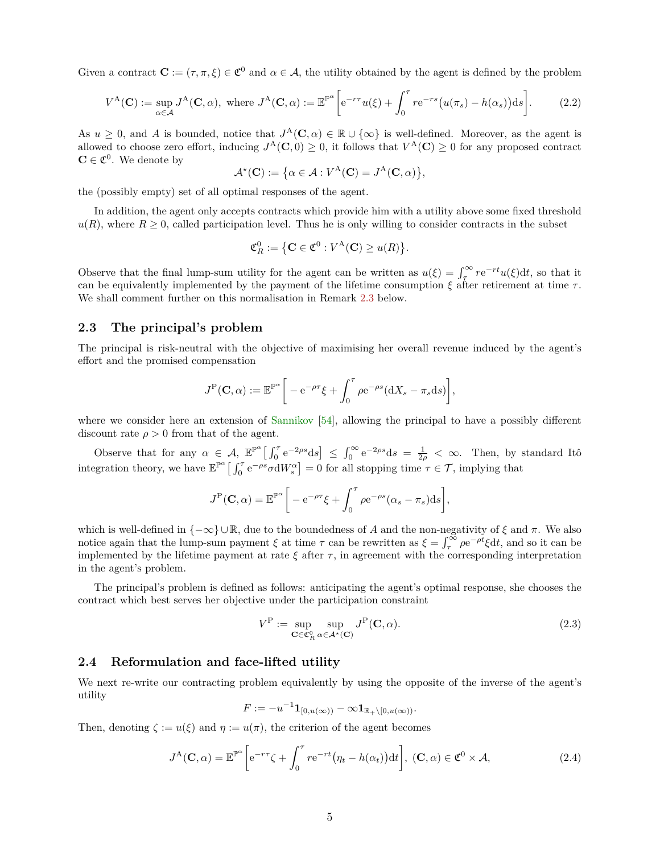Given a contract  $\mathbf{C} := (\tau, \pi, \xi) \in \mathfrak{C}^0$  and  $\alpha \in \mathcal{A}$ , the utility obtained by the agent is defined by the problem

<span id="page-4-0"></span>
$$
V^{A}(\mathbf{C}) := \sup_{\alpha \in \mathcal{A}} J^{A}(\mathbf{C}, \alpha), \text{ where } J^{A}(\mathbf{C}, \alpha) := \mathbb{E}^{\mathbb{P}^{\alpha}} \bigg[ e^{-r\tau} u(\xi) + \int_{0}^{\tau} r e^{-rs} \big( u(\pi_{s}) - h(\alpha_{s}) \big) ds \bigg]. \tag{2.2}
$$

As  $u \geq 0$ , and *A* is bounded, notice that  $J^{\mathcal{A}}(\mathbf{C}, \alpha) \in \mathbb{R} \cup \{\infty\}$  is well-defined. Moreover, as the agent is allowed to choose zero effort, inducing  $J^{\mathcal{A}}(\mathbf{C},0) \geq 0$ , it follows that  $V^{\mathcal{A}}(\mathbf{C}) \geq 0$  for any proposed contract  $\mathbf{C} \in \mathfrak{C}^0$ . We denote by

$$
\mathcal{A}^{\star}(\mathbf{C}) := \big\{ \alpha \in \mathcal{A} : V^{\mathbf{A}}(\mathbf{C}) = J^{\mathbf{A}}(\mathbf{C}, \alpha) \big\},
$$

the (possibly empty) set of all optimal responses of the agent.

In addition, the agent only accepts contracts which provide him with a utility above some fixed threshold  $u(R)$ , where  $R \geq 0$ , called participation level. Thus he is only willing to consider contracts in the subset

$$
\mathfrak{C}_R^0 := \left\{ \mathbf{C} \in \mathfrak{C}^0 : V^{\mathbf{A}}(\mathbf{C}) \ge u(R) \right\}.
$$

Observe that the final lump-sum utility for the agent can be written as  $u(\xi) = \int_{\tau}^{\infty} r e^{-rt} u(\xi) dt$ , so that it can be equivalently implemented by the payment of the lifetime consumption *ξ* after retirement at time *τ* . We shall comment further on this normalisation in Remark [2.3](#page-6-0) below.

#### **2.3 The principal's problem**

The principal is risk-neutral with the objective of maximising her overall revenue induced by the agent's effort and the promised compensation

$$
J^{\mathcal{P}}(\mathbf{C},\alpha) := \mathbb{E}^{\mathbb{P}^{\alpha}} \bigg[ -e^{-\rho \tau} \xi + \int_0^{\tau} \rho e^{-\rho s} (\mathrm{d}X_s - \pi_s \mathrm{d}s) \bigg],
$$

where we consider here an extension of [Sannikov](#page-37-0) [\[54\]](#page-37-0), allowing the principal to have a possibly different discount rate  $\rho > 0$  from that of the agent.

Observe that for any  $\alpha \in A$ ,  $\mathbb{E}^{\mathbb{P}^{\alpha}}\left[\int_0^{\tau} e^{-2\rho s} ds\right] \leq \int_0^{\infty} e^{-2\rho s} ds = \frac{1}{2\rho} < \infty$ . Then, by standard Itô integration theory, we have  $\mathbb{E}^{\mathbb{P}^{\alpha}}\left[\int_0^{\tau} e^{-\rho s} \sigma dW_s^{\alpha}\right] = 0$  for all stopping time  $\tau \in \mathcal{T}$ , implying that

$$
J^{\mathcal{P}}(\mathbf{C}, \alpha) = \mathbb{E}^{\mathbb{P}^{\alpha}} \bigg[ -e^{-\rho \tau} \xi + \int_0^{\tau} \rho e^{-\rho s} (\alpha_s - \pi_s) \mathrm{d}s \bigg],
$$

which is well-defined in {−∞} ∪ R, due to the boundedness of *A* and the non-negativity of *ξ* and *π*. We also notice again that the lump-sum payment  $\xi$  at time  $\tau$  can be rewritten as  $\xi = \int_{\tau}^{\infty} \rho e^{-\rho t} \xi dt$ , and so it can be implemented by the lifetime payment at rate  $\xi$  after  $\tau$ , in agreement with the corresponding interpretation in the agent's problem.

The principal's problem is defined as follows: anticipating the agent's optimal response, she chooses the contract which best serves her objective under the participation constraint

<span id="page-4-1"></span>
$$
V^{\mathcal{P}} := \sup_{\mathbf{C} \in \mathfrak{C}_{R}^{0}} \sup_{\alpha \in \mathcal{A}^{*}(\mathbf{C})} J^{\mathcal{P}}(\mathbf{C}, \alpha).
$$
 (2.3)

#### **2.4 Reformulation and face-lifted utility**

We next re-write our contracting problem equivalently by using the opposite of the inverse of the agent's utility

$$
F:=-u^{-1}\mathbf{1}_{[0,u(\infty))}-\infty\mathbf{1}_{\mathbb{R}_+\setminus[0,u(\infty))}.
$$

Then, denoting  $\zeta := u(\xi)$  and  $\eta := u(\pi)$ , the criterion of the agent becomes

$$
J^{A}(\mathbf{C}, \alpha) = \mathbb{E}^{\mathbb{P}^{\alpha}} \bigg[ e^{-r\tau} \zeta + \int_{0}^{\tau} r e^{-rt} \big( \eta_{t} - h(\alpha_{t}) \big) dt \bigg], \ (\mathbf{C}, \alpha) \in \mathfrak{C}^{0} \times \mathcal{A}, \tag{2.4}
$$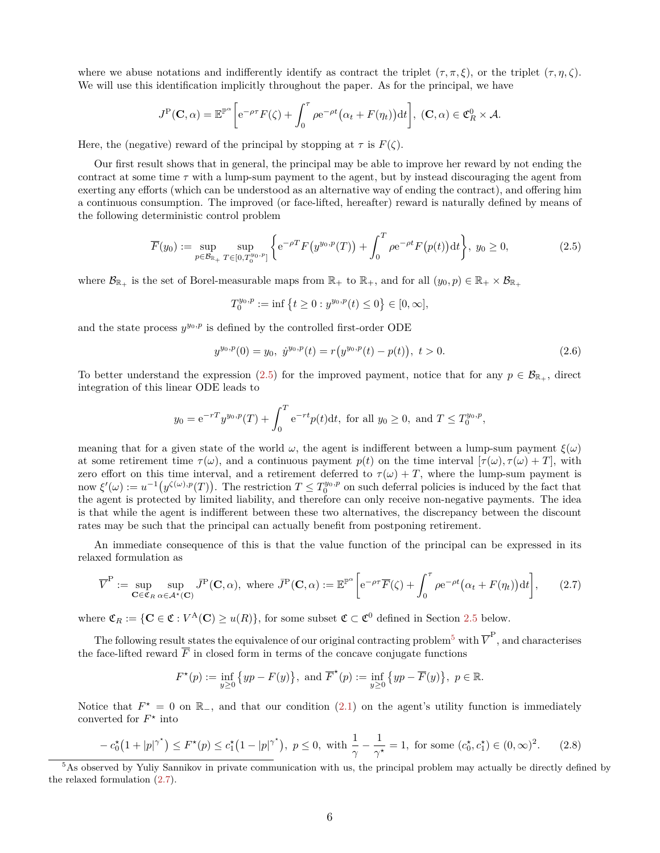where we abuse notations and indifferently identify as contract the triplet  $(\tau, \pi, \xi)$ , or the triplet  $(\tau, \eta, \zeta)$ . We will use this identification implicitly throughout the paper. As for the principal, we have

$$
J^{\mathbf{P}}(\mathbf{C},\alpha) = \mathbb{E}^{\mathbb{P}^{\alpha}} \bigg[ e^{-\rho \tau} F(\zeta) + \int_0^{\tau} \rho e^{-\rho t} \big( \alpha_t + F(\eta_t) \big) dt \bigg], \ (\mathbf{C},\alpha) \in \mathfrak{C}_R^0 \times \mathcal{A}.
$$

Here, the (negative) reward of the principal by stopping at  $\tau$  is  $F(\zeta)$ .

Our first result shows that in general, the principal may be able to improve her reward by not ending the contract at some time  $\tau$  with a lump-sum payment to the agent, but by instead discouraging the agent from exerting any efforts (which can be understood as an alternative way of ending the contract), and offering him a continuous consumption. The improved (or face-lifted, hereafter) reward is naturally defined by means of the following deterministic control problem

<span id="page-5-0"></span>
$$
\overline{F}(y_0) := \sup_{p \in \mathcal{B}_{\mathbb{R}_+}} \sup_{T \in [0, T_0^{y_0, p}]} \left\{ e^{-\rho T} F(y^{y_0, p}(T)) + \int_0^T \rho e^{-\rho t} F(p(t)) dt \right\}, \ y_0 \ge 0,
$$
\n(2.5)

where  $\mathcal{B}_{\mathbb{R}_+}$  is the set of Borel-measurable maps from  $\mathbb{R}_+$  to  $\mathbb{R}_+$ , and for all  $(y_0, p) \in \mathbb{R}_+ \times \mathcal{B}_{\mathbb{R}_+}$ 

$$
T_0^{y_0,p} := \inf \left\{ t \ge 0 : y^{y_0,p}(t) \le 0 \right\} \in [0,\infty],
$$

and the state process  $y^{y_0,p}$  is defined by the controlled first-order ODE

$$
y^{y_0, p}(0) = y_0, \ y^{y_0, p}(t) = r(y^{y_0, p}(t) - p(t)), \ t > 0.
$$
\n
$$
(2.6)
$$

To better understand the expression [\(2.5\)](#page-5-0) for the improved payment, notice that for any  $p \in \mathcal{B}_{\mathbb{R}_+}$ , direct integration of this linear ODE leads to

$$
y_0 = e^{-rT} y^{y_0, p}(T) + \int_0^T e^{-rt} p(t) dt
$$
, for all  $y_0 \ge 0$ , and  $T \le T_0^{y_0, p}$ ,

meaning that for a given state of the world  $\omega$ , the agent is indifferent between a lump-sum payment  $\xi(\omega)$ at some retirement time  $\tau(\omega)$ , and a continuous payment  $p(t)$  on the time interval  $[\tau(\omega), \tau(\omega) + T]$ , with zero effort on this time interval, and a retirement deferred to  $\tau(\omega) + T$ , where the lump-sum payment is  $\mathcal{L}(\omega) := u^{-1}(y^{\zeta(\omega),p}(T)).$  The restriction  $T \leq T_0^{y_0,p}$  on such deferral policies is induced by the fact that the agent is protected by limited liability, and therefore can only receive non-negative payments. The idea is that while the agent is indifferent between these two alternatives, the discrepancy between the discount rates may be such that the principal can actually benefit from postponing retirement.

An immediate consequence of this is that the value function of the principal can be expressed in its relaxed formulation as

<span id="page-5-2"></span>
$$
\overline{V}^{\mathcal{P}} := \sup_{\mathbf{C} \in \mathfrak{C}_R} \sup_{\alpha \in \mathcal{A}^*(\mathbf{C})} \overline{J}^{\mathcal{P}}(\mathbf{C}, \alpha), \text{ where } \overline{J}^{\mathcal{P}}(\mathbf{C}, \alpha) := \mathbb{E}^{\mathbb{P}^{\alpha}} \bigg[ e^{-\rho \tau} \overline{F}(\zeta) + \int_0^{\tau} \rho e^{-\rho t} \big( \alpha_t + F(\eta_t) \big) dt \bigg], \qquad (2.7)
$$

where  $\mathfrak{C}_R := \{ \mathbf{C} \in \mathfrak{C} : V^{\mathbf{A}}(\mathbf{C}) \geq u(R) \}$ , for some subset  $\mathfrak{C} \subset \mathfrak{C}^0$  defined in Section [2.5](#page-7-4) below.

The following result states the equivalence of our original contracting problem<sup>[5](#page-5-1)</sup> with  $\overline{V}^{\text{P}}$ , and characterises the face-lifted reward  $\overline{F}$  in closed form in terms of the concave conjugate functions

$$
F^*(p) := \inf_{y \ge 0} \{yp - F(y)\}, \text{ and } \overline{F}^*(p) := \inf_{y \ge 0} \{yp - \overline{F}(y)\}, p \in \mathbb{R}.
$$

Notice that  $F^* = 0$  on  $\mathbb{R}_-$ , and that our condition [\(2.1\)](#page-3-2) on the agent's utility function is immediately converted for  $F^*$  into

<span id="page-5-3"></span>
$$
-c_0^{\star}(1+|p|^{\gamma^*}) \le F^{\star}(p) \le c_1^{\star}(1-|p|^{\gamma^*}), \ p \le 0, \text{ with } \frac{1}{\gamma} - \frac{1}{\gamma^*} = 1, \text{ for some } (c_0^{\star}, c_1^{\star}) \in (0, \infty)^2. \tag{2.8}
$$

<span id="page-5-4"></span><span id="page-5-1"></span><sup>&</sup>lt;sup>5</sup>As observed by Yuliy Sannikov in private communication with us, the principal problem may actually be directly defined by the relaxed formulation [\(2.7\)](#page-5-2).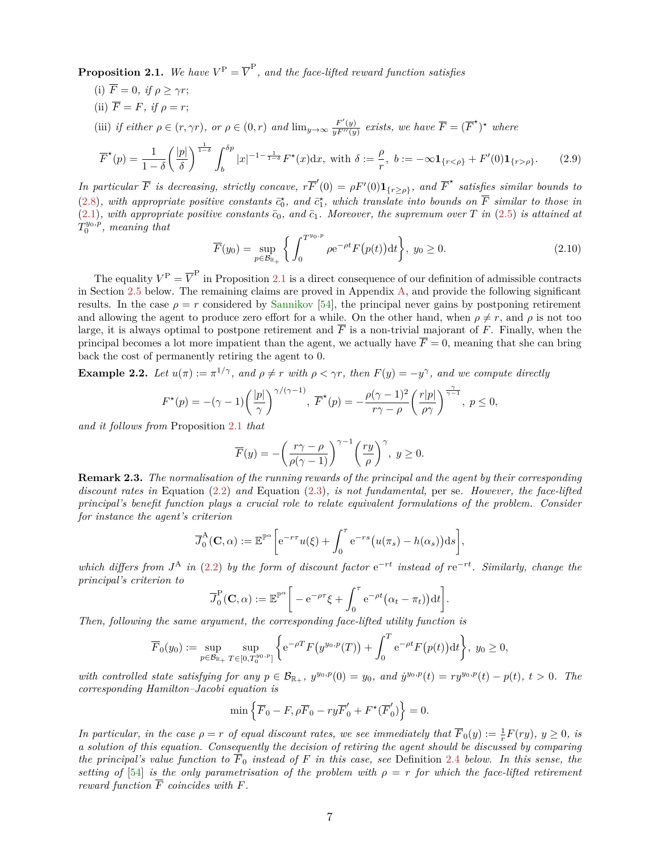**Proposition 2.1.** We have  $V^{\text{P}} = \overline{V}^{\text{P}}$ , and the face-lifted reward function satisfies

- (i)  $\overline{F} = 0$ , if  $\rho \geq \gamma r$ ;
- (ii)  $\overline{F} = F$ *, if*  $\rho = r$ ;
- (iii) if either  $\rho \in (r, \gamma r)$ , or  $\rho \in (0, r)$  and  $\lim_{y \to \infty} \frac{F'(y)}{yF''(y)}$  exists, we have  $\overline{F} = (\overline{F}^*)^*$  where

<span id="page-6-1"></span>
$$
\overline{F}^{\star}(p) = \frac{1}{1-\delta} \left(\frac{|p|}{\delta}\right)^{\frac{1}{1-\delta}} \int_{b}^{\delta p} |x|^{-1-\frac{1}{1-\delta}} F^{\star}(x) dx, \text{ with } \delta := \frac{\rho}{r}, \ b := -\infty \mathbf{1}_{\{r < \rho\}} + F'(0) \mathbf{1}_{\{r > \rho\}}. \tag{2.9}
$$

*In particular*  $\overline{F}$  *is decreasing, strictly concave,*  $r\overline{F}'(0) = \rho F'(0) \mathbf{1}_{\{r \geq \rho\}}$ *, and*  $\overline{F}^*$  *satisfies similar bounds to* [\(2.8\)](#page-5-3), with appropriate positive constants  $\vec{c}_0^*$ , and  $\vec{c}_1^*$ , which translate into bounds on  $\overline{F}$  similar to those in  $(2.1)$ *, with appropriate positive constants*  $\bar{c}_0$ *, and*  $\bar{c}_1$ *. Moreover, the supremum over T in* [\(2.5\)](#page-5-0) *is attained at*  $T_0^{y_0,p}$ , meaning that

$$
\overline{F}(y_0) = \sup_{p \in \mathcal{B}_{\mathbb{R}_+}} \left\{ \int_0^{T^{y_0, p}} \rho e^{-\rho t} F(p(t)) dt \right\}, \ y_0 \ge 0. \tag{2.10}
$$

*.*

The equality  $V^{\text{P}} = \overline{V}^{\text{P}}$  in Proposition [2.1](#page-5-4) is a direct consequence of our definition of admissible contracts in Section [2.5](#page-7-4) below. The remaining claims are proved in Appendix [A,](#page-25-0) and provide the following significant results. In the case  $\rho = r$  considered by [Sannikov](#page-37-0) [\[54\]](#page-37-0), the principal never gains by postponing retirement and allowing the agent to produce zero effort for a while. On the other hand, when  $\rho \neq r$ , and  $\rho$  is not too large, it is always optimal to postpone retirement and  $\overline{F}$  is a non-trivial majorant of  $F$ . Finally, when the principal becomes a lot more impatient than the agent, we actually have  $\overline{F} = 0$ , meaning that she can bring back the cost of permanently retiring the agent to 0.

**Example 2.2.** Let  $u(\pi) := \pi^{1/\gamma}$ , and  $\rho \neq r$  with  $\rho < \gamma r$ , then  $F(y) = -y^{\gamma}$ , and we compute directly

$$
F^{\star}(p) = -(\gamma - 1) \left(\frac{|p|}{\gamma}\right)^{\gamma/(\gamma - 1)}, \ \overline{F}^{\star}(p) = -\frac{\rho(\gamma - 1)^2}{r\gamma - \rho} \left(\frac{r|p|}{\rho\gamma}\right)^{\frac{\gamma}{\gamma - 1}}, \ p \le 0,
$$

*and it follows from* Proposition [2.1](#page-5-4) *that*

$$
\overline{F}(y) = -\left(\frac{r\gamma - \rho}{\rho(\gamma - 1)}\right)^{\gamma - 1} \left(\frac{ry}{\rho}\right)^{\gamma}, \ y \ge 0.
$$

<span id="page-6-0"></span>**Remark 2.3.** *The normalisation of the running rewards of the principal and the agent by their corresponding discount rates in* Equation [\(2.2\)](#page-4-0) *and* Equation [\(2.3\)](#page-4-1)*, is not fundamental,* per se*. However, the face-lifted principal's benefit function plays a crucial role to relate equivalent formulations of the problem. Consider for instance the agent's criterion*

$$
\overline{J}_0^{\mathsf{A}}(\mathbf{C}, \alpha) := \mathbb{E}^{\mathbb{P}^{\alpha}} \bigg[ e^{-r\tau} u(\xi) + \int_0^{\tau} e^{-rs} \big( u(\pi_s) - h(\alpha_s) \big) \mathrm{d} s \bigg],
$$

*which differs from*  $J^A$  *in* [\(2.2\)](#page-4-0) *by the form of discount factor*  $e^{-rt}$  *instead of*  $re^{-rt}$ *. Similarly, change the principal's criterion to*

$$
\overline{J}_0^{\mathbf{P}}(\mathbf{C}, \alpha) := \mathbb{E}^{\mathbb{P}^{\alpha}} \bigg[ -e^{-\rho \tau} \xi + \int_0^{\tau} e^{-\rho t} (\alpha_t - \pi_t) dt \bigg]
$$

*Then, following the same argument, the corresponding face-lifted utility function is*

$$
\overline{F}_0(y_0) := \sup_{p \in \mathcal{B}_{\mathbb{R}_+}} \sup_{T \in [0,T_0^{y_0,p}]} \left\{ e^{-\rho T} F(y^{y_0,p}(T)) + \int_0^T e^{-\rho t} F(p(t)) dt \right\}, \ y_0 \ge 0,
$$

with controlled state satisfying for any  $p \in \mathcal{B}_{\mathbb{R}_+}$ ,  $y^{y_0,p}(0) = y_0$ , and  $\dot{y}^{y_0,p}(t) = ry^{y_0,p}(t) - p(t)$ ,  $t > 0$ . The *corresponding Hamilton–Jacobi equation is*

$$
\min\left\{\overline{F}_0 - F, \rho \overline{F}_0 - ry\overline{F}'_0 + F^{\star}(\overline{F}'_0)\right\} = 0.
$$

*In particular, in the case*  $\rho = r$  *of equal discount rates, we see immediately that*  $\overline{F}_0(y) := \frac{1}{r}F(ry)$ ,  $y \ge 0$ , is *a solution of this equation. Consequently the decision of retiring the agent should be discussed by comparing the principal's value function to*  $\overline{F}_0$  *instead of*  $F$  *in this case, see* Definition [2.4](#page-7-3) *below.* In this sense, the *setting of* [\[54\]](#page-37-0) *is the only parametrisation of the problem with*  $\rho = r$  *for which the face-lifted retirement reward function F coincides with F.*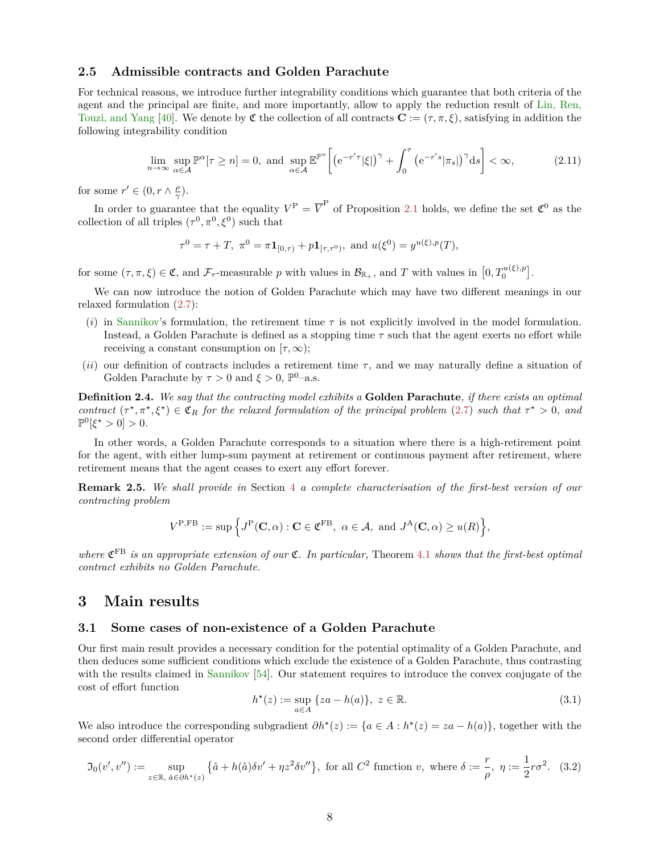#### <span id="page-7-4"></span>**2.5 Admissible contracts and Golden Parachute**

For technical reasons, we introduce further integrability conditions which guarantee that both criteria of the agent and the principal are finite, and more importantly, allow to apply the reduction result of [Lin, Ren,](#page-36-13) [Touzi, and Yang](#page-36-13) [\[40\]](#page-36-13). We denote by  $\mathfrak{C}$  the collection of all contracts  $\mathbf{C} := (\tau, \pi, \xi)$ , satisfying in addition the following integrability condition

<span id="page-7-6"></span>
$$
\lim_{n \to \infty} \sup_{\alpha \in \mathcal{A}} \mathbb{P}^{\alpha}[\tau \ge n] = 0, \text{ and } \sup_{\alpha \in \mathcal{A}} \mathbb{E}^{\mathbb{P}^{\alpha}} \left[ \left( e^{-r'\tau} |\xi| \right)^{\gamma} + \int_{0}^{\tau} \left( e^{-r's} |\pi_{s}| \right)^{\gamma} \mathrm{d}s \right] < \infty,\tag{2.11}
$$

for some  $r' \in (0, r \wedge \frac{\rho}{\gamma})$ .

In order to guarantee that the equality  $V^{\text{P}} = \overline{V}^{\text{P}}$  of Proposition [2.1](#page-5-4) holds, we define the set  $\mathfrak{C}^0$  as the collection of all triples  $(\tau^0, \pi^0, \xi^0)$  such that

$$
\tau^0 = \tau + T, \ \pi^0 = \pi \mathbf{1}_{[0,\tau)} + p \mathbf{1}_{[\tau,\tau^0)}, \text{ and } u(\xi^0) = y^{u(\xi),p}(T),
$$

for some  $(\tau, \pi, \xi) \in \mathfrak{C}$ , and  $\mathcal{F}_{\tau}$ -measurable *p* with values in  $\mathcal{B}_{\mathbb{R}_+}$ , and *T* with values in  $[0, T_0^{u(\xi), p}]$ .

We can now introduce the notion of Golden Parachute which may have two different meanings in our relaxed formulation [\(2.7\)](#page-5-2):

- (*i*) in [Sannikov'](#page-37-0)s formulation, the retirement time *τ* is not explicitly involved in the model formulation. Instead, a Golden Parachute is defined as a stopping time *τ* such that the agent exerts no effort while receiving a constant consumption on  $[\tau, \infty)$ ;
- (*ii*) our definition of contracts includes a retirement time  $\tau$ , and we may naturally define a situation of Golden Parachute by  $\tau > 0$  and  $\xi > 0$ ,  $\mathbb{P}^0$ -a.s.

<span id="page-7-3"></span>**Definition 2.4.** *We say that the contracting model exhibits a* **Golden Parachute***, if there exists an optimal contract*  $(\tau^*, \pi^*, \xi^*) \in \mathfrak{C}_R$  *for the relaxed formulation of the principal problem* [\(2.7\)](#page-5-2) *such that*  $\tau^* > 0$ *, and*  $\mathbb{P}^0[\xi^* > 0] > 0.$ 

In other words, a Golden Parachute corresponds to a situation where there is a high-retirement point for the agent, with either lump-sum payment at retirement or continuous payment after retirement, where retirement means that the agent ceases to exert any effort forever.

**Remark 2.5.** *We shall provide in* Section [4](#page-11-0) *a complete characterisation of the first-best version of our contracting problem*

$$
V^{\text{P,FB}} := \sup \Big\{ J^{\text{P}}(\mathbf{C}, \alpha) : \mathbf{C} \in \mathfrak{C}^{\text{FB}}, \ \alpha \in \mathcal{A}, \ \text{and} \ J^{\text{A}}(\mathbf{C}, \alpha) \geq u(R) \Big\},\
$$

*where* C FB *is an appropriate extension of our* C*. In particular,* Theorem [4.1](#page-12-0) *shows that the first-best optimal contract exhibits no Golden Parachute.*

## <span id="page-7-0"></span>**3 Main results**

#### <span id="page-7-1"></span>**3.1 Some cases of non-existence of a Golden Parachute**

Our first main result provides a necessary condition for the potential optimality of a Golden Parachute, and then deduces some sufficient conditions which exclude the existence of a Golden Parachute, thus contrasting with the results claimed in [Sannikov](#page-37-0) [\[54\]](#page-37-0). Our statement requires to introduce the convex conjugate of the cost of effort function

<span id="page-7-7"></span>
$$
h^*(z) := \sup_{a \in A} \{za - h(a)\}, \ z \in \mathbb{R}.
$$
 (3.1)

We also introduce the corresponding subgradient  $\partial h^*(z) := \{a \in A : h^*(z) = za - h(a)\},$  together with the second order differential operator

<span id="page-7-5"></span><span id="page-7-2"></span>
$$
\mathfrak{I}_0(v',v'') := \sup_{z \in \mathbb{R}, \ \hat{a} \in \partial h^*(z)} \left\{ \hat{a} + h(\hat{a}) \delta v' + \eta z^2 \delta v'' \right\},
$$
 for all  $C^2$  function  $v$ , where  $\delta := \frac{r}{\rho}, \ \eta := \frac{1}{2} r \sigma^2$ . (3.2)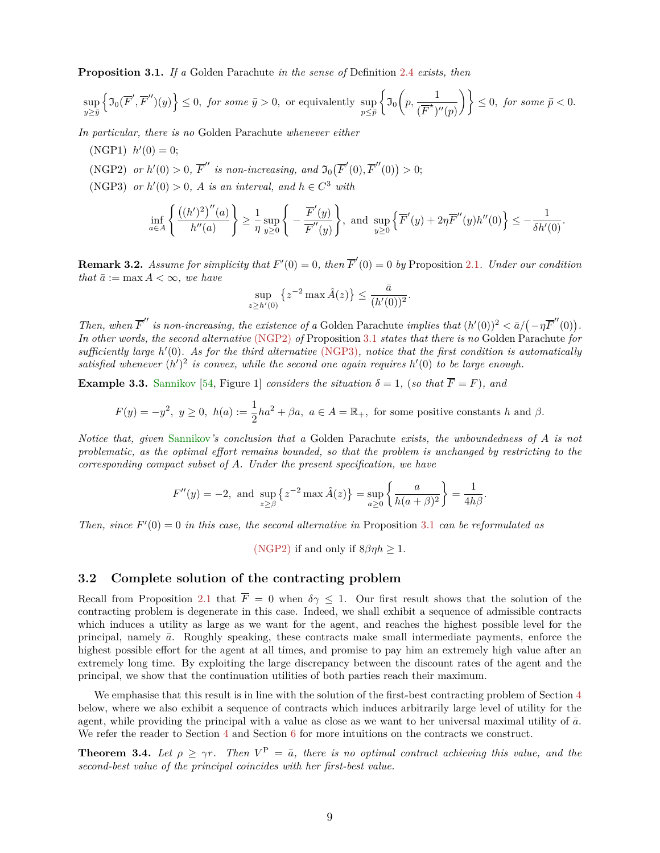**Proposition 3.1.** *If a* Golden Parachute *in the sense of* Definition [2.4](#page-7-3) *exists, then*

$$
\sup_{y \geq \bar y} \left\{ \mathfrak{I}_0(\overline F', \overline F'')(y) \right\} \leq 0, \text{ for some } \bar y > 0, \text{ or equivalently } \sup_{p \leq \bar p} \left\{ \mathfrak{I}_0\bigg(p, \frac{1}{(\overline F^\star)''(p)} \bigg) \right\} \leq 0, \text{ for some } \bar p < 0.
$$

<span id="page-8-4"></span>*In particular, there is no* Golden Parachute *whenever either*

- $(NGP1)$   $h'(0) = 0;$
- <span id="page-8-1"></span>(NGP2) *or*  $h'(0) > 0$ ,  $\overline{F}''$  *is non-increasing, and*  $\mathfrak{I}_0(\overline{F}'(0), \overline{F}''(0)) > 0$ ;
- <span id="page-8-2"></span>(NGP3) *or*  $h'(0) > 0$ , *A is an interval, and*  $h \in C^3$  *with*

$$
\inf_{a \in A} \left\{ \frac{((h')^2)''(a)}{h''(a)} \right\} \ge \frac{1}{\eta} \sup_{y \ge 0} \left\{ -\frac{\overline{F}'(y)}{\overline{F}''(y)} \right\}, \text{ and } \sup_{y \ge 0} \left\{ \overline{F}'(y) + 2\eta \overline{F}''(y)h''(0) \right\} \le -\frac{1}{\delta h'(0)}.
$$

**Remark 3.2.** *Assume for simplicity that*  $F'(0) = 0$ *, then*  $\overline{F}'(0) = 0$  *by* Proposition [2.1](#page-5-4)*. Under our condition that*  $\bar{a} := \max A < \infty$ *, we have* 

$$
\sup_{z \ge h'(0)} \left\{ z^{-2} \max \hat{A}(z) \right\} \le \frac{\bar{a}}{(h'(0))^2}.
$$

*Then, when*  $\overline{F}''$  *is non-increasing, the existence of a* Golden Parachute *implies that*  $(h'(0))^2 < \overline{a}/(-\eta \overline{F}'(0))$ . *In other words, the second alternative* [\(NGP2\)](#page-8-1) *of* Proposition [3.1](#page-7-5) *states that there is no* Golden Parachute *for* sufficiently large *h'*(0). As for the third alternative [\(NGP3\)](#page-8-2), notice that the first condition is automatically satisfied whenever  $(h')^2$  is convex, while the second one again requires  $h'(0)$  to be large enough.

<span id="page-8-3"></span>**Example 3.3.** [Sannikov](#page-37-0) [\[54,](#page-37-0) Figure 1] *considers the situation*  $\delta = 1$ , (*so that*  $\overline{F} = F$ )*, and* 

$$
F(y) = -y^2, \ y \ge 0, \ h(a) := \frac{1}{2}ha^2 + \beta a, \ a \in A = \mathbb{R}_+, \text{ for some positive constants } h \text{ and } \beta.
$$

*Notice that, given* [Sannikov](#page-37-0)*'s conclusion that a* Golden Parachute *exists, the unboundedness of A is not problematic, as the optimal effort remains bounded, so that the problem is unchanged by restricting to the corresponding compact subset of A. Under the present specification, we have*

$$
F''(y) = -2, \text{ and } \sup_{z \ge \beta} \{ z^{-2} \max \hat{A}(z) \} = \sup_{a \ge 0} \left\{ \frac{a}{h(a+\beta)^2} \right\} = \frac{1}{4h\beta}.
$$

*Then, since*  $F'(0) = 0$  *in this case, the second alternative in* Proposition [3.1](#page-7-5) *can be reformulated as* 

[\(NGP2\)](#page-8-1) if and only if  $8\beta\eta h > 1$ .

#### <span id="page-8-0"></span>**3.2 Complete solution of the contracting problem**

Recall from Proposition [2.1](#page-5-4) that  $\overline{F} = 0$  when  $\delta \gamma \leq 1$ . Our first result shows that the solution of the contracting problem is degenerate in this case. Indeed, we shall exhibit a sequence of admissible contracts which induces a utility as large as we want for the agent, and reaches the highest possible level for the principal, namely  $\bar{a}$ . Roughly speaking, these contracts make small intermediate payments, enforce the highest possible effort for the agent at all times, and promise to pay him an extremely high value after an extremely long time. By exploiting the large discrepancy between the discount rates of the agent and the principal, we show that the continuation utilities of both parties reach their maximum.

We emphasise that this result is in line with the solution of the first-best contracting problem of Section [4](#page-11-0) below, where we also exhibit a sequence of contracts which induces arbitrarily large level of utility for the agent, while providing the principal with a value as close as we want to her universal maximal utility of  $\bar{a}$ . We refer the reader to Section [4](#page-11-0) and Section [6](#page-14-0) for more intuitions on the contracts we construct.

<span id="page-8-5"></span>**Theorem 3.4.** *Let*  $\rho \geq \gamma r$ . *Then*  $V^{\text{P}} = \bar{a}$ , *there is no optimal contract achieving this value, and the second-best value of the principal coincides with her first-best value.*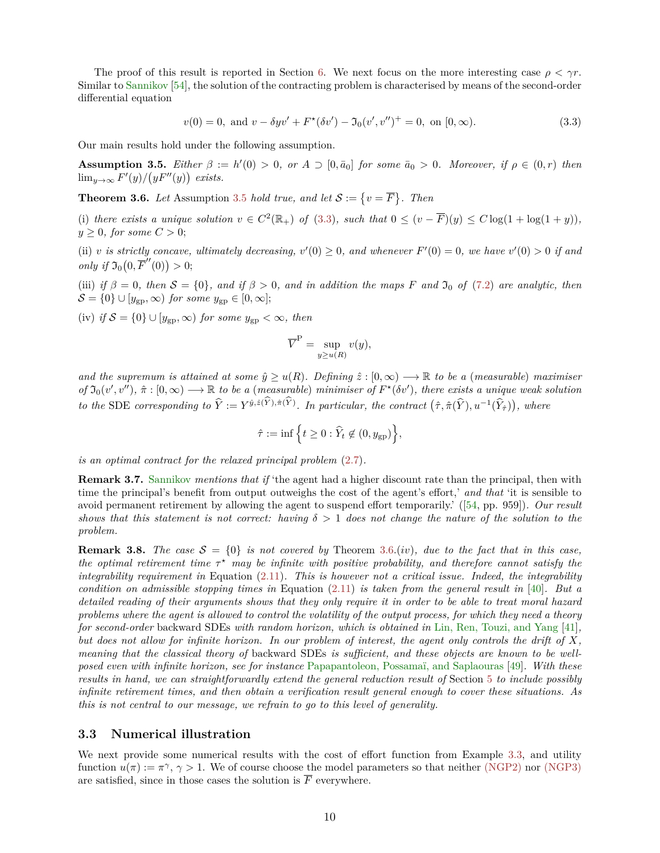The proof of this result is reported in Section [6.](#page-14-0) We next focus on the more interesting case  $\rho < \gamma r$ . Similar to [Sannikov](#page-37-0) [\[54\]](#page-37-0), the solution of the contracting problem is characterised by means of the second-order differential equation

<span id="page-9-3"></span>
$$
v(0) = 0, \text{ and } v - \delta y v' + F^*(\delta v') - \mathfrak{I}_0(v', v'')^+ = 0, \text{ on } [0, \infty). \tag{3.3}
$$

<span id="page-9-2"></span>Our main results hold under the following assumption.

**Assumption 3.5.** *Either*  $\beta := h'(0) > 0$ , or  $A \supset [0, \bar{a}_0]$  *for some*  $\bar{a}_0 > 0$ *. Moreover, if*  $\rho \in (0, r)$  *then*  $\lim_{y\to\infty} F'(y)/(yF''(y))$  exists.

<span id="page-9-0"></span>**Theorem 3.6.** Let Assumption [3.5](#page-9-2) *hold true, and let*  $S := \{v = \overline{F}\}\$ . Then

(i) there exists a unique solution  $v \in C^2(\mathbb{R}_+)$  of [\(3.3\)](#page-9-3), such that  $0 \leq (v - \overline{F})(y) \leq C \log(1 + \log(1 + y))$ ,  $y \geq 0$ *, for some*  $C > 0$ ;

(ii) *v is strictly concave, ultimately decreasing,*  $v'(0) \geq 0$ *, and whenever*  $F'(0) = 0$ *, we have*  $v'(0) > 0$  *if and*  $\text{only if } \mathfrak{I}_0(0, \overline{F}'(0)) > 0;$ 

(iii) *if*  $\beta = 0$ , then  $S = \{0\}$ , and *if*  $\beta > 0$ , and *in addition the maps F* and  $\mathfrak{I}_0$  *of* [\(7.2\)](#page-16-1) are analytic, then  $\mathcal{S} = \{0\} \cup [y_{\text{gp}}, \infty)$  *for some*  $y_{\text{gp}} \in [0, \infty]$ ;

(iv) *if*  $S = \{0\} \cup [y_{gp}, \infty)$  *for some*  $y_{gp} < \infty$ *, then* 

$$
\overline{V}^{\mathcal{P}} = \sup_{y \ge u(R)} v(y),
$$

*and the supremum is attained at some*  $\hat{y} \geq u(R)$ *. Defining*  $\hat{z} : [0, \infty) \longrightarrow \mathbb{R}$  *to be a (measurable) maximiser*  $of \mathfrak{I}_0(v', v'')$ ,  $\hat{\pi} : [0, \infty) \longrightarrow \mathbb{R}$  to be a (*measurable*) *minimiser of*  $F^{\star}(\delta v')$ , *there exists a unique weak solution* to the SDE corresponding to  $\hat{Y} := Y^{\hat{y},\hat{z}(Y),\hat{\pi}(Y)}$ . In particular, the contract  $(\hat{\tau},\hat{\pi}(\hat{Y}),u^{-1}(\hat{Y}_{\hat{\tau}}))$ , where

$$
\hat{\tau} := \inf \left\{ t \ge 0 : \hat{Y}_t \notin (0, y_{\text{gp}}) \right\},\
$$

*is an optimal contract for the relaxed principal problem* [\(2.7\)](#page-5-2)*.*

**Remark 3.7.** [Sannikov](#page-37-0) *mentions that if* 'the agent had a higher discount rate than the principal, then with time the principal's benefit from output outweighs the cost of the agent's effort,' *and that* 'it is sensible to avoid permanent retirement by allowing the agent to suspend effort temporarily.' ([\[54,](#page-37-0) pp. 959])*. Our result shows that this statement is not correct: having*  $\delta > 1$  *does not change the nature of the solution to the problem.*

**Remark 3.8.** *The case*  $S = \{0\}$  *is not covered by* Theorem [3.6.](#page-9-0)(*iv*)*, due to the fact that in this case, the optimal retirement time*  $\tau^*$  *may be infinite with positive probability, and therefore cannot satisfy the integrability requirement in* Equation [\(2.11\)](#page-7-6)*. This is however not a critical issue. Indeed, the integrability condition on admissible stopping times in* Equation [\(2.11\)](#page-7-6) *is taken from the general result in* [\[40\]](#page-36-13)*. But a detailed reading of their arguments shows that they only require it in order to be able to treat moral hazard problems where the agent is allowed to control the volatility of the output process, for which they need a theory for second-order* backward SDEs *with random horizon, which is obtained in* [Lin, Ren, Touzi, and Yang](#page-36-16) [\[41\]](#page-36-16)*, but does not allow for infinite horizon. In our problem of interest, the agent only controls the drift of X, meaning that the classical theory of* backward SDEs *is sufficient, and these objects are known to be wellposed even with infinite horizon, see for instance* [Papapantoleon, Possamaï, and Saplaouras](#page-37-19) [\[49\]](#page-37-19)*. With these results in hand, we can straightforwardly extend the general reduction result of* Section [5](#page-13-0) *to include possibly infinite retirement times, and then obtain a verification result general enough to cover these situations. As this is not central to our message, we refrain to go to this level of generality.*

#### <span id="page-9-1"></span>**3.3 Numerical illustration**

We next provide some numerical results with the cost of effort function from Example [3.3,](#page-8-3) and utility function  $u(\pi) := \pi^{\gamma}, \gamma > 1$ . We of course choose the model parameters so that neither [\(NGP2\)](#page-8-1) nor [\(NGP3\)](#page-8-2) are satisfied, since in those cases the solution is  $\overline{F}$  everywhere.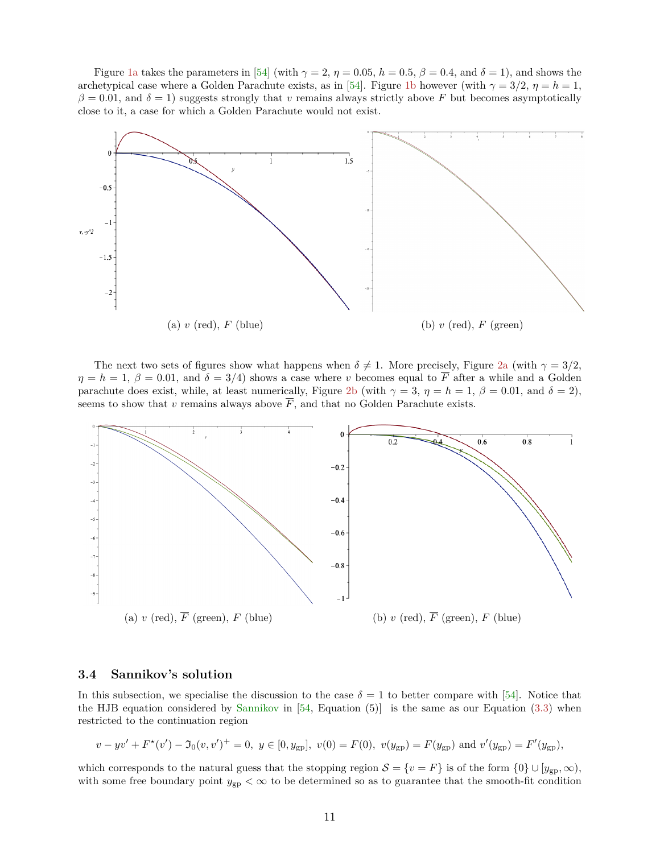Figure [1a](#page-10-1) takes the parameters in [\[54\]](#page-37-0) (with  $\gamma = 2$ ,  $\eta = 0.05$ ,  $h = 0.5$ ,  $\beta = 0.4$ , and  $\delta = 1$ ), and shows the archetypical case where a Golden Parachute exists, as in [\[54\]](#page-37-0). Figure [1b](#page-10-1) however (with  $\gamma = 3/2$ ,  $\eta = h = 1$ ,  $\beta = 0.01$ , and  $\delta = 1$ ) suggests strongly that *v* remains always strictly above *F* but becomes asymptotically close to it, a case for which a Golden Parachute would not exist.

<span id="page-10-1"></span>

The next two sets of figures show what happens when  $\delta \neq 1$ . More precisely, Figure [2a](#page-10-2) (with  $\gamma = 3/2$ ,  $\eta = h = 1, \beta = 0.01$ , and  $\delta = 3/4$ ) shows a case where *v* becomes equal to  $\overline{F}$  after a while and a Golden parachute does exist, while, at least numerically, Figure [2b](#page-10-2) (with  $\gamma = 3$ ,  $\eta = h = 1$ ,  $\beta = 0.01$ , and  $\delta = 2$ ), seems to show that *v* remains always above  $\overline{F}$ , and that no Golden Parachute exists.

<span id="page-10-2"></span>

#### <span id="page-10-0"></span>**3.4 Sannikov's solution**

In this subsection, we specialise the discussion to the case  $\delta = 1$  to better compare with [\[54\]](#page-37-0). Notice that the HJB equation considered by [Sannikov](#page-37-0) in  $[54,$  Equation  $(5)]$  is the same as our Equation  $(3.3)$  when restricted to the continuation region

$$
v - yv' + F^*(v') - \mathfrak{I}_0(v, v')^+ = 0
$$
,  $y \in [0, y_{gp}]$ ,  $v(0) = F(0)$ ,  $v(y_{gp}) = F(y_{gp})$  and  $v'(y_{gp}) = F'(y_{gp})$ ,

which corresponds to the natural guess that the stopping region  $S = \{v = F\}$  is of the form  $\{0\} \cup [y_{gp}, \infty)$ , with some free boundary point  $y_{\text{gp}} < \infty$  to be determined so as to guarantee that the smooth-fit condition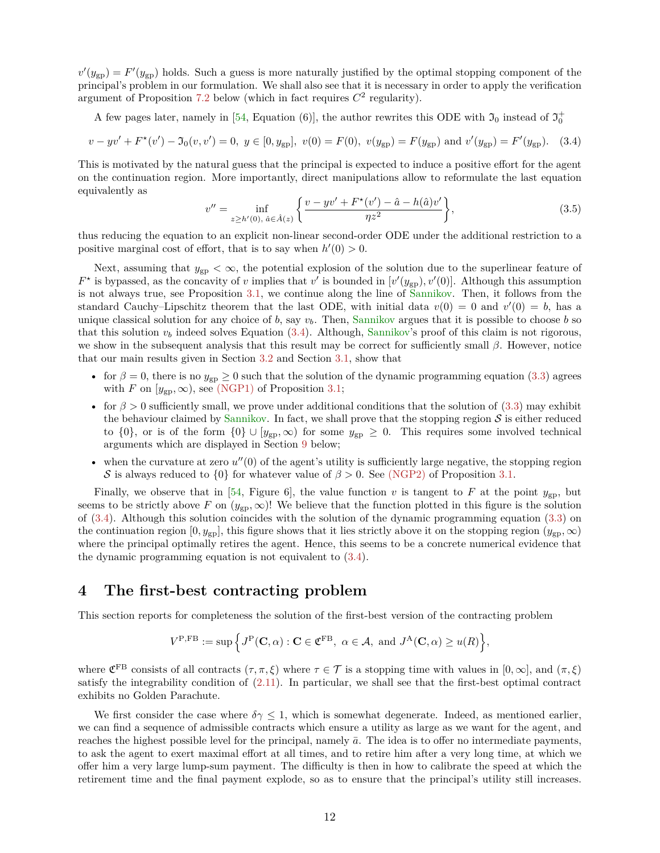$v'(y_{\text{gp}}) = F'(y_{\text{gp}})$  holds. Such a guess is more naturally justified by the optimal stopping component of the principal's problem in our formulation. We shall also see that it is necessary in order to apply the verification argument of Proposition [7.2](#page-17-0) below (which in fact requires  $C^2$  regularity).

A few pages later, namely in [\[54,](#page-37-0) Equation (6)], the author rewrites this ODE with  $\mathfrak{I}_0$  instead of  $\mathfrak{I}_0^+$ 

<span id="page-11-1"></span>
$$
v - yv' + F^{\star}(v') - \mathfrak{I}_0(v, v') = 0, \ y \in [0, y_{gp}], \ v(0) = F(0), \ v(y_{gp}) = F(y_{gp}) \text{ and } v'(y_{gp}) = F'(y_{gp}). \tag{3.4}
$$

This is motivated by the natural guess that the principal is expected to induce a positive effort for the agent on the continuation region. More importantly, direct manipulations allow to reformulate the last equation equivalently as

<span id="page-11-2"></span>
$$
v'' = \inf_{z \ge h'(0), \ \hat{a} \in \hat{A}(z)} \left\{ \frac{v - yv' + F^{\star}(v') - \hat{a} - h(\hat{a})v'}{\eta z^2} \right\},\tag{3.5}
$$

thus reducing the equation to an explicit non-linear second-order ODE under the additional restriction to a positive marginal cost of effort, that is to say when  $h'(0) > 0$ .

Next, assuming that  $y_{\rm gp} < \infty$ , the potential explosion of the solution due to the superlinear feature of  $F^*$  is bypassed, as the concavity of *v* implies that *v*' is bounded in  $[v'(y_{gp}), v'(0)]$ . Although this assumption is not always true, see Proposition [3.1,](#page-7-5) we continue along the line of [Sannikov.](#page-37-0) Then, it follows from the standard Cauchy–Lipschitz theorem that the last ODE, with initial data  $v(0) = 0$  and  $v'(0) = b$ , has a unique classical solution for any choice of  $b$ , say  $v<sub>b</sub>$ . Then, [Sannikov](#page-37-0) argues that it is possible to choose  $b$  so that this solution  $v_b$  indeed solves Equation  $(3.4)$ . Although, [Sannikov'](#page-37-0)s proof of this claim is not rigorous, we show in the subsequent analysis that this result may be correct for sufficiently small *β*. However, notice that our main results given in Section [3.2](#page-8-0) and Section [3.1,](#page-7-1) show that

- for  $\beta = 0$ , there is no  $y_{gp} \ge 0$  such that the solution of the dynamic programming equation [\(3.3\)](#page-9-3) agrees with *F* on  $[y_{gp}, \infty)$ , see [\(NGP1\)](#page-8-4) of Proposition [3.1;](#page-7-5)
- for  $\beta > 0$  sufficiently small, we prove under additional conditions that the solution of [\(3.3\)](#page-9-3) may exhibit the behaviour claimed by [Sannikov.](#page-37-0) In fact, we shall prove that the stopping region  $S$  is either reduced to  $\{0\}$ , or is of the form  $\{0\} \cup [y_{gp}, \infty)$  for some  $y_{gp} \geq 0$ . This requires some involved technical arguments which are displayed in Section [9](#page-19-0) below;
- when the curvature at zero  $u''(0)$  of the agent's utility is sufficiently large negative, the stopping region S is always reduced to  ${0}$  for whatever value of  $\beta > 0$ . See [\(NGP2\)](#page-8-1) of Proposition [3.1.](#page-7-5)

Finally, we observe that in [\[54,](#page-37-0) Figure 6], the value function *v* is tangent to *F* at the point  $y_{\text{gp}}$ , but seems to be strictly above *F* on  $(y_{gp}, \infty)$ ! We believe that the function plotted in this figure is the solution of [\(3.4\)](#page-11-1). Although this solution coincides with the solution of the dynamic programming equation [\(3.3\)](#page-9-3) on the continuation region  $[0, y_{\text{gp}}]$ , this figure shows that it lies strictly above it on the stopping region  $(y_{\text{gp}}, \infty)$ where the principal optimally retires the agent. Hence, this seems to be a concrete numerical evidence that the dynamic programming equation is not equivalent to [\(3.4\)](#page-11-1).

## <span id="page-11-0"></span>**4 The first-best contracting problem**

This section reports for completeness the solution of the first-best version of the contracting problem

$$
V^{\mathcal{P},\mathcal{F}\mathcal{B}} := \sup \Big\{ J^{\mathcal{P}}(\mathbf{C},\alpha) : \mathbf{C} \in \mathfrak{C}^{\mathcal{F}\mathcal{B}}, \ \alpha \in \mathcal{A}, \text{ and } J^{\mathcal{A}}(\mathbf{C},\alpha) \ge u(R) \Big\},\
$$

where  $\mathfrak{C}^{\text{FB}}$  consists of all contracts  $(\tau, \pi, \xi)$  where  $\tau \in \mathcal{T}$  is a stopping time with values in  $[0, \infty]$ , and  $(\pi, \xi)$ satisfy the integrability condition of [\(2.11\)](#page-7-6). In particular, we shall see that the first-best optimal contract exhibits no Golden Parachute.

We first consider the case where  $\delta \gamma \leq 1$ , which is somewhat degenerate. Indeed, as mentioned earlier, we can find a sequence of admissible contracts which ensure a utility as large as we want for the agent, and reaches the highest possible level for the principal, namely  $\bar{a}$ . The idea is to offer no intermediate payments, to ask the agent to exert maximal effort at all times, and to retire him after a very long time, at which we offer him a very large lump-sum payment. The difficulty is then in how to calibrate the speed at which the retirement time and the final payment explode, so as to ensure that the principal's utility still increases.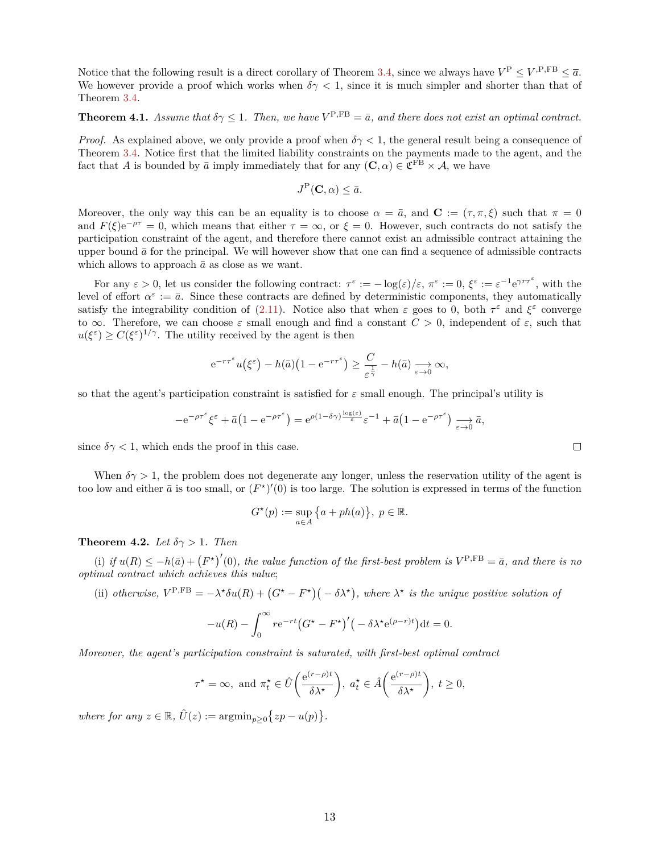Notice that the following result is a direct corollary of Theorem [3.4,](#page-8-5) since we always have  $V^P \le V$ <sup>,P,FB</sup>  $\le \overline{a}$ . We however provide a proof which works when  $\delta \gamma < 1$ , since it is much simpler and shorter than that of Theorem [3.4.](#page-8-5)

#### <span id="page-12-0"></span>**Theorem 4.1.** *Assume that*  $\delta \gamma \leq 1$ *. Then, we have*  $V^{P,FB} = \bar{a}$ *, and there does not exist an optimal contract.*

*Proof.* As explained above, we only provide a proof when  $\delta \gamma < 1$ , the general result being a consequence of Theorem [3.4.](#page-8-5) Notice first that the limited liability constraints on the payments made to the agent, and the fact that *A* is bounded by  $\bar{a}$  imply immediately that for any  $(C, \alpha) \in \mathfrak{C}^{\text{FB}} \times \mathcal{A}$ , we have

$$
J^{\mathcal{P}}(\mathbf{C},\alpha) \leq \bar{a}.
$$

Moreover, the only way this can be an equality is to choose  $\alpha = \bar{a}$ , and  $\mathbf{C} := (\tau, \pi, \xi)$  such that  $\pi = 0$ and  $F(\xi)e^{-\rho\tau} = 0$ , which means that either  $\tau = \infty$ , or  $\xi = 0$ . However, such contracts do not satisfy the participation constraint of the agent, and therefore there cannot exist an admissible contract attaining the upper bound  $\bar{a}$  for the principal. We will however show that one can find a sequence of admissible contracts which allows to approach  $\bar{a}$  as close as we want.

For any  $\varepsilon > 0$ , let us consider the following contract:  $\tau^{\varepsilon} := -\log(\varepsilon)/\varepsilon$ ,  $\pi^{\varepsilon} := 0$ ,  $\xi^{\varepsilon} := \varepsilon^{-1} e^{\gamma r \tau^{\varepsilon}}$ , with the level of effort  $\alpha^{\varepsilon} := \bar{a}$ . Since these contracts are defined by deterministic components, they automatically satisfy the integrability condition of [\(2.11\)](#page-7-6). Notice also that when  $\varepsilon$  goes to 0, both  $\tau^{\varepsilon}$  and  $\xi^{\varepsilon}$  converge to  $\infty$ . Therefore, we can choose  $\varepsilon$  small enough and find a constant  $C > 0$ , independent of  $\varepsilon$ , such that  $u(\xi^{\varepsilon}) \geq C(\xi^{\varepsilon})^{1/\gamma}$ . The utility received by the agent is then

$$
e^{-r\tau^{\varepsilon}}u(\xi^{\varepsilon}) - h(\bar{a})(1 - e^{-r\tau^{\varepsilon}}) \ge \frac{C}{\varepsilon^{\frac{1}{\gamma}}} - h(\bar{a}) \xrightarrow[\varepsilon \to 0]{} \infty,
$$

so that the agent's participation constraint is satisfied for *ε* small enough. The principal's utility is

$$
-e^{-\rho\tau^{\varepsilon}}\xi^{\varepsilon}+\bar{a}\left(1-e^{-\rho\tau^{\varepsilon}}\right)=e^{\rho\left(1-\delta\gamma\right)\frac{\log(\varepsilon)}{\varepsilon}}\varepsilon^{-1}+\bar{a}\left(1-e^{-\rho\tau^{\varepsilon}}\right)\underset{\varepsilon\to 0}{\longrightarrow}\bar{a},
$$

since  $\delta \gamma < 1$ , which ends the proof in this case.

When  $\delta \gamma > 1$ , the problem does not degenerate any longer, unless the reservation utility of the agent is too low and either  $\bar{a}$  is too small, or  $(F^{\star})'(0)$  is too large. The solution is expressed in terms of the function

$$
G^{\star}(p) := \sup_{a \in A} \left\{ a + ph(a) \right\}, \ p \in \mathbb{R}.
$$

#### **Theorem 4.2.** *Let*  $\delta \gamma > 1$ *. Then*

(i) if  $u(R) \leq -h(\bar{a}) + (F^*)'(0)$ , the value function of the first-best problem is  $V^{P,FB} = \bar{a}$ , and there is no *optimal contract which achieves this value*;

(ii) *otherwise*,  $V^{\text{P,FB}} = -\lambda^* \delta u(R) + (G^* - F^*) (-\delta \lambda^*)$ , where  $\lambda^*$  is the unique positive solution of

$$
-u(R) - \int_0^\infty r e^{-rt} \left(G^* - F^*\right)' \left(-\delta \lambda^* e^{(\rho - r)t}\right) dt = 0.
$$

*Moreover, the agent's participation constraint is saturated, with first-best optimal contract*

$$
\tau^* = \infty
$$
, and  $\pi_t^* \in \hat{U}\left(\frac{e^{(r-\rho)t}}{\delta \lambda^*}\right)$ ,  $a_t^* \in \hat{A}\left(\frac{e^{(r-\rho)t}}{\delta \lambda^*}\right)$ ,  $t \ge 0$ ,

 $where for any  $z \in \mathbb{R}$ ,  $\hat{U}(z) := \operatorname{argmin}_{p \geq 0} \{zp - u(p)\}.$$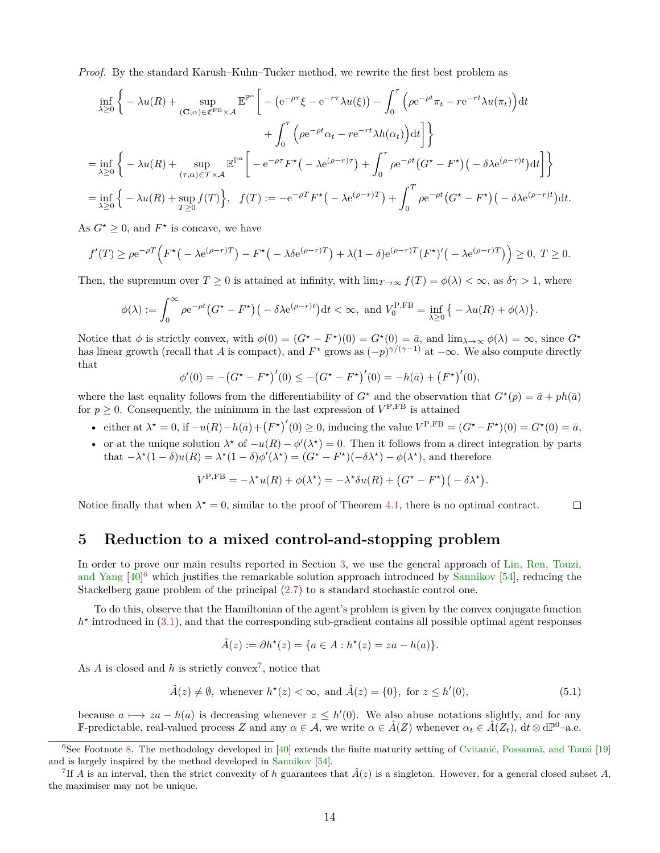*Proof.* By the standard Karush–Kuhn–Tucker method, we rewrite the first best problem as

$$
\inf_{\lambda \geq 0} \left\{ -\lambda u(R) + \sup_{(\mathbf{C}, \alpha) \in \mathfrak{C}^{\mathrm{FB}} \times \mathcal{A}} \mathbb{E}^{\mathbb{P}^{\alpha}} \left[ -\left( e^{-\rho \tau} \xi - e^{-r \tau} \lambda u(\xi) \right) - \int_{0}^{\tau} \left( \rho e^{-\rho t} \pi_{t} - r e^{-r t} \lambda u(\pi_{t}) \right) dt \right. \\
\left. + \int_{0}^{\tau} \left( \rho e^{-\rho t} \alpha_{t} - r e^{-r t} \lambda h(\alpha_{t}) \right) dt \right] \right\}
$$
\n
$$
= \inf_{\lambda \geq 0} \left\{ -\lambda u(R) + \sup_{(\tau, \alpha) \in \mathcal{T} \times \mathcal{A}} \mathbb{E}^{\mathbb{P}^{\alpha}} \left[ -e^{-\rho \tau} F^{\star} \left( -\lambda e^{(\rho - r) \tau} \right) + \int_{0}^{\tau} \rho e^{-\rho t} \left( G^{\star} - F^{\star} \right) \left( -\delta \lambda e^{(\rho - r) t} \right) dt \right] \right\}
$$
\n
$$
= \inf_{\lambda \geq 0} \left\{ -\lambda u(R) + \sup_{T \geq 0} f(T) \right\}, \quad f(T) := -e^{-\rho T} F^{\star} \left( -\lambda e^{(\rho - r) T} \right) + \int_{0}^{T} \rho e^{-\rho t} \left( G^{\star} - F^{\star} \right) \left( -\delta \lambda e^{(\rho - r) t} \right) dt.
$$

As  $G^* \geq 0$ , and  $F^*$  is concave, we have

$$
f'(T) \ge \rho e^{-\rho T} \Big( F^{\star} \big( -\lambda e^{(\rho - r)T} \big) - F^{\star} \big( -\lambda \delta e^{(\rho - r)T} \big) + \lambda (1 - \delta) e^{(\rho - r)T} \big( F^{\star} \big)' \big( -\lambda e^{(\rho - r)T} \big) \Big) \ge 0, \ T \ge 0.
$$

Then, the supremum over  $T \ge 0$  is attained at infinity, with  $\lim_{T \to \infty} f(T) = \phi(\lambda) < \infty$ , as  $\delta \gamma > 1$ , where

$$
\phi(\lambda) := \int_0^\infty \rho e^{-\rho t} \big( G^\star - F^\star \big) \big( - \delta \lambda e^{(\rho - r)t} \big) dt < \infty, \text{ and } V_0^{\text{P,FB}} = \inf_{\lambda \ge 0} \big\{ -\lambda u(R) + \phi(\lambda) \big\}.
$$

Notice that  $\phi$  is strictly convex, with  $\phi(0) = (G^* - F^*)(0) = G^*(0) = \bar{a}$ , and  $\lim_{\lambda \to \infty} \phi(\lambda) = \infty$ , since  $G^*$ has linear growth (recall that *A* is compact), and  $F^*$  grows as  $(-p)^{\gamma/(\gamma-1)}$  at  $-\infty$ . We also compute directly that

$$
\phi'(0) = -(G^* - F^*)'(0) \le -(G^* - F^*)'(0) = -h(\bar{a}) + (F^*)'(0),
$$

where the last equality follows from the differentiability of  $G^*$  and the observation that  $G^*(p) = \bar{a} + ph(\bar{a})$ for  $p \geq 0$ . Consequently, the minimum in the last expression of  $V^{P,FB}$  is attained

- either at  $\lambda^* = 0$ , if  $-u(R) h(\bar{a}) + (F^*)'(0) \ge 0$ , inducing the value  $V^{P,FB} = (G^* F^*)(0) = G^*(0) = \bar{a}$ ,
- or at the unique solution  $\lambda^*$  of  $-u(R) \phi'(\lambda^*) = 0$ . Then it follows from a direct integration by parts that  $-\lambda^*(1-\delta)u(R) = \lambda^*(1-\delta)\phi'(\lambda^*) = (G^* - F^*)(-\delta\lambda^*) - \phi(\lambda^*)$ , and therefore

$$
V^{\rm P,FB} = -\lambda^{\star} u(R) + \phi(\lambda^{\star}) = -\lambda^{\star} \delta u(R) + (G^{\star} - F^{\star}) \big(-\delta \lambda^{\star} \big).
$$

Notice finally that when  $\lambda^* = 0$ , similar to the proof of Theorem [4.1,](#page-12-0) there is no optimal contract.  $\Box$ 

### <span id="page-13-0"></span>**5 Reduction to a mixed control-and-stopping problem**

In order to prove our main results reported in Section [3,](#page-7-0) we use the general approach of [Lin, Ren, Touzi,](#page-36-13) [and Yang](#page-36-13)  $[40]$ <sup>[6](#page-13-1)</sup> which justifies the remarkable solution approach introduced by [Sannikov](#page-37-0) [\[54\]](#page-37-0), reducing the Stackelberg game problem of the principal [\(2.7\)](#page-5-2) to a standard stochastic control one.

To do this, observe that the Hamiltonian of the agent's problem is given by the convex conjugate function  $h^*$  introduced in  $(3.1)$ , and that the corresponding sub-gradient contains all possible optimal agent responses

$$
\hat{A}(z) := \partial h^*(z) = \{ a \in A : h^*(z) = za - h(a) \}.
$$

As  $A$  is closed and  $h$  is strictly convex<sup>[7](#page-13-2)</sup>, notice that

<span id="page-13-3"></span>
$$
\hat{A}(z) \neq \emptyset, \text{ whenever } h^*(z) < \infty, \text{ and } \hat{A}(z) = \{0\}, \text{ for } z \le h'(0), \tag{5.1}
$$

because  $a \mapsto za - h(a)$  is decreasing whenever  $z \leq h'(0)$ . We also abuse notations slightly, and for any F-predictable, real-valued process *Z* and any  $\alpha \in \mathcal{A}$ , we write  $\alpha \in \hat{A}(Z)$  whenever  $\alpha_t \in \hat{A}(Z_t)$ ,  $dt \otimes d\mathbb{P}^0$ -a.e.

<span id="page-13-1"></span> ${}^{6}$ See Footnote [8.](#page-14-1) The methodology developed in [\[40\]](#page-36-13) extends the finite maturity setting of [Cvitanić, Possamaï, and Touzi](#page-35-13) [\[19\]](#page-35-13) and is largely inspired by the method developed in [Sannikov](#page-37-0) [\[54\]](#page-37-0).

<span id="page-13-2"></span><sup>&</sup>lt;sup>7</sup>If *A* is an interval, then the strict convexity of *h* guarantees that  $\hat{A}(z)$  is a singleton. However, for a general closed subset *A*, the maximiser may not be unique.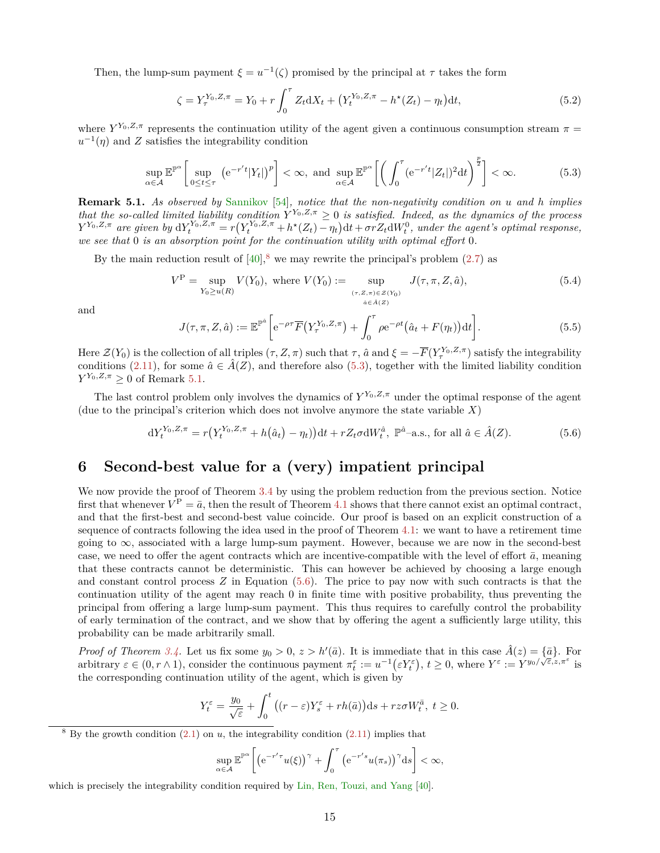Then, the lump-sum payment  $\xi = u^{-1}(\zeta)$  promised by the principal at  $\tau$  takes the form

$$
\zeta = Y_{\tau}^{Y_0, Z, \pi} = Y_0 + r \int_0^{\tau} Z_t dX_t + \left(Y_t^{Y_0, Z, \pi} - h^*(Z_t) - \eta_t\right) dt,\tag{5.2}
$$

where  $Y^{Y_0,Z,\pi}$  represents the continuation utility of the agent given a continuous consumption stream  $\pi$  $u^{-1}(\eta)$  and *Z* satisfies the integrability condition

<span id="page-14-2"></span>
$$
\sup_{\alpha \in \mathcal{A}} \mathbb{E}^{\mathbb{P}^{\alpha}} \left[ \sup_{0 \le t \le \tau} \left( e^{-r't} |Y_t| \right)^p \right] < \infty, \text{ and } \sup_{\alpha \in \mathcal{A}} \mathbb{E}^{\mathbb{P}^{\alpha}} \left[ \left( \int_0^\tau (e^{-r't} |Z_t|)^2 dt \right)^{\frac{p}{2}} \right] < \infty. \tag{5.3}
$$

<span id="page-14-3"></span>**Remark 5.1.** *As observed by* [Sannikov](#page-37-0) [\[54\]](#page-37-0)*, notice that the non-negativity condition on u and h implies that the so-called limited liability condition*  $Y^{Y_0,Z,\pi} \geq 0$  *is satisfied. Indeed, as the dynamics of the process*  $Y^{Y_0,Z,\pi}$  are given by  $dY_t^{Y_0,Z,\pi} = r(Y_t^{Y_0,Z,\pi} + h^{\star}(Z_t) - \eta_t)dt + \sigma r Z_t dW_t^0$ , under the agent's optimal response, *we see that* 0 *is an absorption point for the continuation utility with optimal effort* 0*.*

By the main reduction result of  $[40]$ ,  $\frac{8}{ }$  $\frac{8}{ }$  $\frac{8}{ }$  we may rewrite the principal's problem [\(2.7\)](#page-5-2) as

<span id="page-14-5"></span>
$$
V^{P} = \sup_{Y_{0} \ge u(R)} V(Y_{0}), \text{ where } V(Y_{0}) := \sup_{\substack{(\tau, Z, \pi) \in \mathcal{Z}(Y_{0}) \\ \hat{a} \in \hat{A}(Z)}} J(\tau, \pi, Z, \hat{a}), \tag{5.4}
$$

and

<span id="page-14-6"></span>
$$
J(\tau,\pi,Z,\hat{a}) := \mathbb{E}^{\mathbb{P}^{\hat{a}}} \bigg[ e^{-\rho \tau} \overline{F} \big( Y_{\tau}^{Y_0,Z,\pi} \big) + \int_0^{\tau} \rho e^{-\rho t} \big( \hat{a}_t + F(\eta_t) \big) dt \bigg]. \tag{5.5}
$$

Here  $\mathcal{Z}(Y_0)$  is the collection of all triples  $(\tau, Z, \pi)$  such that  $\tau$ ,  $\hat{a}$  and  $\xi = -\overline{F}(Y^{Y_0, Z, \pi}_\tau)$  satisfy the integrability conditions [\(2.11\)](#page-7-6), for some  $\hat{a} \in \hat{A}(Z)$ , and therefore also [\(5.3\)](#page-14-2), together with the limited liability condition  $Y^{Y_0,Z,\pi} \geq 0$  of Remark [5.1.](#page-14-3)

The last control problem only involves the dynamics of  $Y^{Y_0,Z,\pi}$  under the optimal response of the agent (due to the principal's criterion which does not involve anymore the state variable *X*)

<span id="page-14-4"></span>
$$
dY_t^{Y_0, Z, \pi} = r(Y_t^{Y_0, Z, \pi} + h(\hat{a}_t) - \eta_t) dt + rZ_t \sigma dW_t^{\hat{a}}, \ \mathbb{P}^{\hat{a}} \text{-a.s., for all } \hat{a} \in \hat{A}(Z). \tag{5.6}
$$

## <span id="page-14-0"></span>**6 Second-best value for a (very) impatient principal**

We now provide the proof of Theorem [3.4](#page-8-5) by using the problem reduction from the previous section. Notice first that whenever  $V^{\text{P}} = \bar{a}$ , then the result of Theorem [4.1](#page-12-0) shows that there cannot exist an optimal contract, and that the first-best and second-best value coincide. Our proof is based on an explicit construction of a sequence of contracts following the idea used in the proof of Theorem [4.1:](#page-12-0) we want to have a retirement time going to  $\infty$ , associated with a large lump-sum payment. However, because we are now in the second-best case, we need to offer the agent contracts which are incentive-compatible with the level of effort  $\bar{a}$ , meaning that these contracts cannot be deterministic. This can however be achieved by choosing a large enough and constant control process *Z* in Equation [\(5.6\)](#page-14-4). The price to pay now with such contracts is that the continuation utility of the agent may reach 0 in finite time with positive probability, thus preventing the principal from offering a large lump-sum payment. This thus requires to carefully control the probability of early termination of the contract, and we show that by offering the agent a sufficiently large utility, this probability can be made arbitrarily small.

*Proof of Theorem [3.4.](#page-8-5)* Let us fix some  $y_0 > 0$ ,  $z > h'(\bar{a})$ . It is immediate that in this case  $\hat{A}(z) = {\bar{a}}$ . For arbitrary  $\varepsilon \in (0, r \wedge 1)$ , consider the continuous payment  $\pi_t^{\varepsilon} := u^{-1}(\varepsilon Y_t^{\varepsilon}), t \ge 0$ , where  $Y^{\varepsilon} := Y^{y_0/\sqrt{\varepsilon}, z, \pi^{\varepsilon}}$  is the corresponding continuation utility of the agent, which is given by

$$
Y_t^{\varepsilon} = \frac{y_0}{\sqrt{\varepsilon}} + \int_0^t \left( (r - \varepsilon) Y_s^{\varepsilon} + rh(\bar{a}) \right) ds + rz\sigma W_t^{\bar{a}}, \ t \ge 0.
$$

<span id="page-14-1"></span> $8$  By the growth condition  $(2.1)$  on *u*, the integrability condition  $(2.11)$  implies that

$$
\sup_{\alpha\in\mathcal{A}}\mathbb{E}^{\mathbb{P}^{\alpha}}\left[\left(\mathrm{e}^{-r'\tau}u(\xi)\right)^{\gamma}+\int_0^{\tau}\left(\mathrm{e}^{-r's}u(\pi_s)\right)^{\gamma}\mathrm{d}s\right]<\infty,
$$

which is precisely the integrability condition required by [Lin, Ren, Touzi, and Yang](#page-36-13) [\[40\]](#page-36-13).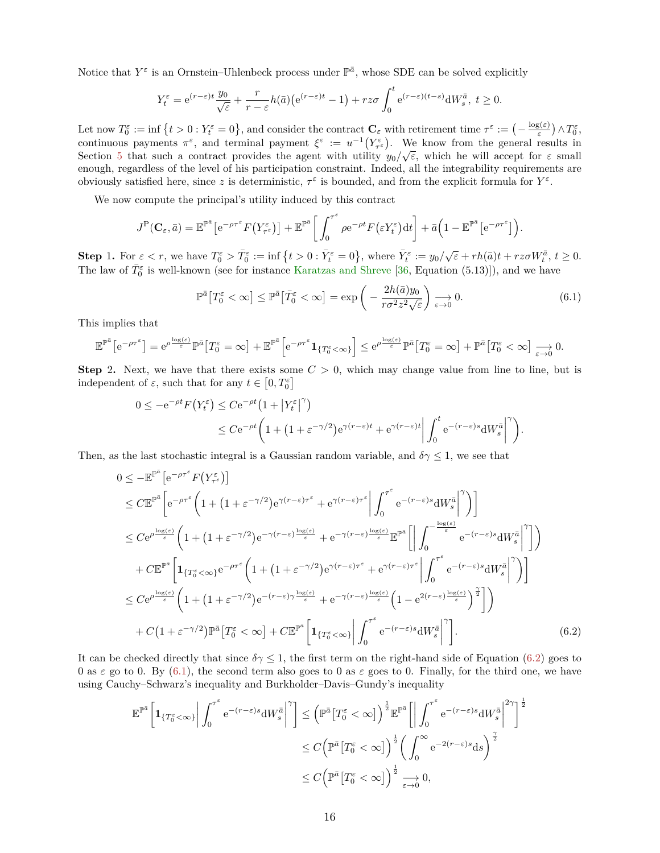Notice that  $Y^{\varepsilon}$  is an Ornstein–Uhlenbeck process under  $\mathbb{P}^{\bar{a}}$ , whose SDE can be solved explicitly

$$
Y_t^{\varepsilon} = e^{(r-\varepsilon)t} \frac{y_0}{\sqrt{\varepsilon}} + \frac{r}{r-\varepsilon} h(\bar{a}) \big( e^{(r-\varepsilon)t} - 1 \big) + rz\sigma \int_0^t e^{(r-\varepsilon)(t-s)} dW_s^{\bar{a}}, \ t \ge 0.
$$

Let now  $T_0^{\varepsilon} := \inf \{ t > 0 : Y_t^{\varepsilon} = 0 \}$ , and consider the contract  $\mathbf{C}_{\varepsilon}$  with retirement time  $\tau^{\varepsilon} := \left( -\frac{\log(\varepsilon)}{\varepsilon} \right)$  $(\frac{g(\varepsilon)}{\varepsilon})\wedge T_0^{\varepsilon}$ continuous payments  $\pi^{\varepsilon}$ , and terminal payment  $\xi^{\varepsilon} := u^{-1}(Y_{\tau}^{\varepsilon})$ . We know from the general results in Section [5](#page-13-0) that such a contract provides the agent with utility  $y_0/\sqrt{\varepsilon}$ , which he will accept for  $\varepsilon$  small enough, regardless of the level of his participation constraint. Indeed, all the integrability requirements are obviously satisfied here, since z is deterministic,  $\tau^{\epsilon}$  is bounded, and from the explicit formula for  $Y^{\varepsilon}$ .

We now compute the principal's utility induced by this contract

$$
J^{\mathrm{P}}(\mathbf{C}_{\varepsilon},\bar{a})=\mathbb{E}^{\mathbb{P}^{\bar{a}}}\big[e^{-\rho\tau^{\varepsilon}}F(Y_{\tau^{\varepsilon}}^{\varepsilon})\big]+\mathbb{E}^{\mathbb{P}^{\bar{a}}}\bigg[\int_0^{\tau^{\varepsilon}}\rho e^{-\rho t}F(\varepsilon Y_t^{\varepsilon})\mathrm{d}t\bigg]+\bar{a}\big(1-\mathbb{E}^{\mathbb{P}^{\bar{a}}}\big[e^{-\rho\tau^{\varepsilon}}\big]\big).
$$

**Step 1.** For  $\varepsilon < r$ , we have  $T_0^{\varepsilon} > \overline{T}_0^{\varepsilon} := \inf \{ t > 0 : \overline{Y}_t^{\varepsilon} = 0 \}$ , where  $\overline{Y}_t^{\varepsilon} := y_0/\sqrt{\varepsilon} + rh(\overline{a})t + rz\sigma W_t^{\overline{a}}, t \ge 0$ . The law of  $\bar{T}_0^{\varepsilon}$  is well-known (see for instance [Karatzas and Shreve](#page-36-17) [\[36,](#page-36-17) Equation (5.13)]), and we have

<span id="page-15-1"></span>
$$
\mathbb{P}^{\bar{a}}\left[T_0^{\varepsilon} < \infty\right] \le \mathbb{P}^{\bar{a}}\left[\bar{T}_0^{\varepsilon} < \infty\right] = \exp\left(-\frac{2h(\bar{a})y_0}{r\sigma^2 z^2 \sqrt{\varepsilon}}\right) \underset{\varepsilon \to 0}{\longrightarrow} 0. \tag{6.1}
$$

This implies that

$$
\mathbb{E}^{\mathbb{P}^{\bar{a}}}\left[e^{-\rho\tau^{\varepsilon}}\right] = e^{\rho\frac{\log(\varepsilon)}{\varepsilon}}\mathbb{P}^{\bar{a}}\left[T_{0}^{\varepsilon}=\infty\right] + \mathbb{E}^{\mathbb{P}^{\bar{a}}}\left[e^{-\rho\tau^{\varepsilon}}\mathbf{1}_{\{T_{0}^{\varepsilon}<\infty\}}\right] \leq e^{\rho\frac{\log(\varepsilon)}{\varepsilon}}\mathbb{P}^{\bar{a}}\left[T_{0}^{\varepsilon}=\infty\right] + \mathbb{P}^{\bar{a}}\left[T_{0}^{\varepsilon}<\infty\right] \underset{\varepsilon\to 0}{\longrightarrow} 0.
$$

**Step** 2. Next, we have that there exists some  $C > 0$ , which may change value from line to line, but is independent of  $\varepsilon$ , such that for any  $t \in [0, T_0^{\varepsilon}]$ 

$$
0 \le -e^{-\rho t} F(Y_t^{\varepsilon}) \le C e^{-\rho t} \left( 1 + |Y_t^{\varepsilon}|^{\gamma} \right)
$$
  

$$
\le C e^{-\rho t} \left( 1 + (1 + \varepsilon^{-\gamma/2}) e^{\gamma (r-\varepsilon)t} + e^{\gamma (r-\varepsilon)t} \left| \int_0^t e^{-(r-\varepsilon)s} dW_s^{\bar{a}} \right|^{\gamma} \right).
$$

Then, as the last stochastic integral is a Gaussian random variable, and  $\delta \gamma \leq 1$ , we see that

$$
0 \leq -\mathbb{E}^{\mathbb{P}^{\bar{a}}}\left[e^{-\rho\tau^{\varepsilon}}F(Y_{\tau^{\varepsilon}}^{\varepsilon})\right]
$$
  
\n
$$
\leq C\mathbb{E}^{\mathbb{P}^{\bar{a}}}\left[e^{-\rho\tau^{\varepsilon}}\left(1+(1+\varepsilon^{-\gamma/2})e^{\gamma(r-\varepsilon)\tau^{\varepsilon}}+e^{\gamma(r-\varepsilon)\tau^{\varepsilon}}\right|\int_{0}^{\tau^{\varepsilon}}e^{-(r-\varepsilon)s}\mathrm{d}W_{s}^{\bar{a}}\right|^{\gamma}\right)]
$$
  
\n
$$
\leq Ce^{\rho\frac{\log(\varepsilon)}{\varepsilon}}\left(1+(1+\varepsilon^{-\gamma/2})e^{-\gamma(r-\varepsilon)\frac{\log(\varepsilon)}{\varepsilon}}+e^{-\gamma(r-\varepsilon)\frac{\log(\varepsilon)}{\varepsilon}}\mathbb{E}^{\mathbb{P}^{\bar{a}}}\left[\left|\int_{0}^{-\frac{\log(\varepsilon)}{\varepsilon}}e^{-(r-\varepsilon)s}\mathrm{d}W_{s}^{\bar{a}}\right|^{\gamma}\right]\right)
$$
  
\n
$$
+C\mathbb{E}^{\mathbb{P}^{\bar{a}}}\left[1_{\{T_{0}^{\varepsilon}<\infty\}}e^{-\rho\tau^{\varepsilon}}\left(1+(1+\varepsilon^{-\gamma/2})e^{\gamma(r-\varepsilon)\tau^{\varepsilon}}+e^{\gamma(r-\varepsilon)\tau^{\varepsilon}}\right|\int_{0}^{\tau^{\varepsilon}}e^{-(r-\varepsilon)s}\mathrm{d}W_{s}^{\bar{a}}\right|^{\gamma}\right)]
$$
  
\n
$$
\leq Ce^{\rho\frac{\log(\varepsilon)}{\varepsilon}}\left(1+(1+\varepsilon^{-\gamma/2})e^{-(r-\varepsilon)\gamma\frac{\log(\varepsilon)}{\varepsilon}}+e^{-\gamma(r-\varepsilon)\frac{\log(\varepsilon)}{\varepsilon}}\left(1-e^{2(r-\varepsilon)\frac{\log(\varepsilon)}{\varepsilon}}\right)^{\frac{\gamma}{2}}\right]
$$
  
\n
$$
+C(1+\varepsilon^{-\gamma/2})\mathbb{P}^{\bar{a}}\left[T_{0}^{\varepsilon}<\infty\right]+C\mathbb{E}^{\mathbb{P}^{\bar{a}}}\left[1_{
$$

It can be checked directly that since  $\delta \gamma \leq 1$ , the first term on the right-hand side of Equation [\(6.2\)](#page-15-0) goes to 0 as  $\varepsilon$  go to 0. By [\(6.1\)](#page-15-1), the second term also goes to 0 as  $\varepsilon$  goes to 0. Finally, for the third one, we have using Cauchy–Schwarz's inequality and Burkholder–Davis–Gundy's inequality

<span id="page-15-0"></span>
$$
\mathbb{E}^{\mathbb{P}^{\bar{a}}} \bigg[ \mathbf{1}_{\{T_0^{\varepsilon} < \infty\}} \bigg| \int_0^{\tau^{\varepsilon}} e^{-(r-\varepsilon)s} dW_s^{\bar{a}} \bigg|^\gamma \bigg] \leq \left( \mathbb{P}^{\bar{a}} \big[ T_0^{\varepsilon} < \infty \big] \right)^{\frac{1}{2}} \mathbb{E}^{\mathbb{P}^{\bar{a}}} \bigg[ \bigg| \int_0^{\tau^{\varepsilon}} e^{-(r-\varepsilon)s} dW_s^{\bar{a}} \bigg|^{2\gamma} \bigg]^{\frac{1}{2}} \leq C \left( \mathbb{P}^{\bar{a}} \big[ T_0^{\varepsilon} < \infty \big] \right)^{\frac{1}{2}} \bigg( \int_0^{\infty} e^{-2(r-\varepsilon)s} ds \bigg)^{\frac{\gamma}{2}} \leq C \left( \mathbb{P}^{\bar{a}} \big[ T_0^{\varepsilon} < \infty \big] \right)^{\frac{1}{2}} \bigg[ \int_0^{\infty} e^{-2(r-\varepsilon)s} ds \bigg)^{\frac{\gamma}{2}}
$$

$$
\leq C \left( \mathbb{P}^{\bar{a}} \big[ T_0^{\varepsilon} < \infty \big] \right)^{\frac{1}{2}} \bigg| \int_0^{\infty} e^{-2(r-\varepsilon)s} ds \bigg)^{\frac{\gamma}{2}}
$$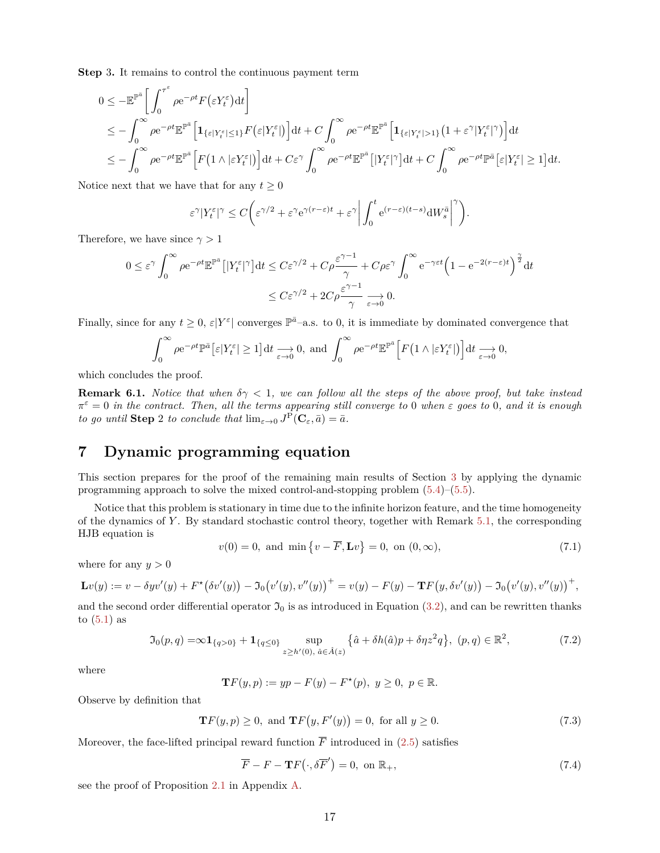**Step** 3**.** It remains to control the continuous payment term

$$
0 \leq -\mathbb{E}^{\mathbb{P}^{\bar{a}}}\bigg[\int_0^{\tau^{\varepsilon}} \rho e^{-\rho t} F(\varepsilon Y_t^{\varepsilon}) dt\bigg]
$$
  
\n
$$
\leq -\int_0^{\infty} \rho e^{-\rho t} \mathbb{E}^{\mathbb{P}^{\bar{a}}}\bigg[\mathbf{1}_{\{\varepsilon|Y_t^{\varepsilon}|\leq 1\}} F(\varepsilon|Y_t^{\varepsilon}|)\bigg] dt + C \int_0^{\infty} \rho e^{-\rho t} \mathbb{E}^{\mathbb{P}^{\bar{a}}}\bigg[\mathbf{1}_{\{\varepsilon|Y_t^{\varepsilon}|> 1\}} (1+\varepsilon^{\gamma}|Y_t^{\varepsilon}|^{\gamma})\bigg] dt
$$
  
\n
$$
\leq -\int_0^{\infty} \rho e^{-\rho t} \mathbb{E}^{\mathbb{P}^{\bar{a}}}\bigg[F(1 \wedge |\varepsilon Y_t^{\varepsilon}|)\bigg] dt + C \varepsilon^{\gamma} \int_0^{\infty} \rho e^{-\rho t} \mathbb{E}^{\mathbb{P}^{\bar{a}}}\big[|Y_t^{\varepsilon}|^{\gamma}\big] dt + C \int_0^{\infty} \rho e^{-\rho t} \mathbb{P}^{\bar{a}}\big[\varepsilon|Y_t^{\varepsilon}| \geq 1\big] dt.
$$

Notice next that we have that for any  $t \geq 0$ 

$$
\varepsilon^{\gamma}|Y_t^{\varepsilon}|^{\gamma} \le C\bigg(\varepsilon^{\gamma/2} + \varepsilon^{\gamma}e^{\gamma(r-\varepsilon)t} + \varepsilon^{\gamma}\bigg|\int_0^t e^{(r-\varepsilon)(t-s)}dW_s^{\bar{a}}\bigg|^{\gamma}\bigg).
$$

Therefore, we have since  $\gamma > 1$ 

$$
0 \leq \varepsilon^{\gamma} \int_0^{\infty} \rho e^{-\rho t} \mathbb{E}^{\mathbb{P}^{\bar{a}}} \left[ |Y_t^{\varepsilon}|^{\gamma} \right] dt \leq C \varepsilon^{\gamma/2} + C \rho \frac{\varepsilon^{\gamma-1}}{\gamma} + C \rho \varepsilon^{\gamma} \int_0^{\infty} e^{-\gamma \varepsilon t} \left( 1 - e^{-2(r-\varepsilon)t} \right)^{\frac{\gamma}{2}} dt
$$
  

$$
\leq C \varepsilon^{\gamma/2} + 2C \rho \frac{\varepsilon^{\gamma-1}}{\gamma} \underset{\varepsilon \to 0}{\longrightarrow} 0.
$$

Finally, since for any  $t \geq 0$ ,  $\varepsilon|Y^{\varepsilon}|$  converges  $\mathbb{P}^{\bar{a}}$ -a.s. to 0, it is immediate by dominated convergence that

$$
\int_0^\infty \rho e^{-\rho t} \mathbb{P}^{\bar{a}} \left[ \varepsilon |Y_t^{\varepsilon}| \ge 1 \right] dt \xrightarrow[\varepsilon \to 0]{} 0, \text{ and } \int_0^\infty \rho e^{-\rho t} \mathbb{E}^{\mathbb{P}^{\bar{a}}} \left[ F\left( 1 \wedge |\varepsilon Y_t^{\varepsilon}| \right) \right] dt \xrightarrow[\varepsilon \to 0]{} 0,
$$

which concludes the proof.

**Remark 6.1.** *Notice that when*  $\delta \gamma < 1$ , we can follow all the steps of the above proof, but take instead  $\pi^{\varepsilon} = 0$  *in the contract. Then, all the terms appearing still converge to* 0 *when*  $\varepsilon$  *goes to* 0*, and it is enough to go until* **Step** 2 *to conclude that*  $\lim_{\varepsilon \to 0} J^{\text{P}}(\mathbf{C}_{\varepsilon}, \bar{a}) = \bar{a}$ *.* 

# <span id="page-16-0"></span>**7 Dynamic programming equation**

This section prepares for the proof of the remaining main results of Section [3](#page-7-0) by applying the dynamic programming approach to solve the mixed control-and-stopping problem [\(5.4\)](#page-14-5)–[\(5.5\)](#page-14-6).

Notice that this problem is stationary in time due to the infinite horizon feature, and the time homogeneity of the dynamics of *Y* . By standard stochastic control theory, together with Remark [5.1,](#page-14-3) the corresponding HJB equation is

<span id="page-16-3"></span>
$$
v(0) = 0
$$
, and min  $\{v - \overline{F}, Lv\} = 0$ , on  $(0, \infty)$ , (7.1)

where for any  $y > 0$ 

$$
\mathbf{L}v(y) := v - \delta yv'(y) + F^{\star}(\delta v'(y)) - \mathfrak{I}_0(v'(y), v''(y))^+ = v(y) - F(y) - \mathbf{Tr}(y, \delta v'(y)) - \mathfrak{I}_0(v'(y), v''(y))^+,
$$

and the second order differential operator  $\mathfrak{I}_0$  is as introduced in Equation [\(3.2\)](#page-7-2), and can be rewritten thanks to  $(5.1)$  as

$$
\mathfrak{I}_0(p,q) = \infty \mathbf{1}_{\{q>0\}} + \mathbf{1}_{\{q\leq 0\}} \sup_{z \geq h'(0), \ \hat{a} \in \hat{A}(z)} \{\hat{a} + \delta h(\hat{a})p + \delta \eta z^2 q\}, \ (p,q) \in \mathbb{R}^2,
$$
\n
$$
(7.2)
$$

where

<span id="page-16-1"></span>
$$
\mathbf{T}F(y,p) := yp - F(y) - F^*(p), \ y \ge 0, \ p \in \mathbb{R}.
$$

Observe by definition that

$$
\mathbf{T}F(y, p) \ge 0, \text{ and } \mathbf{T}F(y, F'(y)) = 0, \text{ for all } y \ge 0.
$$
 (7.3)

Moreover, the face-lifted principal reward function  $\overline{F}$  introduced in [\(2.5\)](#page-5-0) satisfies

<span id="page-16-2"></span>
$$
\overline{F} - F - \mathbf{Tr}(\cdot, \delta \overline{F}') = 0, \text{ on } \mathbb{R}_+, \tag{7.4}
$$

<span id="page-16-4"></span>see the proof of Proposition [2.1](#page-5-4) in Appendix [A.](#page-25-0)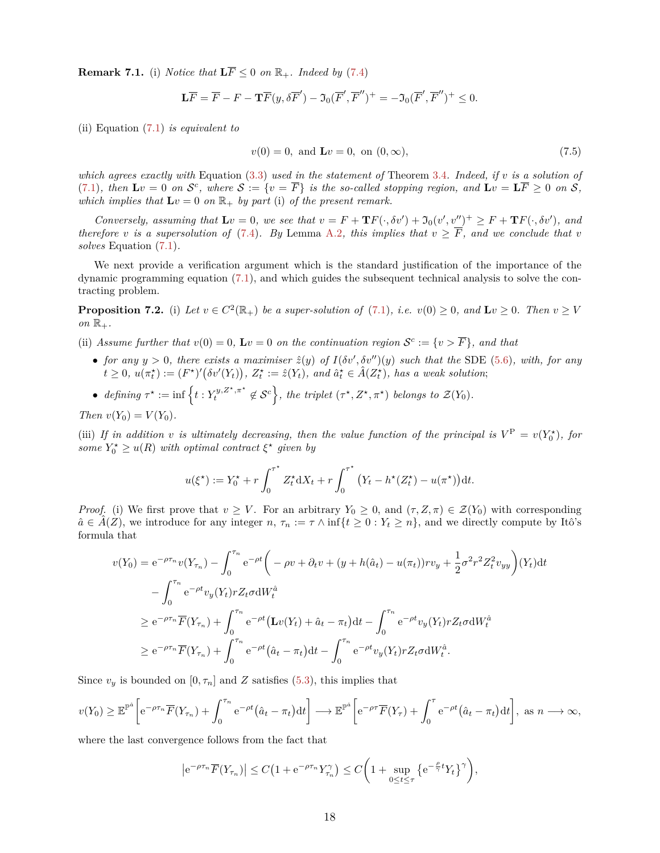**Remark 7.1.** (i) *Notice that*  $\mathbf{L} \overline{F} \leq 0$  *on*  $\mathbb{R}_+$ *. Indeed by* [\(7.4\)](#page-16-2)

$$
\mathbf{L}\overline{F} = \overline{F} - F - \mathbf{T}\overline{F}(y, \delta\overline{F}') - \mathfrak{I}_0(\overline{F}', \overline{F}'')^+ = -\mathfrak{I}_0(\overline{F}', \overline{F}'')^+ \le 0.
$$

(ii) Equation [\(7.1\)](#page-16-3) *is equivalent to*

<span id="page-17-1"></span>
$$
v(0) = 0, \text{ and } \mathbf{L}v = 0, \text{ on } (0, \infty), \tag{7.5}
$$

*which agrees exactly with* Equation [\(3.3\)](#page-9-3) *used in the statement of* Theorem [3.4](#page-8-5)*. Indeed, if v is a solution of* [\(7.1\)](#page-16-3), then  $\mathbf{L}v = 0$  on  $\mathcal{S}^c$ , where  $\mathcal{S} := \{v = \overline{F}\}\$ is the so-called stopping region, and  $\mathbf{L}v = \mathbf{L}\overline{F} \geq 0$  on  $\mathcal{S}$ , *which implies that*  $\mathbf{L}v = 0$  *on*  $\mathbb{R}_+$  *by part* (i) *of the present remark.* 

*Conversely, assuming that*  $\mathbf{L}v = 0$ *, we see that*  $v = F + \mathbf{T}F(\cdot, \delta v') + \mathfrak{I}_0(v', v'')^+ \geq F + \mathbf{T}F(\cdot, \delta v')$ *, and therefore v is a supersolution of* [\(7.4\)](#page-16-2)*. By* Lemma [A.2](#page-27-0)*, this implies that*  $v \geq \overline{F}$ *, and we conclude that v solves* Equation [\(7.1\)](#page-16-3)*.*

We next provide a verification argument which is the standard justification of the importance of the dynamic programming equation [\(7.1\)](#page-16-3), and which guides the subsequent technical analysis to solve the contracting problem.

<span id="page-17-0"></span>**Proposition 7.2.** (i) Let  $v \in C^2(\mathbb{R}_+)$  be a super-solution of [\(7.1\)](#page-16-3), i.e.  $v(0) \ge 0$ , and  $\mathbf{L}v \ge 0$ . Then  $v \ge V$  $\mathfrak{on} \mathbb{R}_+$ .

- (ii) Assume further that  $v(0) = 0$ ,  $Lv = 0$  on the continuation region  $\mathcal{S}^c := \{v > \overline{F}\}\$ , and that
	- *for any*  $y > 0$ , there exists a maximiser  $\hat{z}(y)$  of  $I(\delta v', \delta v'')(y)$  such that the SDE [\(5.6\)](#page-14-4), with, for any  $\tilde{u}(t\geq 0, u(\pi_t^*) := (F^*)'(\delta v'(Y_t)), Z_t^* := \hat{z}(Y_t), \text{ and } \hat{a}_t^* \in \hat{A}(Z_t^*), \text{ has a weak solution};$
	- defining  $\tau^* := \inf \left\{ t : Y_t^{y, Z^*, \pi^*} \notin \mathcal{S}^c \right\}$ , the triplet  $(\tau^*, Z^*, \pi^*)$  belongs to  $\mathcal{Z}(Y_0)$ .

*Then*  $v(Y_0) = V(Y_0)$ .

(iii) If in addition *v* is ultimately decreasing, then the value function of the principal is  $V^P = v(Y_0^*),$  for *some*  $Y_0^* \geq u(R)$  *with optimal contract*  $\xi^*$  *given by* 

$$
u(\xi^*) := Y_0^* + r \int_0^{\tau^*} Z_t^* dX_t + r \int_0^{\tau^*} (Y_t - h^*(Z_t^*) - u(\pi^*)) dt.
$$

*Proof.* (i) We first prove that  $v \geq V$ . For an arbitrary  $Y_0 \geq 0$ , and  $(\tau, Z, \pi) \in \mathcal{Z}(Y_0)$  with corresponding  $\hat{a} \in \hat{A}(Z)$ , we introduce for any integer *n*,  $\tau_n := \tau \wedge \inf\{t \geq 0 : Y_t \geq n\}$ , and we directly compute by Itô's formula that

$$
v(Y_0) = e^{-\rho \tau_n} v(Y_{\tau_n}) - \int_0^{\tau_n} e^{-\rho t} \left( -\rho v + \partial_t v + (y + h(\hat{a}_t) - u(\pi_t)) r v_y + \frac{1}{2} \sigma^2 r^2 Z_t^2 v_{yy} \right) (Y_t) dt
$$
  

$$
- \int_0^{\tau_n} e^{-\rho t} v_y(Y_t) r Z_t \sigma dW_t^{\hat{a}}
$$
  

$$
\geq e^{-\rho \tau_n} \overline{F}(Y_{\tau_n}) + \int_0^{\tau_n} e^{-\rho t} (\mathbf{L}v(Y_t) + \hat{a}_t - \pi_t) dt - \int_0^{\tau_n} e^{-\rho t} v_y(Y_t) r Z_t \sigma dW_t^{\hat{a}}
$$
  

$$
\geq e^{-\rho \tau_n} \overline{F}(Y_{\tau_n}) + \int_0^{\tau_n} e^{-\rho t} (\hat{a}_t - \pi_t) dt - \int_0^{\tau_n} e^{-\rho t} v_y(Y_t) r Z_t \sigma dW_t^{\hat{a}}.
$$

Since  $v_y$  is bounded on  $[0, \tau_n]$  and *Z* satisfies [\(5.3\)](#page-14-2), this implies that

$$
v(Y_0) \geq \mathbb{E}^{\mathbb{P}^{\hat{a}}} \left[ e^{-\rho \tau_n} \overline{F}(Y_{\tau_n}) + \int_0^{\tau_n} e^{-\rho t} (\hat{a}_t - \pi_t) dt \right] \longrightarrow \mathbb{E}^{\mathbb{P}^{\hat{a}}} \left[ e^{-\rho \tau} \overline{F}(Y_{\tau}) + \int_0^{\tau} e^{-\rho t} (\hat{a}_t - \pi_t) dt \right], \text{ as } n \longrightarrow \infty,
$$

where the last convergence follows from the fact that

$$
\left| e^{-\rho\tau_n} \overline{F}(Y_{\tau_n}) \right| \le C\left(1 + e^{-\rho\tau_n} Y_{\tau_n}^\gamma\right) \le C\left(1 + \sup_{0 \le t \le \tau} \left\{e^{-\frac{\rho}{\gamma}t} Y_t\right\}^\gamma\right),
$$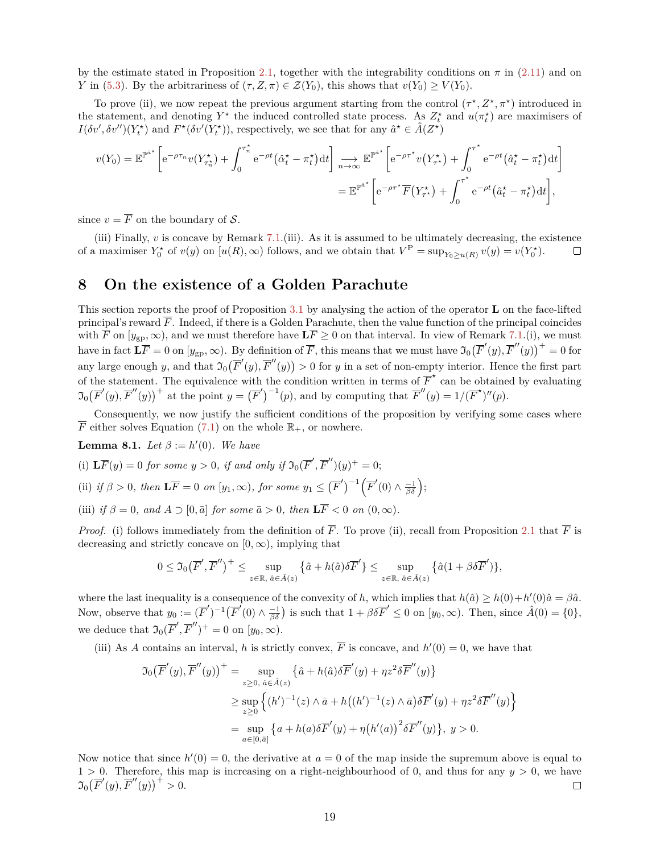by the estimate stated in Proposition [2.1,](#page-5-4) together with the integrability conditions on  $\pi$  in [\(2.11\)](#page-7-6) and on *Y* in [\(5.3\)](#page-14-2). By the arbitrariness of  $(\tau, Z, \pi) \in \mathcal{Z}(Y_0)$ , this shows that  $v(Y_0) \geq V(Y_0)$ .

To prove (ii), we now repeat the previous argument starting from the control  $(\tau^*, Z^*, \pi^*)$  introduced in the statement, and denoting  $Y^*$  the induced controlled state process. As  $Z_t^*$  and  $u(\pi_t^*)$  are maximisers of  $I(\delta v', \delta v'')(Y_t^{\star})$  and  $F^{\star}(\delta v'(Y_t^{\star}))$ , respectively, we see that for any  $\hat{a}^{\star} \in \hat{A}(Z^{\star})$ 

$$
v(Y_0) = \mathbb{E}^{\mathbb{P}^{\hat{a}^{\star}}}\left[e^{-\rho\tau_n}v(Y_{\tau_n^{\star}}^{\star}) + \int_0^{\tau_n^{\star}} e^{-\rho t}(\hat{\alpha}_t^{\star} - \pi_t^{\star})dt\right] \underset{n \to \infty}{\longrightarrow} \mathbb{E}^{\mathbb{P}^{\hat{a}^{\star}}}\left[e^{-\rho\tau^{\star}}v(Y_{\tau^{\star}}^{\star}) + \int_0^{\tau^{\star}} e^{-\rho t}(\hat{a}_t^{\star} - \pi_t^{\star})dt\right]
$$

$$
= \mathbb{E}^{\mathbb{P}^{\hat{a}^{\star}}}\left[e^{-\rho\tau^{\star}}\overline{F}(Y_{\tau^{\star}}^{\star}) + \int_0^{\tau^{\star}} e^{-\rho t}(\hat{a}_t^{\star} - \pi_t^{\star})dt\right],
$$

since  $v = \overline{F}$  on the boundary of S.

(iii) Finally,  $v$  is concave by Remark [7.1.](#page-16-4)(iii). As it is assumed to be ultimately decreasing, the existence of a maximiser  $Y_0^*$  of  $v(y)$  on  $[u(R), \infty)$  follows, and we obtain that  $V^P = \sup_{Y_0 \ge u(R)} v(y) = v(Y_0^*)$ .  $\Box$ 

## <span id="page-18-1"></span>**8 On the existence of a Golden Parachute**

This section reports the proof of Proposition [3.1](#page-7-5) by analysing the action of the operator **L** on the face-lifted principal's reward  $\overline{F}$ . Indeed, if there is a Golden Parachute, then the value function of the principal coincides with  $\hat{\overline{F}}$  on  $[y_{\text{gp}}, \infty)$ , and we must therefore have  $\overline{\text{LF}} \geq 0$  on that interval. In view of Remark [7.1.](#page-16-4)(i), we must have in fact  $\mathbf{L}\overline{F} = 0$  on  $[y_{\text{gp}}, \infty)$ . By definition of  $\overline{F}$ , this means that we must have  $\mathfrak{I}_0(\overline{F}'(y), \overline{F}''(y))^+ = 0$  for any large enough *y*, and that  $\mathfrak{I}_0(\overline{F}'(y), \overline{F}''(y)) > 0$  for *y* in a set of non-empty interior. Hence the first part of the statement. The equivalence with the condition written in terms of  $\overline{F}^*$  can be obtained by evaluating  $\mathfrak{I}_0(\overline{F}'(y), \overline{F}''(y))^+$  at the point  $y = (\overline{F}')^{-1}(p)$ , and by computing that  $\overline{F}''(y) = 1/(\overline{F}^*)''(p)$ .

Consequently, we now justify the sufficient conditions of the proposition by verifying some cases where  $\overline{F}$  either solves Equation [\(7.1\)](#page-16-3) on the whole  $\mathbb{R}_+$ , or nowhere.

<span id="page-18-0"></span>**Lemma 8.1.** *Let*  $\beta := h'(0)$ *. We have* 

- (i)  $\mathbf{L}\overline{F}(y) = 0$  *for some*  $y > 0$ *, if and only if*  $\mathfrak{I}_0(\overline{F}', \overline{F}'')(y)^+ = 0$ ;
- (ii) *if*  $\beta > 0$ *, then*  $\mathbf{L}\overline{F} = 0$  *on*  $[y_1, \infty)$ *, for some*  $y_1 \leq (\overline{F}')^{-1} (\overline{F}'(0) \wedge \frac{-1}{\beta \delta});$
- (iii) *if*  $\beta = 0$ *, and*  $A \supset [0, \bar{a}]$  *for some*  $\bar{a} > 0$ *, then*  $\mathbf{L} \overline{F} < 0$  *on*  $(0, \infty)$ *.*

*Proof.* (i) follows immediately from the definition of  $\overline{F}$ . To prove (ii), recall from Proposition [2.1](#page-5-4) that  $\overline{F}$  is decreasing and strictly concave on  $[0, \infty)$ , implying that

$$
0\leq \mathfrak{I}_0\big(\overline{F}',\overline{F}''\big)^+\leq \sup_{z\in\mathbb{R},\;\hat{a}\in \hat{A}(z)}\big\{\hat{a}+ h(\hat{a})\delta \overline{F}'\big\}\leq \sup_{z\in\mathbb{R},\;\hat{a}\in \hat{A}(z)}\big\{\hat{a}(1+\beta \delta \overline{F}')\big\},
$$

where the last inequality is a consequence of the convexity of *h*, which implies that  $h(\hat{a}) \geq h(0) + h'(0)\hat{a} = \beta \hat{a}$ . Now, observe that  $y_0 := (\overline{F}')^{-1}(\overline{F}'(0) \wedge \frac{-1}{\beta \delta})$  is such that  $1 + \beta \delta \overline{F}' \le 0$  on  $[y_0, \infty)$ . Then, since  $\hat{A}(0) = \{0\}$ , we deduce that  $\mathfrak{I}_0(\overline{F}', \overline{F}'')^+ = 0$  on  $[y_0, \infty)$ .

(iii) As *A* contains an interval, *h* is strictly convex,  $\overline{F}$  is concave, and  $h'(0) = 0$ , we have that

$$
\mathfrak{I}_0(\overline{F}'(y), \overline{F}''(y))^+ = \sup_{z \ge 0, \ \hat{a} \in \hat{A}(z)} \{\hat{a} + h(\hat{a})\delta \overline{F}'(y) + \eta z^2 \delta \overline{F}''(y)\}
$$
  
\n
$$
\ge \sup_{z \ge 0} \left\{ (h')^{-1}(z) \wedge \overline{a} + h((h')^{-1}(z) \wedge \overline{a})\delta \overline{F}'(y) + \eta z^2 \delta \overline{F}''(y) \right\}
$$
  
\n
$$
= \sup_{a \in [0, \overline{a}]} \{a + h(a)\delta \overline{F}'(y) + \eta (h'(a))^2 \delta \overline{F}''(y)\}, y > 0.
$$

Now notice that since  $h'(0) = 0$ , the derivative at  $a = 0$  of the map inside the supremum above is equal to  $1 > 0$ . Therefore, this map is increasing on a right-neighbourhood of 0, and thus for any  $y > 0$ , we have  $\Im_{0}(\overline{F}'(y), \overline{F}''(y))^{+} > 0.$  $\Box$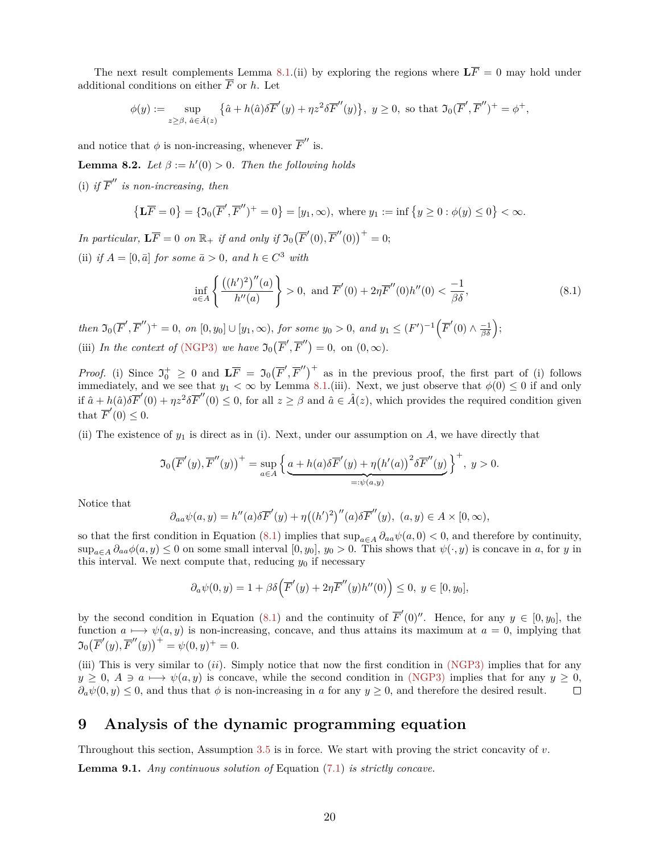The next result complements Lemma [8.1.](#page-18-0)(ii) by exploring the regions where  $\mathbf{L}\overline{F} = 0$  may hold under additional conditions on either  $\overline{F}$  or  $h$ . Let

$$
\phi(y) := \sup_{z \geq \beta, \ \hat{a} \in \hat{A}(z)} \left\{ \hat{a} + h(\hat{a}) \delta \overline{F}'(y) + \eta z^2 \delta \overline{F}''(y) \right\}, \ y \geq 0, \text{ so that } \Im_0(\overline{F}', \overline{F}'')^+ = \phi^+,
$$

and notice that  $\phi$  is non-increasing, whenever  $\overline{F}''$  is.

**Lemma 8.2.** *Let*  $\beta := h'(0) > 0$ *. Then the following holds* 

(i) if  $\overline{F}''$  is non-increasing, then

$$
\{\mathbf{L}\overline{F} = 0\} = \{\mathfrak{I}_0(\overline{F}', \overline{F}'')^+ = 0\} = [y_1, \infty), \text{ where } y_1 := \inf\{y \ge 0 : \phi(y) \le 0\} < \infty.
$$

*In particular,*  $\mathbf{L}\overline{F} = 0$  *on*  $\mathbb{R}_+$  *if and only if*  $\mathfrak{I}_0(\overline{F}'(0), \overline{F}'(0))^+ = 0$ ; (ii) *if*  $A = [0, \bar{a}]$  *for some*  $\bar{a} > 0$ *, and*  $h \in C^3$  *with* 

<span id="page-19-1"></span>
$$
\inf_{a \in A} \left\{ \frac{((h')^2)''(a)}{h''(a)} \right\} > 0, \text{ and } \overline{F}'(0) + 2\eta \overline{F}''(0)h''(0) < \frac{-1}{\beta \delta}, \tag{8.1}
$$

then  $\mathfrak{I}_0(\overline{F}', \overline{F}'')^+ = 0$ , on  $[0, y_0] \cup [y_1, \infty)$ , for some  $y_0 > 0$ , and  $y_1 \leq (F')^{-1} (\overline{F}'(0) \wedge \frac{-1}{\beta \delta});$ (iii) *In the context of* [\(NGP3\)](#page-8-2) *we have*  $\mathfrak{I}_0(\overline{F}', \overline{F}'') = 0$ , on  $(0, \infty)$ *.* 

*Proof.* (i) Since  $\mathfrak{I}_{0}^{+} \geq 0$  and  $\mathbf{L}\overline{F} = \mathfrak{I}_{0}(\overline{F}', \overline{F}'')^{+}$  as in the previous proof, the first part of (i) follows immediately, and we see that  $y_1 < \infty$  by Lemma [8.1.](#page-18-0)(iii). Next, we just observe that  $\phi(0) \leq 0$  if and only if  $\hat{a} + h(\hat{a})\delta \overline{F}'(0) + \eta z^2 \delta \overline{F}''(0) \leq 0$ , for all  $z \geq \beta$  and  $\hat{a} \in \hat{A}(z)$ , which provides the required condition given that  $\overline{F}'(0) \leq 0$ .

(ii) The existence of  $y_1$  is direct as in (i). Next, under our assumption on  $A$ , we have directly that

$$
\mathfrak{I}_0(\overline{F}'(y), \overline{F}''(y))^+ = \sup_{a \in A} \left\{ \underbrace{a + h(a) \delta \overline{F}'(y) + \eta (h'(a))^2 \delta \overline{F}''(y)}_{=: \psi(a,y)} \right\}^+, \ y > 0.
$$

Notice that

$$
\partial_{aa}\psi(a,y) = h''(a)\delta \overline{F}'(y) + \eta((h')^2)''(a)\delta \overline{F}''(y), \ (a,y) \in A \times [0,\infty),
$$

so that the first condition in Equation [\(8.1\)](#page-19-1) implies that  $\sup_{a \in A} \partial_{aa} \psi(a, 0) < 0$ , and therefore by continuity,  $\sup_{a \in A} \partial_{aa} \phi(a, y) \leq 0$  on some small interval  $[0, y_0], y_0 > 0$ . This shows that  $\psi(\cdot, y)$  is concave in *a*, for *y* in this interval. We next compute that, reducing  $y_0$  if necessary

$$
\partial_a \psi(0,y) = 1 + \beta \delta \Big( \overline F'(y) + 2\eta \overline F''(y) h''(0) \Big) \le 0, \ y \in [0,y_0],
$$

by the second condition in Equation [\(8.1\)](#page-19-1) and the continuity of  $\overline{F}'(0)$ ". Hence, for any  $y \in [0, y_0]$ , the function  $a \mapsto \psi(a, y)$  is non-increasing, concave, and thus attains its maximum at  $a = 0$ , implying that  $\mathfrak{I}_0(\overline{F}'(y), \overline{F}''(y))^+ = \psi(0, y)^+ = 0.$ 

(iii) This is very similar to (*ii*). Simply notice that now the first condition in [\(NGP3\)](#page-8-2) implies that for any  $y \geq 0$ ,  $A \ni a \longmapsto \psi(a, y)$  is concave, while the second condition in [\(NGP3\)](#page-8-2) implies that for any  $y \geq 0$ ,  $\partial_a \psi(0, y) \leq 0$ , and thus that  $\phi$  is non-increasing in *a* for any  $y \geq 0$ , and therefore the desired result.  $\Box$ 

## <span id="page-19-0"></span>**9 Analysis of the dynamic programming equation**

Throughout this section, Assumption [3.5](#page-9-2) is in force. We start with proving the strict concavity of *v*.

<span id="page-19-2"></span>**Lemma 9.1.** *Any continuous solution of* Equation [\(7.1\)](#page-16-3) *is strictly concave.*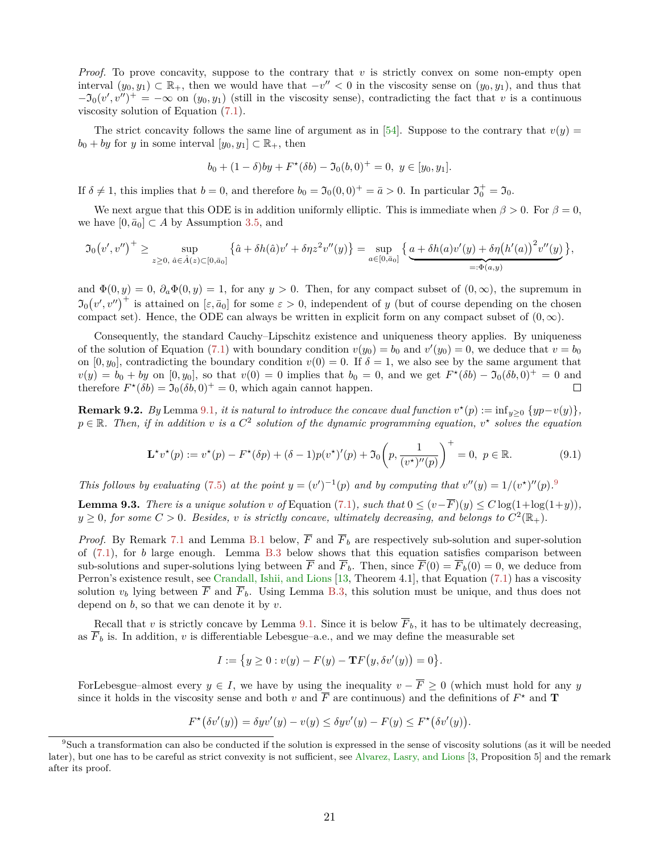*Proof.* To prove concavity, suppose to the contrary that *v* is strictly convex on some non-empty open interval  $(y_0, y_1)$  ⊂  $\mathbb{R}_+$ , then we would have that  $-v'' < 0$  in the viscosity sense on  $(y_0, y_1)$ , and thus that  $-\mathfrak{I}_0(v',v'')^+=-\infty$  on  $(y_0, y_1)$  (still in the viscosity sense), contradicting the fact that *v* is a continuous viscosity solution of Equation [\(7.1\)](#page-16-3).

The strict concavity follows the same line of argument as in [\[54\]](#page-37-0). Suppose to the contrary that  $v(y) =$  $b_0 + by$  for *y* in some interval  $[y_0, y_1] \subset \mathbb{R}_+$ , then

$$
b_0 + (1 - \delta)by + F^{\star}(\delta b) - \mathfrak{I}_0(b, 0)^{+} = 0, \ y \in [y_0, y_1].
$$

If  $\delta \neq 1$ , this implies that  $b = 0$ , and therefore  $b_0 = \mathfrak{I}_0(0,0)^+ = \bar{a} > 0$ . In particular  $\mathfrak{I}_0^+ = \mathfrak{I}_0$ .

We next argue that this ODE is in addition uniformly elliptic. This is immediate when  $\beta > 0$ . For  $\beta = 0$ , we have  $[0, \bar{a}_0] \subset A$  by Assumption [3.5,](#page-9-2) and

$$
\mathfrak{I}_0(v',v'')^+ \geq \sup_{z \geq 0, \ \hat{a} \in \hat{A}(z) \subset [0,\bar{a}_0]} \left\{ \hat{a} + \delta h(\hat{a})v' + \delta \eta z^2 v''(y) \right\} = \sup_{a \in [0,\bar{a}_0]} \left\{ \underbrace{a + \delta h(a)v'(y) + \delta \eta \big(h'(a)\big)^2 v''(y)}_{=: \Phi(a,y)} \right\},
$$

and  $\Phi(0, y) = 0$ ,  $\partial_a \Phi(0, y) = 1$ , for any *y* > 0. Then, for any compact subset of  $(0, \infty)$ , the supremum in  $\mathfrak{I}_0(v',v'')^+$  is attained on  $[\varepsilon,\bar{a}_0]$  for some  $\varepsilon > 0$ , independent of *y* (but of course depending on the chosen compact set). Hence, the ODE can always be written in explicit form on any compact subset of  $(0, \infty)$ .

Consequently, the standard Cauchy–Lipschitz existence and uniqueness theory applies. By uniqueness of the solution of Equation [\(7.1\)](#page-16-3) with boundary condition  $v(y_0) = b_0$  and  $v'(y_0) = 0$ , we deduce that  $v = b_0$ on  $[0, y_0]$ , contradicting the boundary condition  $v(0) = 0$ . If  $\delta = 1$ , we also see by the same argument that  $v(y) = b_0 + by$  on  $[0, y_0]$ , so that  $v(0) = 0$  implies that  $b_0 = 0$ , and we get  $F^{\star}(\delta b) - \mathfrak{I}_0(\delta b, 0)^{+} = 0$  and therefore  $F^*(\delta b) = \mathfrak{I}_0(\delta b, 0)^+ = 0$ , which again cannot happen.  $\Box$ 

<span id="page-20-2"></span>**Remark 9.2.** *By* Lemma [9.1](#page-19-2)*, it is natural to introduce the concave dual function*  $v^*(p) := \inf_{y \geq 0} \{yp - v(y)\},\$  $p \in \mathbb{R}$ . Then, if in addition *v* is a  $C^2$  solution of the dynamic programming equation,  $v^*$  solves the equation

<span id="page-20-3"></span>
$$
\mathbf{L}^{\star}v^{\star}(p) := v^{\star}(p) - F^{\star}(\delta p) + (\delta - 1)p(v^{\star})'(p) + \mathfrak{I}_0\left(p, \frac{1}{(v^{\star})''(p)}\right)^{+} = 0, \ p \in \mathbb{R}.
$$
 (9.1)

*This follows by evaluating* [\(7.5\)](#page-17-1) *at the point*  $y = (v')^{-1}(p)$  *and by computing that*  $v''(y) = 1/(v^*)''(p)$ .<sup>[9](#page-20-0)</sup>

<span id="page-20-1"></span>**Lemma 9.3.** *There is a unique solution v of* Equation [\(7.1\)](#page-16-3)*, such that*  $0 \leq (v - \overline{F})(y) \leq C \log(1 + \log(1 + y))$ *,*  $y \geq 0$ , for some  $C > 0$ . Besides, *v* is strictly concave, ultimately decreasing, and belongs to  $C^2(\mathbb{R}_+)$ .

*Proof.* By Remark [7.1](#page-16-4) and Lemma [B.1](#page-29-0) below,  $\overline{F}$  and  $\overline{F}_b$  are respectively sub-solution and super-solution of [\(7.1\)](#page-16-3), for *b* large enough. Lemma [B.3](#page-32-0) below shows that this equation satisfies comparison between sub-solutions and super-solutions lying between  $\overline{F}$  and  $\overline{F}_b$ . Then, since  $\overline{F}(0) = \overline{F}_b(0) = 0$ , we deduce from Perron's existence result, see [Crandall, Ishii, and Lions](#page-35-18) [\[13,](#page-35-18) Theorem 4.1], that Equation [\(7.1\)](#page-16-3) has a viscosity solution  $v_b$  lying between  $\overline{F}$  and  $\overline{F}_b$ . Using Lemma [B.3,](#page-32-0) this solution must be unique, and thus does not depend on *b*, so that we can denote it by *v*.

Recall that *v* is strictly concave by Lemma [9.1.](#page-19-2) Since it is below  $\overline{F}_b$ , it has to be ultimately decreasing, as  $F_b$  is. In addition,  $v$  is differentiable Lebesgue–a.e., and we may define the measurable set

$$
I := \{ y \ge 0 : v(y) - F(y) - \mathbf{Tr}(y, \delta v'(y)) = 0 \}.
$$

ForLebesgue–almost every  $y \in I$ , we have by using the inequality  $v - \overline{F} \geq 0$  (which must hold for any *y* since it holds in the viscosity sense and both *v* and  $\overline{F}$  are continuous) and the definitions of  $F^*$  and **T** 

$$
F^{\star}(\delta v'(y)) = \delta yv'(y) - v(y) \le \delta yv'(y) - F(y) \le F^{\star}(\delta v'(y)).
$$

<span id="page-20-0"></span> ${}^{9}$ Such a transformation can also be conducted if the solution is expressed in the sense of viscosity solutions (as it will be needed later), but one has to be careful as strict convexity is not sufficient, see [Alvarez, Lasry, and Lions](#page-34-1) [\[3,](#page-34-1) Proposition 5] and the remark after its proof.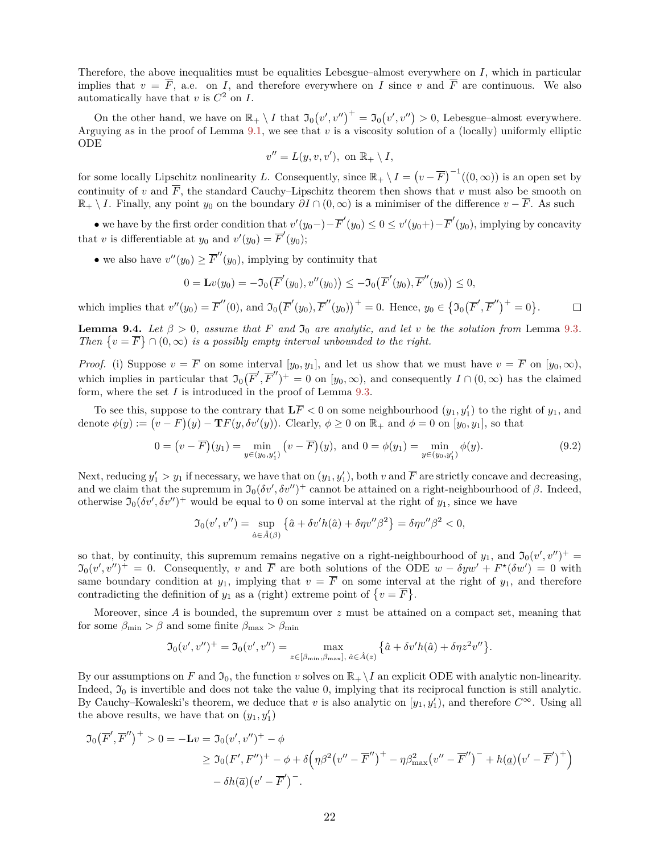Therefore, the above inequalities must be equalities Lebesgue–almost everywhere on *I*, which in particular implies that  $v = \overline{F}$ , a.e. on *I*, and therefore everywhere on *I* since *v* and  $\overline{F}$  are continuous. We also automatically have that  $v$  is  $C^2$  on  $I$ .

On the other hand, we have on  $\mathbb{R}_+ \setminus I$  that  $\mathfrak{I}_0(v',v'')^+ = \mathfrak{I}_0(v',v'') > 0$ , Lebesgue–almost everywhere. Arguying as in the proof of Lemma  $9.1$ , we see that  $v$  is a viscosity solution of a (locally) uniformly elliptic ODE

$$
v'' = L(y, v, v'), \text{ on } \mathbb{R}_+ \setminus I,
$$

for some locally Lipschitz nonlinearity L. Consequently, since  $\mathbb{R}_+ \setminus I = (v - \overline{F})^{-1}((0, \infty))$  is an open set by continuity of *v* and  $\overline{F}$ , the standard Cauchy–Lipschitz theorem then shows that *v* must also be smooth on  $\mathbb{R}_+ \setminus I$ . Finally, any point *y*<sub>0</sub> on the boundary  $\partial I \cap (0, \infty)$  is a minimiser of the difference  $v - \overline{F}$ . As such

• we have by the first order condition that  $v'(y_0-) - \overline{F}'(y_0) \leq 0 \leq v'(y_0+) - \overline{F}'(y_0)$ , implying by concavity that *v* is differentiable at  $y_0$  and  $v'(y_0) = \overline{F}'(y_0);$ 

• we also have  $v''(y_0) \geq \overline{F}''(y_0)$ , implying by continuity that

$$
0 = \mathbf{L}v(y_0) = -\mathfrak{I}_0(\overline{F}'(y_0), v''(y_0)) \le -\mathfrak{I}_0(\overline{F}'(y_0), \overline{F}''(y_0)) \le 0,
$$

which implies that  $v''(y_0) = \overline{F}''(0)$ , and  $\mathfrak{I}_0(\overline{F}'(y_0), \overline{F}''(y_0))^+ = 0$ . Hence,  $y_0 \in {\mathfrak{I}_0(\overline{F}', \overline{F}'')^+ = 0}$ .  $\Box$ 

**Lemma 9.4.** *Let*  $\beta > 0$ , assume that *F* and  $\mathfrak{I}_0$  are analytic, and let *v* be the solution from Lemma [9.3](#page-20-1). *Then*  $\{v = \overline{F}\} \cap (0, \infty)$  *is a possibly empty interval unbounded to the right.* 

*Proof.* (i) Suppose  $v = \overline{F}$  on some interval  $[y_0, y_1]$ , and let us show that we must have  $v = \overline{F}$  on  $[y_0, \infty)$ , which implies in particular that  $\mathfrak{I}_0(\overline{F}', \overline{F}'')^+ = 0$  on  $[y_0, \infty)$ , and consequently  $I \cap (0, \infty)$  has the claimed form, where the set *I* is introduced in the proof of Lemma [9.3.](#page-20-1)

To see this, suppose to the contrary that  $L\overline{F} < 0$  on some neighbourhood  $(y_1, y_1')$  to the right of  $y_1$ , and denote  $\phi(y) := (v - F)(y) - \mathbf{T}F(y, \delta v'(y))$ . Clearly,  $\phi \geq 0$  on  $\mathbb{R}_+$  and  $\phi = 0$  on  $[y_0, y_1]$ , so that

<span id="page-21-0"></span>
$$
0 = (v - \overline{F})(y_1) = \min_{y \in (y_0, y_1')} (v - \overline{F})(y), \text{ and } 0 = \phi(y_1) = \min_{y \in (y_0, y_1')} \phi(y).
$$
 (9.2)

Next, reducing  $y'_1 > y_1$  if necessary, we have that on  $(y_1, y'_1)$ , both  $v$  and  $\overline{F}$  are strictly concave and decreasing, and we claim that the supremum in  $\mathfrak{I}_0(\delta v', \delta v'')^+$  cannot be attained on a right-neighbourhood of  $\beta$ . Indeed, otherwise  $\mathfrak{I}_0(\delta v', \delta v'')^+$  would be equal to 0 on some interval at the right of  $y_1$ , since we have

$$
\mathfrak{I}_0(v',v'') = \sup_{\hat{a}\in \hat{A}(\beta)} \left\{ \hat{a} + \delta v' h(\hat{a}) + \delta \eta v'' \beta^2 \right\} = \delta \eta v'' \beta^2 < 0,
$$

so that, by continuity, this supremum remains negative on a right-neighbourhood of  $y_1$ , and  $\mathfrak{I}_0(v', v'')^+$  $\mathfrak{I}_0(v',v'')^+=0$ . Consequently, *v* and  $\overline{F}$  are both solutions of the ODE  $w - \delta yw' + F^{\star}(\delta w') = 0$  with same boundary condition at  $y_1$ , implying that  $v = \overline{F}$  on some interval at the right of  $y_1$ , and therefore contradicting the definition of  $y_1$  as a (right) extreme point of  $\{v = \overline{F}\}.$ 

Moreover, since *A* is bounded, the supremum over *z* must be attained on a compact set, meaning that for some  $\beta_{\min} > \beta$  and some finite  $\beta_{\max} > \beta_{\min}$ 

$$
\mathfrak{I}_0(v',v'')^+=\mathfrak{I}_0(v',v'')=\max_{z\in[\beta_{\min},\beta_{\max}],\ \hat{a}\in\hat{A}(z)}\left\{\hat{a}+\delta v'h(\hat{a})+\delta\eta z^2v''\right\}.
$$

By our assumptions on *F* and  $\mathfrak{I}_0$ , the function *v* solves on  $\mathbb{R}_+ \setminus I$  an explicit ODE with analytic non-linearity. Indeed,  $\mathfrak{I}_0$  is invertible and does not take the value 0, implying that its reciprocal function is still analytic. By Cauchy–Kowaleski's theorem, we deduce that *v* is also analytic on  $[y_1, y'_1)$ , and therefore  $C^{\infty}$ . Using all the above results, we have that on  $(y_1, y_1')$ 

$$
\mathfrak{I}_0(\overline{F}', \overline{F}'')^+ > 0 = -\mathbf{L}v = \mathfrak{I}_0(v', v'')^+ - \phi
$$
  
\n
$$
\geq \mathfrak{I}_0(F', F'')^+ - \phi + \delta \Big(\eta \beta^2 (v'' - \overline{F}')^+ - \eta \beta_{\max}^2 (v'' - \overline{F}'')^- + h(\underline{a})(v' - \overline{F}')^+\Big)
$$
  
\n
$$
- \delta h(\overline{a})(v' - \overline{F}')^-.
$$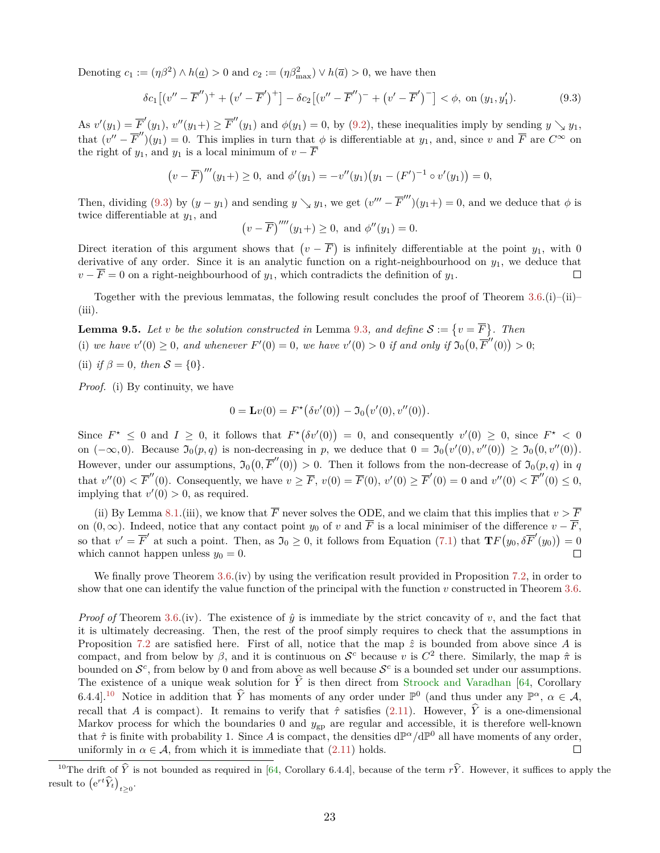Denoting  $c_1 := (\eta \beta^2) \wedge h(\underline{a}) > 0$  and  $c_2 := (\eta \beta_{\text{max}}^2) \vee h(\overline{a}) > 0$ , we have then

<span id="page-22-0"></span>
$$
\delta c_1 \left[ (v'' - \overline{F}'')^+ + (v' - \overline{F}')^+ \right] - \delta c_2 \left[ (v'' - \overline{F}'')^- + (v' - \overline{F}')^- \right] < \phi, \text{ on } (y_1, y_1'). \tag{9.3}
$$

As  $v'(y_1) = \overline{F}'(y_1)$ ,  $v''(y_1+) \ge \overline{F}''(y_1)$  and  $\phi(y_1) = 0$ , by [\(9.2\)](#page-21-0), these inequalities imply by sending  $y \searrow y_1$ , that  $(v'' - \overline{F}'')(y_1) = 0$ . This implies in turn that  $\phi$  is differentiable at  $y_1$ , and, since *v* and  $\overline{F}$  are  $C^{\infty}$  on the right of  $y_1$ , and  $y_1$  is a local minimum of  $v - \overline{F}$ 

$$
(v - \overline{F})'''(y_1+) \ge 0
$$
, and  $\phi'(y_1) = -v''(y_1)(y_1 - (F')^{-1} \circ v'(y_1)) = 0$ ,

Then, dividing [\(9.3\)](#page-22-0) by  $(y - y_1)$  and sending  $y \searrow y_1$ , we get  $(v''' - \overline{F}''')(y_1+) = 0$ , and we deduce that  $\phi$  is twice differentiable at  $y_1$ , and

$$
(v - \overline{F})^{\prime\prime\prime\prime}(y_1+) \ge 0
$$
, and  $\phi^{\prime\prime}(y_1) = 0$ .

Direct iteration of this argument shows that  $(v - \overline{F})$  is infinitely differentiable at the point *y*<sub>1</sub>, with 0 derivative of any order. Since it is an analytic function on a right-neighbourhood on *y*1, we deduce that  $v - \overline{F} = 0$  on a right-neighbourhood of  $y_1$ , which contradicts the definition of  $y_1$ .  $\Box$ 

Together with the previous lemmatas, the following result concludes the proof of Theorem  $3.6$ .(i)–(ii)–  $(iii)$ .

**Lemma 9.5.** Let *v* be the solution constructed in Lemma [9.3](#page-20-1), and define  $S := \{v = \overline{F}\}\$ . Then (i) we have  $v'(0) \ge 0$ , and whenever  $F'(0) = 0$ , we have  $v'(0) > 0$  if and only if  $\mathfrak{I}_0(0, \overline{F}'(0)) > 0$ ; (ii) *if*  $\beta = 0$ *, then*  $S = \{0\}$ *.* 

*Proof.* (i) By continuity, we have

$$
0 = \mathbf{L}v(0) = F^{\star}(\delta v'(0)) - \mathfrak{I}_0(v'(0), v''(0)).
$$

Since  $F^* \leq 0$  and  $I \geq 0$ , it follows that  $F^*(\delta v'(0)) = 0$ , and consequently  $v'(0) \geq 0$ , since  $F^* < 0$ on  $(-\infty, 0)$ . Because  $\mathfrak{I}_0(p, q)$  is non-decreasing in p, we deduce that  $0 = \mathfrak{I}_0(v'(0), v''(0)) \geq \mathfrak{I}_0(0, v''(0))$ . However, under our assumptions,  $\mathfrak{I}_0(0, \overline{F}'(0)) > 0$ . Then it follows from the non-decrease of  $\mathfrak{I}_0(p,q)$  in q that  $v''(0) < \overline{F}''(0)$ . Consequently, we have  $v \geq \overline{F}$ ,  $v(0) = \overline{F}(0)$ ,  $v'(0) \geq \overline{F}'(0) = 0$  and  $v''(0) < \overline{F}''(0) \leq 0$ , implying that  $v'(0) > 0$ , as required.

(ii) By Lemma [8.1.](#page-18-0)(iii), we know that  $\overline{F}$  never solves the ODE, and we claim that this implies that  $v > \overline{F}$ on  $(0, \infty)$ . Indeed, notice that any contact point *y*<sub>0</sub> of *v* and  $\overline{F}$  is a local minimiser of the difference  $v - \overline{F}$ , so that  $v' = \overline{F}'$  at such a point. Then, as  $\overline{\mathcal{I}}_0 \geq 0$ , it follows from Equation [\(7.1\)](#page-16-3) that  $\mathbf{Tr}(y_0, \delta \overline{F}'(y_0)) = 0$ which cannot happen unless  $y_0 = 0$ .  $\Box$ 

We finally prove Theorem [3.6.](#page-9-0)(iv) by using the verification result provided in Proposition [7.2,](#page-17-0) in order to show that one can identify the value function of the principal with the function *v* constructed in Theorem [3.6.](#page-9-0)

*Proof of* Theorem [3.6.](#page-9-0)(iv). The existence of  $\hat{y}$  is immediate by the strict concavity of v, and the fact that it is ultimately decreasing. Then, the rest of the proof simply requires to check that the assumptions in Proposition [7.2](#page-17-0) are satisfied here. First of all, notice that the map  $\hat{z}$  is bounded from above since A is compact, and from below by  $\beta$ , and it is continuous on  $\mathcal{S}^c$  because *v* is  $C^2$  there. Similarly, the map  $\hat{\pi}$  is bounded on  $\mathcal{S}^c$ , from below by 0 and from above as well because  $\mathcal{S}^c$  is a bounded set under our assumptions. The existence of a unique weak solution for  $\hat{Y}$  is then direct from [Stroock and Varadhan](#page-38-11) [\[64,](#page-38-11) Corollary 6.4.4.<sup>[10](#page-22-1)</sup> Notice in addition that  $\hat{Y}$  has moments of any order under  $\mathbb{P}^0$  (and thus under any  $\mathbb{P}^{\alpha}$ ,  $\alpha \in \mathcal{A}$ , recall that *A* is compact). It remains to verify that  $\hat{\tau}$  satisfies [\(2.11\)](#page-7-6). However,  $\hat{Y}$  is a one-dimensional Markov process for which the boundaries 0 and  $y_{\text{gp}}$  are regular and accessible, it is therefore well-known that  $\hat{\tau}$  is finite with probability 1. Since A is compact, the densities  $d\mathbb{P}^{\alpha}/d\mathbb{P}^0$  all have moments of any order, uniformly in  $\alpha \in \mathcal{A}$ , from which it is immediate that  $(2.11)$  holds.  $\Box$ 

<span id="page-22-1"></span><sup>&</sup>lt;sup>10</sup>The drift of  $\hat{Y}$  is not bounded as required in [\[64,](#page-38-11) Corollary 6.4.4], because of the term  $r\hat{Y}$ . However, it suffices to apply the result to  $(e^{rt}\widehat{Y}_t)_{t\geq 0}$ .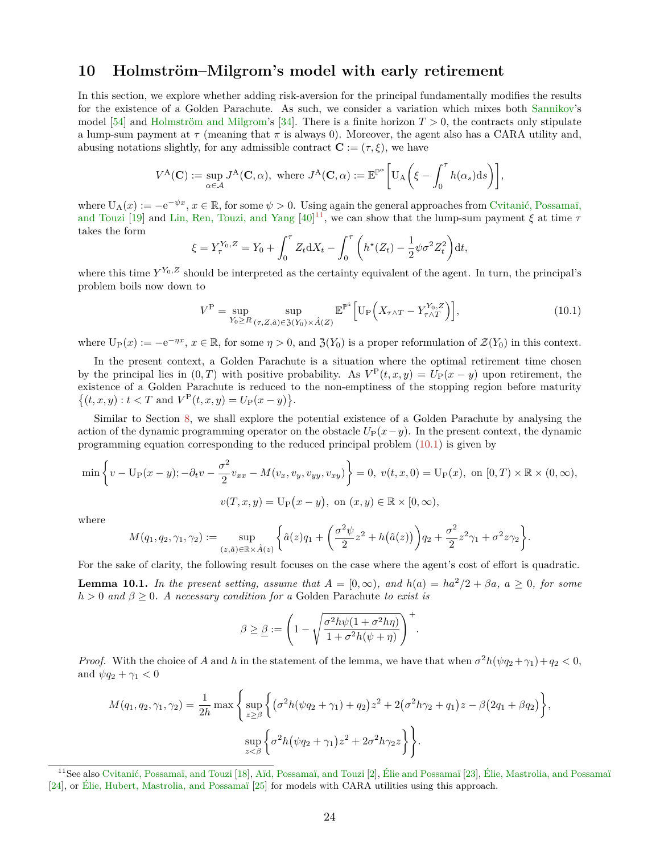### <span id="page-23-0"></span>**10 Holmström–Milgrom's model with early retirement**

In this section, we explore whether adding risk-aversion for the principal fundamentally modifies the results for the existence of a Golden Parachute. As such, we consider a variation which mixes both [Sannikov'](#page-37-0)s model [\[54\]](#page-37-0) and [Holmström and Milgrom'](#page-36-0)s [\[34\]](#page-36-0). There is a finite horizon  $T > 0$ , the contracts only stipulate a lump-sum payment at  $\tau$  (meaning that  $\pi$  is always 0). Moreover, the agent also has a CARA utility and, abusing notations slightly, for any admissible contract  $\mathbf{C} := (\tau, \xi)$ , we have

$$
V^{\mathcal{A}}(\mathbf{C}) := \sup_{\alpha \in \mathcal{A}} J^{\mathcal{A}}(\mathbf{C}, \alpha), \text{ where } J^{\mathcal{A}}(\mathbf{C}, \alpha) := \mathbb{E}^{\mathbb{P}^{\alpha}} \bigg[ U_{\mathcal{A}} \bigg( \xi - \int_0^{\tau} h(\alpha_s) \mathrm{d}s \bigg) \bigg],
$$

where  $U_A(x) := -e^{-\psi x}, x \in \mathbb{R}$ , for some  $\psi > 0$ . Using again the general approaches from [Cvitanić, Possamaï,](#page-35-13) [and Touzi](#page-35-13) [\[19\]](#page-35-13) and [Lin, Ren, Touzi, and Yang](#page-36-13)  $[40]^{11}$  $[40]^{11}$  $[40]^{11}$  $[40]^{11}$ , we can show that the lump-sum payment  $\xi$  at time  $\tau$ takes the form

$$
\xi = Y_{\tau}^{Y_0, Z} = Y_0 + \int_0^{\tau} Z_t dX_t - \int_0^{\tau} \left( h^*(Z_t) - \frac{1}{2} \psi \sigma^2 Z_t^2 \right) dt,
$$

where this time  $Y^{Y_0,Z}$  should be interpreted as the certainty equivalent of the agent. In turn, the principal's problem boils now down to

<span id="page-23-2"></span>
$$
V^{\mathcal{P}} = \sup_{Y_0 \ge R} \sup_{(\tau, Z, \hat{a}) \in \mathfrak{Z}(Y_0) \times \hat{A}(Z)} \mathbb{E}^{\mathbb{P}^{\hat{a}}} \Big[ \mathcal{U}_{\mathcal{P}} \Big( X_{\tau \wedge T} - Y_{\tau \wedge T}^{Y_0, Z} \Big) \Big],\tag{10.1}
$$

where  $U_P(x) := -e^{-\eta x}, x \in \mathbb{R}$ , for some  $\eta > 0$ , and  $\mathfrak{Z}(Y_0)$  is a proper reformulation of  $\mathcal{Z}(Y_0)$  in this context.

In the present context, a Golden Parachute is a situation where the optimal retirement time chosen by the principal lies in  $(0, T)$  with positive probability. As  $V^{\text{P}}(t, x, y) = U_{\text{P}}(x - y)$  upon retirement, the existence of a Golden Parachute is reduced to the non-emptiness of the stopping region before maturity  $\{(t, x, y) : t < T \text{ and } V^{\text{P}}(t, x, y) = U_{\text{P}}(x - y)\}.$ 

Similar to Section [8,](#page-18-1) we shall explore the potential existence of a Golden Parachute by analysing the action of the dynamic programming operator on the obstacle  $U_P(x-y)$ . In the present context, the dynamic programming equation corresponding to the reduced principal problem [\(10.1\)](#page-23-2) is given by

$$
\min\left\{v - \mathcal{U}_{\mathcal{P}}(x - y); -\partial_t v - \frac{\sigma^2}{2}v_{xx} - M(v_x, v_y, v_{yy}, v_{xy})\right\} = 0, v(t, x, 0) = \mathcal{U}_{\mathcal{P}}(x), \text{ on } [0, T) \times \mathbb{R} \times (0, \infty),
$$

$$
v(T, x, y) = \mathcal{U}_{\mathcal{P}}(x - y), \text{ on } (x, y) \in \mathbb{R} \times [0, \infty),
$$

where

$$
M(q_1,q_2,\gamma_1,\gamma_2):=\sup_{(z,\hat{a})\in\mathbb{R}\times\hat{A}(z)}\left\{\hat{a}(z)q_1+\left(\frac{\sigma^2\psi}{2}z^2+h\big(\hat{a}(z)\big)\right)q_2+\frac{\sigma^2}{2}z^2\gamma_1+\sigma^2z\gamma_2\right\}.
$$

For the sake of clarity, the following result focuses on the case where the agent's cost of effort is quadratic.

**Lemma 10.1.** *In the present setting, assume that*  $A = [0, \infty)$ *, and*  $h(a) = ha^2/2 + \beta a$ *,*  $a \ge 0$ *, for some*  $h > 0$  *and*  $\beta \geq 0$ *. A necessary condition for a* Golden Parachute *to exist is* 

$$
\beta \geq \underline{\beta} := \left(1 - \sqrt{\frac{\sigma^2 h \psi (1 + \sigma^2 h \eta)}{1 + \sigma^2 h(\psi + \eta)}}\right)^+
$$

*.*

*Proof.* With the choice of *A* and *h* in the statement of the lemma, we have that when  $\sigma^2 h(\psi q_2 + \gamma_1) + q_2 < 0$ , and  $\psi q_2 + \gamma_1 < 0$ 

$$
M(q_1, q_2, \gamma_1, \gamma_2) = \frac{1}{2h} \max \left\{ \sup_{z \ge \beta} \left\{ (\sigma^2 h(\psi q_2 + \gamma_1) + q_2) z^2 + 2(\sigma^2 h \gamma_2 + q_1) z - \beta (2q_1 + \beta q_2) \right\}, \sup_{z \prec \beta} \left\{ \sigma^2 h(\psi q_2 + \gamma_1) z^2 + 2\sigma^2 h \gamma_2 z \right\} \right\}.
$$

<span id="page-23-1"></span><sup>11</sup>See also [Cvitanić, Possamaï, and Touzi](#page-35-12) [\[18\]](#page-35-12), [Aïd, Possamaï, and Touzi](#page-34-2) [\[2\]](#page-34-2), [Élie and Possamaï](#page-35-19) [\[23\]](#page-35-19), [Élie, Mastrolia, and Possamaï](#page-36-18) [\[24\]](#page-36-18), or [Élie, Hubert, Mastrolia, and Possamaï](#page-36-19) [\[25\]](#page-36-19) for models with CARA utilities using this approach.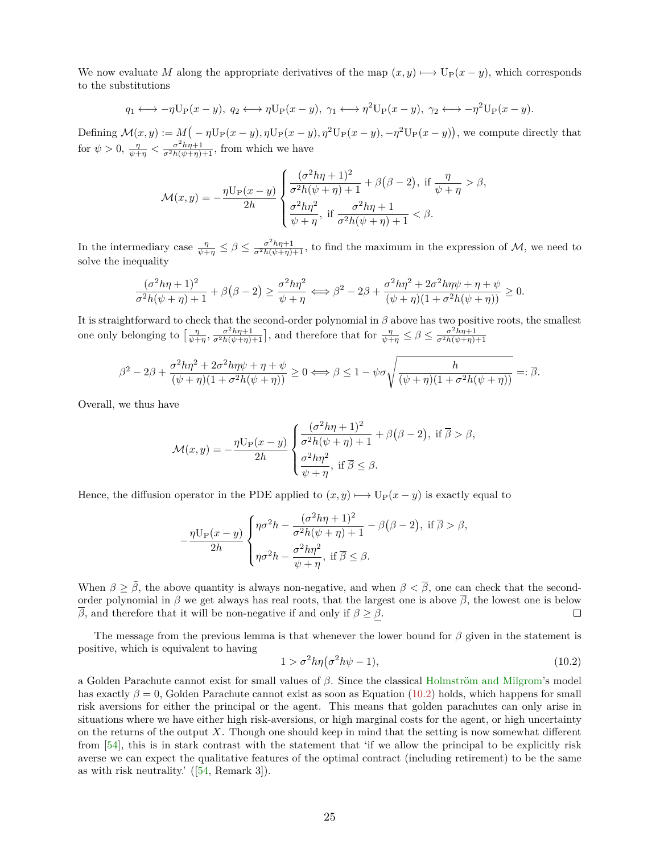We now evaluate M along the appropriate derivatives of the map  $(x, y) \rightarrowtail U_P(x - y)$ , which corresponds to the substitutions

$$
q_1 \longleftrightarrow -\eta \mathbf{U}_{\mathbf{P}}(x-y), q_2 \longleftrightarrow \eta \mathbf{U}_{\mathbf{P}}(x-y), \gamma_1 \longleftrightarrow \eta^2 \mathbf{U}_{\mathbf{P}}(x-y), \gamma_2 \longleftrightarrow -\eta^2 \mathbf{U}_{\mathbf{P}}(x-y).
$$

Defining  $\mathcal{M}(x, y) := M(-\eta \mathrm{U}_{\mathrm{P}}(x-y), \eta \mathrm{U}_{\mathrm{P}}(x-y), \eta^2 \mathrm{U}_{\mathrm{P}}(x-y), -\eta^2 \mathrm{U}_{\mathrm{P}}(x-y))$ , we compute directly that for  $\psi > 0$ ,  $\frac{\eta}{\psi + \eta} < \frac{\sigma^2 h \eta + 1}{\sigma^2 h(\psi + \eta) + 1}$ , from which we have

$$
\mathcal{M}(x,y) = -\frac{\eta \mathcal{U}_{\mathcal{P}}(x-y)}{2h} \begin{cases} \frac{(\sigma^2 h \eta + 1)^2}{\sigma^2 h(\psi + \eta) + 1} + \beta(\beta - 2), & \text{if } \frac{\eta}{\psi + \eta} > \beta, \\ \frac{\sigma^2 h \eta^2}{\psi + \eta}, & \text{if } \frac{\sigma^2 h \eta + 1}{\sigma^2 h(\psi + \eta) + 1} < \beta. \end{cases}
$$

In the intermediary case  $\frac{\eta}{\psi + \eta} \leq \beta \leq \frac{\sigma^2 h \eta + 1}{\sigma^2 h (\psi + \eta) + 1}$ , to find the maximum in the expression of M, we need to solve the inequality

$$
\frac{(\sigma^2 h\eta + 1)^2}{\sigma^2 h(\psi + \eta) + 1} + \beta(\beta - 2) \ge \frac{\sigma^2 h\eta^2}{\psi + \eta} \Longleftrightarrow \beta^2 - 2\beta + \frac{\sigma^2 h\eta^2 + 2\sigma^2 h\eta\psi + \eta + \psi}{(\psi + \eta)(1 + \sigma^2 h(\psi + \eta))} \ge 0.
$$

It is straightforward to check that the second-order polynomial in *β* above has two positive roots, the smallest one only belonging to  $\left[\frac{\eta}{\psi+\eta}, \frac{\sigma^2 h \eta + 1}{\sigma^2 h(\psi+\eta)+1}\right]$ , and therefore that for  $\frac{\eta}{\psi+\eta} \leq \beta \leq \frac{\sigma^2 h \eta + 1}{\sigma^2 h(\psi+\eta)+1}$ 

$$
\beta^2 - 2\beta + \frac{\sigma^2 h \eta^2 + 2\sigma^2 h \eta \psi + \eta + \psi}{(\psi + \eta)(1 + \sigma^2 h(\psi + \eta))} \ge 0 \Longleftrightarrow \beta \le 1 - \psi \sigma \sqrt{\frac{h}{(\psi + \eta)(1 + \sigma^2 h(\psi + \eta))}} =: \overline{\beta}.
$$

Overall, we thus have

$$
\mathcal{M}(x,y) = -\frac{\eta \mathcal{U}_{\mathcal{P}}(x-y)}{2h} \begin{cases} \frac{(\sigma^2 h \eta + 1)^2}{\sigma^2 h(\psi + \eta) + 1} + \beta(\beta - 2), & \text{if } \overline{\beta} > \beta, \\ \frac{\sigma^2 h \eta^2}{\psi + \eta}, & \text{if } \overline{\beta} \le \beta. \end{cases}
$$

Hence, the diffusion operator in the PDE applied to  $(x, y) \mapsto U_P(x - y)$  is exactly equal to

$$
-\frac{\eta \mathcal{U}_{\mathcal{P}}(x-y)}{2h} \begin{cases} \eta \sigma^2 h - \frac{(\sigma^2 h \eta + 1)^2}{\sigma^2 h(\psi + \eta) + 1} - \beta(\beta - 2), \text{ if } \overline{\beta} > \beta, \\ \eta \sigma^2 h - \frac{\sigma^2 h \eta^2}{\psi + \eta}, \text{ if } \overline{\beta} \le \beta. \end{cases}
$$

When  $\beta \geq \bar{\beta}$ , the above quantity is always non-negative, and when  $\beta < \bar{\beta}$ , one can check that the secondorder polynomial in  $\beta$  we get always has real roots, that the largest one is above  $\overline{\beta}$ , the lowest one is below *β*, and therefore that it will be non-negative if and only if  $β ≥ β$ .  $\Box$ 

The message from the previous lemma is that whenever the lower bound for *β* given in the statement is positive, which is equivalent to having

<span id="page-24-0"></span>
$$
1 > \sigma^2 h \eta (\sigma^2 h \psi - 1), \tag{10.2}
$$

a Golden Parachute cannot exist for small values of *β*. Since the classical [Holmström and Milgrom'](#page-36-0)s model has exactly  $\beta = 0$ , Golden Parachute cannot exist as soon as Equation [\(10.2\)](#page-24-0) holds, which happens for small risk aversions for either the principal or the agent. This means that golden parachutes can only arise in situations where we have either high risk-aversions, or high marginal costs for the agent, or high uncertainty on the returns of the output *X*. Though one should keep in mind that the setting is now somewhat different from [\[54\]](#page-37-0), this is in stark contrast with the statement that 'if we allow the principal to be explicitly risk averse we can expect the qualitative features of the optimal contract (including retirement) to be the same as with risk neutrality.' ([\[54,](#page-37-0) Remark 3]).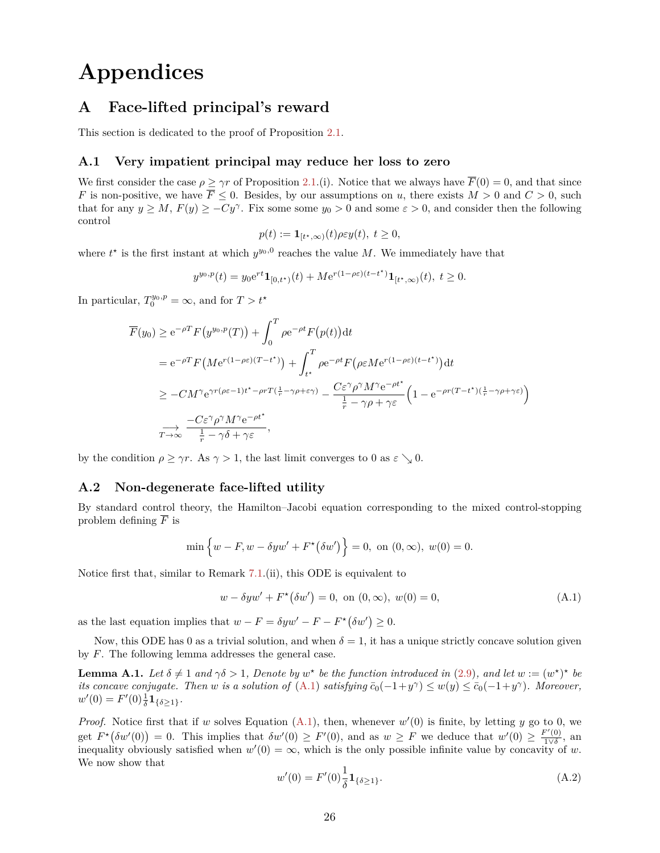# **Appendices**

## <span id="page-25-0"></span>**A Face-lifted principal's reward**

This section is dedicated to the proof of Proposition [2.1.](#page-5-4)

#### **A.1 Very impatient principal may reduce her loss to zero**

We first consider the case  $\rho \geq \gamma r$  of Proposition [2.1.](#page-5-4)(i). Notice that we always have  $\overline{F}(0) = 0$ , and that since *F* is non-positive, we have  $\overline{F} \leq 0$ . Besides, by our assumptions on *u*, there exists  $M > 0$  and  $C > 0$ , such that for any  $y \ge M$ ,  $F(y) \ge -Cy^{\gamma}$ . Fix some some  $y_0 > 0$  and some  $\varepsilon > 0$ , and consider then the following control

$$
p(t) := \mathbf{1}_{[t^*,\infty)}(t)\rho \varepsilon y(t), \ t \ge 0,
$$

where  $t^*$  is the first instant at which  $y^{y_0,0}$  reaches the value *M*. We immediately have that

$$
y^{y_0,p}(t) = y_0 e^{rt} \mathbf{1}_{[0,t^*)}(t) + M e^{r(1-\rho\varepsilon)(t-t^*)} \mathbf{1}_{[t^*,\infty)}(t), \ t \ge 0.
$$

In particular,  $T_0^{y_0,p} = \infty$ , and for  $T > t^*$ 

$$
\overline{F}(y_0) \ge e^{-\rho T} F(y^{y_0, p}(T)) + \int_0^T \rho e^{-\rho t} F(p(t)) dt
$$
\n
$$
= e^{-\rho T} F(M e^{r(1-\rho \varepsilon)(T-t^*)}) + \int_{t^*}^T \rho e^{-\rho t} F(\rho \varepsilon M e^{r(1-\rho \varepsilon)(t-t^*)}) dt
$$
\n
$$
\ge -CM^{\gamma} e^{\gamma r(\rho \varepsilon - 1)t^* - \rho r T(\frac{1}{r} - \gamma \rho + \varepsilon \gamma)} - \frac{C \varepsilon^{\gamma} \rho^{\gamma} M^{\gamma} e^{-\rho t^*}}{\frac{1}{r} - \gamma \rho + \gamma \varepsilon} \left(1 - e^{-\rho r (T-t^*) (\frac{1}{r} - \gamma \rho + \gamma \varepsilon)}\right)
$$
\n
$$
\xrightarrow[T \to \infty]{} \frac{-C \varepsilon^{\gamma} \rho^{\gamma} M^{\gamma} e^{-\rho t^*}}{\frac{1}{r} - \gamma \delta + \gamma \varepsilon},
$$

by the condition  $\rho \geq \gamma r$ . As  $\gamma > 1$ , the last limit converges to 0 as  $\varepsilon \searrow 0$ .

#### **A.2 Non-degenerate face-lifted utility**

By standard control theory, the Hamilton–Jacobi equation corresponding to the mixed control-stopping problem defining  $\overline{F}$  is

$$
\min\left\{w - F, w - \delta y w' + F^{\star}(\delta w')\right\} = 0, \text{ on } (0, \infty), w(0) = 0.
$$

Notice first that, similar to Remark [7.1.](#page-16-4)(ii), this ODE is equivalent to

<span id="page-25-1"></span>
$$
w - \delta y w' + F^{\star}(\delta w') = 0, \text{ on } (0, \infty), w(0) = 0,
$$
 (A.1)

as the last equation implies that  $w - F = \delta y w' - F - F^*(\delta w') \geq 0$ .

Now, this ODE has 0 as a trivial solution, and when  $\delta = 1$ , it has a unique strictly concave solution given by *F*. The following lemma addresses the general case.

<span id="page-25-3"></span>**Lemma A.1.** Let  $\delta \neq 1$  and  $\gamma \delta > 1$ , Denote by  $w^*$  be the function introduced in [\(2.9\)](#page-6-1), and let  $w := (w^*)^*$  be *its concave conjugate. Then w is a solution of* [\(A.1\)](#page-25-1) *satisfying*  $\bar{c}_0(-1+y^{\gamma}) \leq w(y) \leq \bar{c}_0(-1+y^{\gamma})$ *. Moreover,*  $w'(0) = F'(0)\frac{1}{\delta}\mathbf{1}_{\{\delta \geq 1\}}.$ 

*Proof.* Notice first that if *w* solves Equation  $(A.1)$ , then, whenever  $w'(0)$  is finite, by letting *y* go to 0, we get  $F^*(\delta w'(0)) = 0$ . This implies that  $\delta w'(0) \geq F'(0)$ , and as  $w \geq F$  we deduce that  $w'(0) \geq \frac{F'(0)}{100}$  $rac{1}{1}$   $\frac{1}{\sqrt{\delta}}$ , an inequality obviously satisfied when  $w'(0) = \infty$ , which is the only possible infinite value by concavity of *w*. We now show that

<span id="page-25-2"></span>
$$
w'(0) = F'(0)\frac{1}{\delta} \mathbf{1}_{\{\delta \ge 1\}}.\tag{A.2}
$$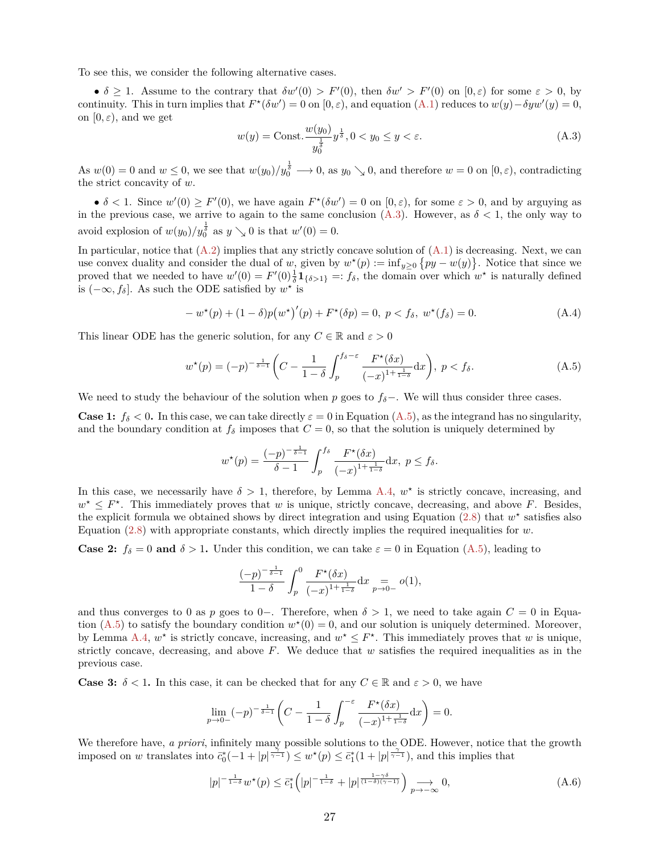To see this, we consider the following alternative cases.

•  $\delta \geq 1$ . Assume to the contrary that  $\delta w'(0) > F'(0)$ , then  $\delta w' > F'(0)$  on  $[0, \varepsilon)$  for some  $\varepsilon > 0$ , by continuity. This in turn implies that  $F^*(\delta w') = 0$  on  $[0, \varepsilon)$ , and equation  $(A.1)$  reduces to  $w(y) - \delta yw'(y) = 0$ , on  $[0, \varepsilon)$ , and we get

<span id="page-26-0"></span>
$$
w(y) = \text{Const.} \frac{w(y_0)}{y_0^{\frac{1}{\delta}}} y^{\frac{1}{\delta}}, 0 < y_0 \le y < \varepsilon. \tag{A.3}
$$

As  $w(0) = 0$  and  $w \le 0$ , we see that  $w(y_0)/y_0^{\frac{1}{\delta}} \longrightarrow 0$ , as  $y_0 \searrow 0$ , and therefore  $w = 0$  on  $[0, \varepsilon)$ , contradicting the strict concavity of *w*.

•  $\delta$  < 1. Since  $w'(0) \geq F'(0)$ , we have again  $F^*(\delta w') = 0$  on  $[0, \varepsilon)$ , for some  $\varepsilon > 0$ , and by arguying as in the previous case, we arrive to again to the same conclusion  $(A.3)$ . However, as  $\delta < 1$ , the only way to avoid explosion of  $w(y_0)/y_0^{\frac{1}{\delta}}$  as  $y \searrow 0$  is that  $w'(0) = 0$ .

In particular, notice that  $(A.2)$  implies that any strictly concave solution of  $(A.1)$  is decreasing. Next, we can use convex duality and consider the dual of *w*, given by  $w^*(p) := \inf_{y \geq 0} \{ py - w(y) \}$ . Notice that since we proved that we needed to have  $w'(0) = F'(0) \frac{1}{\delta} \mathbf{1}_{\{\delta > 1\}} =: f_{\delta}$ , the domain over which  $w^*$  is naturally defined is  $(-\infty, f_{\delta}]$ . As such the ODE satisfied by  $w^*$  is

<span id="page-26-2"></span>
$$
-w^*(p) + (1 - \delta)p(w^*)'(p) + F^*(\delta p) = 0, \ p < f_\delta, \ w^*(f_\delta) = 0.
$$
 (A.4)

This linear ODE has the generic solution, for any  $C \in \mathbb{R}$  and  $\varepsilon > 0$ 

<span id="page-26-1"></span>
$$
w^*(p) = (-p)^{-\frac{1}{\delta-1}} \left( C - \frac{1}{1-\delta} \int_p^{f_\delta - \varepsilon} \frac{F^*(\delta x)}{(-x)^{1+\frac{1}{1-\delta}}} dx \right), \ p < f_\delta. \tag{A.5}
$$

We need to study the behaviour of the solution when *p* goes to *fδ*−. We will thus consider three cases.

**Case 1:**  $f_{\delta}$  < 0. In this case, we can take directly  $\varepsilon = 0$  in Equation [\(A.5\)](#page-26-1), as the integrand has no singularity, and the boundary condition at  $f_\delta$  imposes that  $C = 0$ , so that the solution is uniquely determined by

$$
w^{\star}(p) = \frac{(-p)^{-\frac{1}{\delta-1}}}{\delta-1} \int_p^{f_{\delta}} \frac{F^{\star}(\delta x)}{(-x)^{1+\frac{1}{1-\delta}}} \mathrm{d}x, \ p \le f_{\delta}.
$$

In this case, we necessarily have  $\delta > 1$ , therefore, by Lemma [A.4,](#page-28-0)  $w^*$  is strictly concave, increasing, and  $w^* \leq F^*$ . This immediately proves that *w* is unique, strictly concave, decreasing, and above *F*. Besides, the explicit formula we obtained shows by direct integration and using Equation  $(2.8)$  that  $w^*$  satisfies also Equation [\(2.8\)](#page-5-3) with appropriate constants, which directly implies the required inequalities for *w*.

**Case 2:**  $f_{\delta} = 0$  and  $\delta > 1$ . Under this condition, we can take  $\varepsilon = 0$  in Equation [\(A.5\)](#page-26-1), leading to

$$
\frac{(-p)^{-\frac{1}{\delta-1}}}{1-\delta}\int_p^0\frac{F^{\star}(\delta x)}{(-x)^{1+\frac{1}{1-\delta}}}{\rm d}x\underset{p\to 0-}{=}o(1),
$$

and thus converges to 0 as *p* goes to 0−. Therefore, when  $\delta > 1$ , we need to take again  $C = 0$  in Equation  $(A.5)$  to satisfy the boundary condition  $w^*(0) = 0$ , and our solution is uniquely determined. Moreover, by Lemma [A.4,](#page-28-0)  $w^*$  is strictly concave, increasing, and  $w^* \leq F^*$ . This immediately proves that *w* is unique, strictly concave, decreasing, and above *F*. We deduce that *w* satisfies the required inequalities as in the previous case.

**Case 3:**  $\delta$  < 1. In this case, it can be checked that for any  $C \in \mathbb{R}$  and  $\varepsilon > 0$ , we have

$$
\lim_{p \to 0-} (-p)^{-\frac{1}{\delta - 1}} \left( C - \frac{1}{1 - \delta} \int_p^{-\varepsilon} \frac{F^\star(\delta x)}{(-x)^{1 + \frac{1}{1 - \delta}}} dx \right) = 0.
$$

We therefore have, *a priori*, infinitely many possible solutions to the ODE. However, notice that the growth imposed on *w* translates into  $\bar{c}_0^*(-1+|p|^{\frac{\gamma}{\gamma-1}}) \leq w^*(p) \leq \bar{c}_1^*(1+|p|^{\frac{\gamma}{\gamma-1}})$ , and this implies that

<span id="page-26-3"></span>
$$
|p|^{-\frac{1}{1-\delta}}w^{\star}(p) \leq \bar{c}_1^{\star} \left(|p|^{-\frac{1}{1-\delta}} + |p|^{\frac{1-\gamma\delta}{(1-\delta)(\gamma-1)}}\right) \underset{p \to -\infty}{\longrightarrow} 0, \tag{A.6}
$$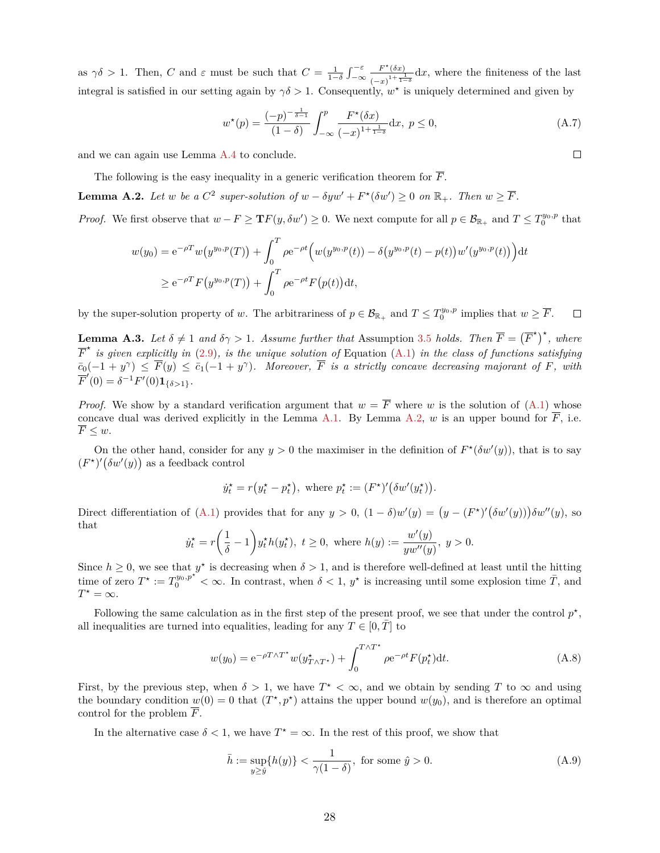as  $\gamma \delta > 1$ . Then, *C* and  $\varepsilon$  must be such that  $C = \frac{1}{1-\delta} \int_{-\infty}^{-\varepsilon}$  $F^{\star}(\delta x)$  $\frac{F^{\left(0,x\right)}}{\left(-x\right)^{1+\frac{1}{1-\delta}}}dx$ , where the finiteness of the last integral is satisfied in our setting again by  $\gamma \delta > 1$ . Consequently,  $w^*$  is uniquely determined and given by

<span id="page-27-3"></span>
$$
w^*(p) = \frac{(-p)^{-\frac{1}{\delta - 1}}}{(1 - \delta)} \int_{-\infty}^p \frac{F^*(\delta x)}{(-x)^{1 + \frac{1}{1 - \delta}}} dx, \ p \le 0,
$$
 (A.7)

and we can again use Lemma [A.4](#page-28-0) to conclude.

The following is the easy inequality in a generic verification theorem for  $\overline{F}$ .

<span id="page-27-0"></span>**Lemma A.2.** *Let w be a*  $C^2$  *super-solution of*  $w - \delta yw' + F^*(\delta w') \geq 0$  *on*  $\mathbb{R}_+$ *. Then*  $w \geq \overline{F}$ *.* 

*Proof.* We first observe that  $w - F \geq \mathbf{T}F(y, \delta w') \geq 0$ . We next compute for all  $p \in \mathcal{B}_{\mathbb{R}_+}$  and  $T \leq T_0^{y_0, p}$  that

$$
w(y_0) = e^{-\rho T} w(y^{y_0, p}(T)) + \int_0^T \rho e^{-\rho t} \Big( w(y^{y_0, p}(t)) - \delta(y^{y_0, p}(t) - p(t)) w'(y^{y_0, p}(t)) \Big) dt
$$
  
 
$$
\geq e^{-\rho T} F(y^{y_0, p}(T)) + \int_0^T \rho e^{-\rho t} F(p(t)) dt,
$$

by the super-solution property of *w*. The arbitrariness of  $p \in \mathcal{B}_{\mathbb{R}_+}$  and  $T \leq T_0^{y_0, p}$  implies that  $w \geq \overline{F}$ .  $\Box$ 

**Lemma A.3.** Let  $\delta \neq 1$  and  $\delta \gamma > 1$ . Assume further that Assumption [3.5](#page-9-2) *holds. Then*  $\overline{F} = (\overline{F}^*)^*$ , where  $\overline{F}^*$  *is given explicitly in* [\(2.9\)](#page-6-1)*, is the unique solution of* Equation [\(A.1\)](#page-25-1) *in the class of functions satisfying*  $\overline{c}_0(-1 + y^{\gamma}) \leq \overline{F}(y) \leq \overline{c}_1(-1 + y^{\gamma})$ . Moreover,  $\overline{F}$  is a strictly concave decreasing majorant of F, with  $\overline{F}'(0) = \delta^{-1} F'(0) \mathbf{1}_{\{\delta > 1\}}.$ 

*Proof.* We show by a standard verification argument that  $w = \overline{F}$  where *w* is the solution of [\(A.1\)](#page-25-1) whose concave dual was derived explicitly in the Lemma [A.1.](#page-25-3) By Lemma [A.2,](#page-27-0)  $w$  is an upper bound for  $\overline{F}$ , i.e.  $F \leq w$ .

On the other hand, consider for any  $y > 0$  the maximiser in the definition of  $F^*(\delta w'(y))$ , that is to say  $(F^*)'$  $(\delta w'(y))$  as a feedback control

$$
\dot{y}_t^\star = r(y_t^\star - p_t^\star), \text{ where } p_t^\star := (F^\star)'(\delta w'(y_t^\star)).
$$

Direct differentiation of [\(A.1\)](#page-25-1) provides that for any  $y > 0$ ,  $(1 - \delta)w'(y) = (y - (F^*)'(\delta w'(y)))\delta w''(y)$ , so that

$$
\dot{y}^\star_t = r\bigg(\frac{1}{\delta}-1\bigg)y^\star_t h(y^\star_t), \ t\geq 0, \text{ where } h(y):=\frac{w'(y)}{yw''(y)}, \ y>0.
$$

Since  $h \geq 0$ , we see that  $y^*$  is decreasing when  $\delta > 1$ , and is therefore well-defined at least until the hitting time of zero  $T^* := T_0^{y_0, p^{*}} < \infty$ . In contrast, when  $\delta < 1, y^*$  is increasing until some explosion time  $\overline{T}$ , and  $T^* = \infty$ .

Following the same calculation as in the first step of the present proof, we see that under the control  $p^*$ , all inequalities are turned into equalities, leading for any  $T \in [0, T]$  to

<span id="page-27-1"></span>
$$
w(y_0) = e^{-\rho T \wedge T^*} w(y_{T \wedge T^*}^*) + \int_0^{T \wedge T^*} \rho e^{-\rho t} F(p_t^*) dt.
$$
 (A.8)

First, by the previous step, when  $\delta > 1$ , we have  $T^* < \infty$ , and we obtain by sending T to  $\infty$  and using the boundary condition  $w(0) = 0$  that  $(T^*, p^*)$  attains the upper bound  $w(y_0)$ , and is therefore an optimal control for the problem  $\overline{F}$ .

In the alternative case  $\delta$  < 1, we have  $T^* = \infty$ . In the rest of this proof, we show that

<span id="page-27-2"></span>
$$
\bar{h} := \sup_{y \ge \hat{y}} \{h(y)\} < \frac{1}{\gamma(1-\delta)}, \text{ for some } \hat{y} > 0. \tag{A.9}
$$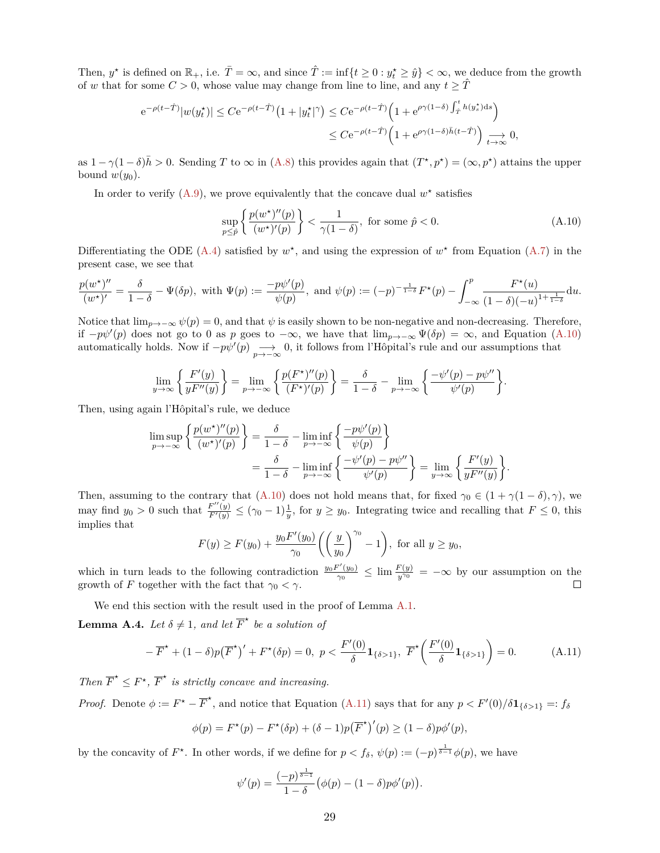Then,  $y^*$  is defined on  $\mathbb{R}_+$ , i.e.  $\overline{T} = \infty$ , and since  $\hat{T} := \inf\{t \geq 0 : y_t^* \geq \hat{y}\} < \infty$ , we deduce from the growth of *w* that for some  $C > 0$ , whose value may change from line to line, and any  $t \geq \hat{T}$ 

$$
e^{-\rho(t-\hat{T})}|w(y_t^*)| \le Ce^{-\rho(t-\hat{T})}\left(1+|y_t^{\star}|^{\gamma}\right) \le Ce^{-\rho(t-\hat{T})}\left(1+e^{\rho\gamma(1-\delta)\int_{\hat{T}}^t h(y_s^*)ds}\right)
$$
  

$$
\le Ce^{-\rho(t-\hat{T})}\left(1+e^{\rho\gamma(1-\delta)\bar{h}(t-\hat{T})}\right) \underset{t\to\infty}{\longrightarrow} 0,
$$

as  $1 - \gamma(1 - \delta)\bar{h} > 0$ . Sending *T* to  $\infty$  in [\(A.8\)](#page-27-1) this provides again that  $(T^*, p^*) = (\infty, p^*)$  attains the upper bound  $w(y_0)$ .

In order to verify  $(A.9)$ , we prove equivalently that the concave dual  $w^*$  satisfies

<span id="page-28-1"></span>
$$
\sup_{p \leq \hat{p}} \left\{ \frac{p(w^*)''(p)}{(w^*)'(p)} \right\} < \frac{1}{\gamma(1-\delta)}, \text{ for some } \hat{p} < 0. \tag{A.10}
$$

Differentiating the ODE [\(A.4\)](#page-26-2) satisfied by  $w^*$ , and using the expression of  $w^*$  from Equation [\(A.7\)](#page-27-3) in the present case, we see that

$$
\frac{p(w^*)''}{(w^*)'} = \frac{\delta}{1-\delta} - \Psi(\delta p), \text{ with } \Psi(p) := \frac{-p\psi'(p)}{\psi(p)}, \text{ and } \psi(p) := (-p)^{-\frac{1}{1-\delta}} F^\star(p) - \int_{-\infty}^p \frac{F^\star(u)}{(1-\delta)(-u)^{1+\frac{1}{1-\delta}}} \mathrm{d}u.
$$

Notice that  $\lim_{p\to-\infty} \psi(p) = 0$ , and that  $\psi$  is easily shown to be non-negative and non-decreasing. Therefore, if  $-p\psi'(p)$  does not go to 0 as *p* goes to  $-\infty$ , we have that  $\lim_{p\to-\infty} \Psi(\delta p) = \infty$ , and Equation [\(A.10\)](#page-28-1) automatically holds. Now if  $-p\psi'(p) \longrightarrow 0$ , it follows from l'Hôpital's rule and our assumptions that

$$
\lim_{y \to \infty} \left\{ \frac{F'(y)}{yF''(y)} \right\} = \lim_{p \to -\infty} \left\{ \frac{p(F^*)''(p)}{(F^*)'(p)} \right\} = \frac{\delta}{1-\delta} - \lim_{p \to -\infty} \left\{ \frac{-\psi'(p) - p\psi''}{\psi'(p)} \right\}.
$$

Then, using again l'Hôpital's rule, we deduce

$$
\limsup_{p \to -\infty} \left\{ \frac{p(w^*)''(p)}{(w^*)'(p)} \right\} = \frac{\delta}{1-\delta} - \liminf_{p \to -\infty} \left\{ \frac{-p\psi'(p)}{\psi(p)} \right\}
$$

$$
= \frac{\delta}{1-\delta} - \liminf_{p \to -\infty} \left\{ \frac{-\psi'(p) - p\psi''}{\psi'(p)} \right\} = \lim_{y \to \infty} \left\{ \frac{F'(y)}{yF''(y)} \right\}.
$$

Then, assuming to the contrary that [\(A.10\)](#page-28-1) does not hold means that, for fixed  $\gamma_0 \in (1 + \gamma(1 - \delta), \gamma)$ , we may find  $y_0 > 0$  such that  $\frac{F''(y)}{F'(y)} \le (\gamma_0 - 1)^{\frac{1}{y}}$ , for  $y \ge y_0$ . Integrating twice and recalling that  $F \le 0$ , this implies that

$$
F(y) \ge F(y_0) + \frac{y_0 F'(y_0)}{\gamma_0} \left( \left( \frac{y}{y_0} \right)^{\gamma_0} - 1 \right), \text{ for all } y \ge y_0,
$$

which in turn leads to the following contradiction  $\frac{y_0 F'(y_0)}{\gamma_0}$  $\frac{f'(y_0)}{\gamma_0} \leq \lim \frac{F(y)}{y^{\gamma_0}} = -\infty$  by our assumption on the growth of *F* together with the fact that  $\gamma_0 < \gamma$ .

We end this section with the result used in the proof of Lemma [A.1.](#page-25-3)

<span id="page-28-0"></span>**Lemma A.4.** *Let*  $\delta \neq 1$ *, and let*  $\overline{F}^*$  *be a solution of* 

<span id="page-28-2"></span>
$$
-\overline{F}^{\star} + (1 - \delta)p(\overline{F}^{\star})' + F^{\star}(\delta p) = 0, \ p < \frac{F'(0)}{\delta} \mathbf{1}_{\{\delta > 1\}}, \ \overline{F}^{\star} \left(\frac{F'(0)}{\delta} \mathbf{1}_{\{\delta > 1\}}\right) = 0. \tag{A.11}
$$

*Then*  $\overline{F}^* \leq F^*$ ,  $\overline{F}^*$  *is strictly concave and increasing.* 

*Proof.* Denote  $\phi := F^* - \overline{F}^*$ , and notice that Equation [\(A.11\)](#page-28-2) says that for any  $p < F'(0)/\delta \mathbf{1}_{\{\delta > 1\}} =: f_\delta$ 

$$
\phi(p) = F^*(p) - F^*(\delta p) + (\delta - 1)p(\overline{F}^*)'(p) \ge (1 - \delta)p\phi'(p),
$$

by the concavity of  $F^*$ . In other words, if we define for  $p < f_\delta$ ,  $\psi(p) := (-p)^{\frac{1}{\delta-1}} \phi(p)$ , we have

$$
\psi'(p) = \frac{(-p)^{\frac{1}{\delta - 1}}}{1 - \delta} (\phi(p) - (1 - \delta)p\phi'(p)).
$$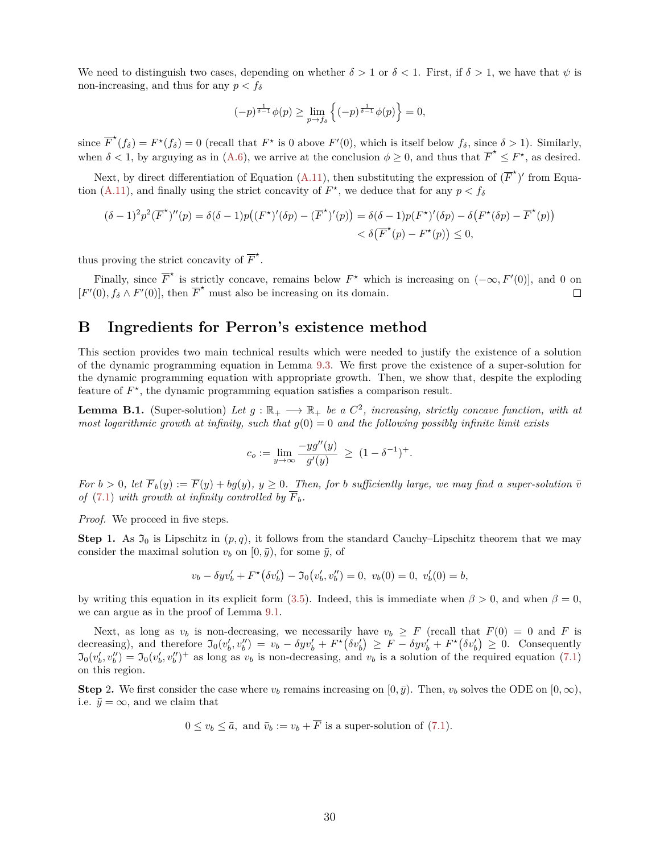We need to distinguish two cases, depending on whether  $\delta > 1$  or  $\delta < 1$ . First, if  $\delta > 1$ , we have that  $\psi$  is non-increasing, and thus for any *p < f<sup>δ</sup>*

$$
(-p)^{\frac{1}{\delta-1}}\phi(p) \ge \lim_{p \to f_{\delta}} \left\{ (-p)^{\frac{1}{\delta-1}}\phi(p) \right\} = 0,
$$

since  $\overline{F}^*(f_\delta) = F^*(f_\delta) = 0$  (recall that  $F^*$  is 0 above  $F'(0)$ , which is itself below  $f_\delta$ , since  $\delta > 1$ ). Similarly, when  $\delta < 1$ , by arguying as in [\(A.6\)](#page-26-3), we arrive at the conclusion  $\phi \ge 0$ , and thus that  $\overline{F}^* \le F^*$ , as desired.

Next, by direct differentiation of Equation [\(A.11\)](#page-28-2), then substituting the expression of  $(\overline{F}^{\star})'$  from Equa-tion [\(A.11\)](#page-28-2), and finally using the strict concavity of  $F^*$ , we deduce that for any  $p < f_\delta$ 

$$
(\delta - 1)^2 p^2 (\overline{F}^*)''(p) = \delta(\delta - 1) p((F^*)'(\delta p) - (\overline{F}^*)'(p)) = \delta(\delta - 1) p(F^*)'(\delta p) - \delta(F^*(\delta p) - \overline{F}^*(p)) < \delta(\overline{F}^*(p) - F^*(p)) \le 0,
$$

thus proving the strict concavity of  $\overline{F}^*$ .

Finally, since  $\overline{F}^*$  is strictly concave, remains below  $F^*$  which is increasing on  $(-\infty, F'(0)]$ , and 0 on  $[F'(0), f_{\delta} \wedge F'(0)]$ , then  $\overline{F}^*$  must also be increasing on its domain.  $\Box$ 

## **B Ingredients for Perron's existence method**

This section provides two main technical results which were needed to justify the existence of a solution of the dynamic programming equation in Lemma [9.3.](#page-20-1) We first prove the existence of a super-solution for the dynamic programming equation with appropriate growth. Then, we show that, despite the exploding feature of  $F^*$ , the dynamic programming equation satisfies a comparison result.

<span id="page-29-0"></span>**Lemma B.1.** (Super-solution) Let  $g : \mathbb{R}_+ \longrightarrow \mathbb{R}_+$  be a  $C^2$ , increasing, strictly concave function, with at *most logarithmic growth at infinity, such that*  $q(0) = 0$  *and the following possibly infinite limit exists* 

$$
c_o := \lim_{y \to \infty} \frac{-y g''(y)}{g'(y)} \ \ge \ (1 - \delta^{-1})^+.
$$

*For*  $b > 0$ , let  $\overline{F}_b(y) := \overline{F}(y) + bg(y)$ ,  $y \ge 0$ . Then, for *b* sufficiently large, we may find a super-solution  $\overline{v}$ *of* [\(7.1\)](#page-16-3) *with growth at infinity controlled by*  $\overline{F}_b$ *.* 

*Proof.* We proceed in five steps.

**Step** 1. As  $\mathfrak{I}_0$  is Lipschitz in  $(p,q)$ , it follows from the standard Cauchy–Lipschitz theorem that we may consider the maximal solution  $v_b$  on  $[0, \bar{y})$ , for some  $\bar{y}$ , of

$$
v_b - \delta y v'_b + F^{\star}(\delta v'_b) - \mathfrak{I}_0(v'_b, v''_b) = 0, \ v_b(0) = 0, \ v'_b(0) = b,
$$

by writing this equation in its explicit form [\(3.5\)](#page-11-2). Indeed, this is immediate when  $\beta > 0$ , and when  $\beta = 0$ , we can argue as in the proof of Lemma [9.1.](#page-19-2)

Next, as long as  $v_b$  is non-decreasing, we necessarily have  $v_b \geq F$  (recall that  $F(0) = 0$  and F is decreasing), and therefore  $\mathfrak{I}_0(v'_b, v''_b) = v_b - \delta y v'_b + F^*(\delta v'_b) \geq F - \delta y v'_b + F^*(\delta v'_b) \geq 0$ . Consequently  $\mathfrak{I}_0(v'_b, v''_b) = \mathfrak{I}_0(v'_b, v''_b)^+$  as long as  $v_b$  is non-decreasing, and  $v_b$  is a solution of the required equation [\(7.1\)](#page-16-3) on this region.

**Step** 2. We first consider the case where  $v_b$  remains increasing on  $[0, \bar{y})$ . Then,  $v_b$  solves the ODE on  $[0, \infty)$ , i.e.  $\bar{y} = \infty$ , and we claim that

$$
0 \le v_b \le \bar{a}
$$
, and  $\bar{v}_b := v_b + F$  is a super-solution of (7.1).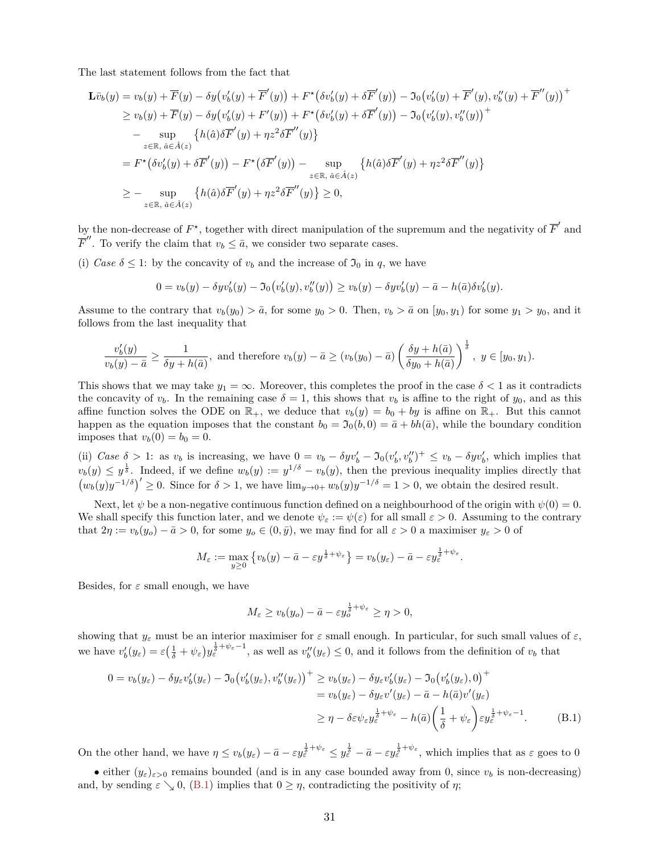The last statement follows from the fact that

$$
\mathbf{L}\bar{v}_b(y) = v_b(y) + \overline{F}(y) - \delta y \big( v'_b(y) + \overline{F}'(y) \big) + F^{\star}(\delta v'_b(y) + \delta \overline{F}'(y) \big) - \mathfrak{I}_0 \big( v'_b(y) + \overline{F}'(y), v''_b(y) + \overline{F}''(y) \big)^+ \geq v_b(y) + \overline{F}(y) - \delta y \big( v'_b(y) + F'(y) \big) + F^{\star}(\delta v'_b(y) + \delta \overline{F}'(y) \big) - \mathfrak{I}_0 \big( v'_b(y), v''_b(y) \big)^+ \sim \sup_{z \in \mathbb{R}, \ \hat{a} \in \hat{A}(z)} \left\{ h(\hat{a}) \delta \overline{F}'(y) + \eta z^2 \delta \overline{F}''(y) \right\} \n= F^{\star}(\delta v'_b(y) + \delta \overline{F}'(y)) - F^{\star}(\delta \overline{F}'(y)) - \sup_{z \in \mathbb{R}, \ \hat{a} \in \hat{A}(z)} \left\{ h(\hat{a}) \delta \overline{F}'(y) + \eta z^2 \delta \overline{F}''(y) \right\} \n\geq - \sup_{z \in \mathbb{R}, \ \hat{a} \in \hat{A}(z)} \left\{ h(\hat{a}) \delta \overline{F}'(y) + \eta z^2 \delta \overline{F}''(y) \right\} \geq 0,
$$

by the non-decrease of  $F^*$ , together with direct manipulation of the supremum and the negativity of  $\overline{F}'$  and  $\overline{F}''$ . To verify the claim that  $v_b \leq \overline{a}$ , we consider two separate cases.

(i) *Case*  $\delta \leq 1$ : by the concavity of  $v_b$  and the increase of  $\mathfrak{I}_0$  in *q*, we have

$$
0 = v_b(y) - \delta y v'_b(y) - \Im_0(v'_b(y), v''_b(y)) \ge v_b(y) - \delta y v'_b(y) - \bar{a} - h(\bar{a}) \delta v'_b(y).
$$

Assume to the contrary that  $v_b(y_0) > \bar{a}$ , for some  $y_0 > 0$ . Then,  $v_b > \bar{a}$  on  $[y_0, y_1)$  for some  $y_1 > y_0$ , and it follows from the last inequality that

$$
\frac{v'_b(y)}{v_b(y) - \bar{a}} \ge \frac{1}{\delta y + h(\bar{a})},
$$
 and therefore  $v_b(y) - \bar{a} \ge (v_b(y_0) - \bar{a}) \left(\frac{\delta y + h(\bar{a})}{\delta y_0 + h(\bar{a})}\right)^{\frac{1}{\delta}}, y \in [y_0, y_1).$ 

This shows that we may take  $y_1 = \infty$ . Moreover, this completes the proof in the case  $\delta < 1$  as it contradicts the concavity of  $v_b$ . In the remaining case  $\delta = 1$ , this shows that  $v_b$  is affine to the right of  $y_0$ , and as this affine function solves the ODE on  $\mathbb{R}_+$ , we deduce that  $v_b(y) = b_0 + by$  is affine on  $\mathbb{R}_+$ . But this cannot happen as the equation imposes that the constant  $b_0 = \mathfrak{I}_0(b, 0) = \bar{a} + bh(\bar{a})$ , while the boundary condition imposes that  $v_b(0) = b_0 = 0$ .

(ii) Case  $\delta > 1$ : as  $v_b$  is increasing, we have  $0 = v_b - \delta y v'_b - \Im_0 (v'_b, v''_b)^+ \leq v_b - \delta y v'_b$ , which implies that  $v_b(y) \leq y^{\frac{1}{\delta}}$ . Indeed, if we define  $w_b(y) := y^{1/\delta} - v_b(y)$ , then the previous inequality implies directly that  $(w_b(y)y^{-1/\delta})' \geq 0$ . Since for  $\delta > 1$ , we have  $\lim_{y\to 0+} w_b(y)y^{-1/\delta} = 1 > 0$ , we obtain the desired result.

Next, let  $\psi$  be a non-negative continuous function defined on a neighbourhood of the origin with  $\psi(0) = 0$ . We shall specify this function later, and we denote  $\psi_{\varepsilon} := \psi(\varepsilon)$  for all small  $\varepsilon > 0$ . Assuming to the contrary that  $2\eta := v_b(y_o) - \bar{a} > 0$ , for some  $y_o \in (0, \bar{y})$ , we may find for all  $\varepsilon > 0$  a maximiser  $y_{\varepsilon} > 0$  of

$$
M_{\varepsilon} := \max_{y \geq 0} \left\{ v_b(y) - \bar{a} - \varepsilon y^{\frac{1}{\delta} + \psi_{\varepsilon}} \right\} = v_b(y_{\varepsilon}) - \bar{a} - \varepsilon y_{\varepsilon}^{\frac{1}{\delta} + \psi_{\varepsilon}}.
$$

Besides, for  $\varepsilon$  small enough, we have

<span id="page-30-0"></span>
$$
M_{\varepsilon} \ge v_b(y_o) - \bar{a} - \varepsilon y_o^{\frac{1}{\delta} + \psi_{\varepsilon}} \ge \eta > 0,
$$

showing that  $y_\varepsilon$  must be an interior maximiser for  $\varepsilon$  small enough. In particular, for such small values of  $\varepsilon$ , we have  $v'_b(y_\varepsilon) = \varepsilon \left(\frac{1}{\delta} + \psi_\varepsilon\right) y_\varepsilon^{\frac{1}{\delta} + \psi_\varepsilon - 1}$ , as well as  $v''_b(y_\varepsilon) \leq 0$ , and it follows from the definition of  $v_b$  that

$$
0 = v_b(y_{\varepsilon}) - \delta y_{\varepsilon} v'_b(y_{\varepsilon}) - \mathfrak{I}_0(v'_b(y_{\varepsilon}), v''_b(y_{\varepsilon}))^+ \ge v_b(y_{\varepsilon}) - \delta y_{\varepsilon} v'_b(y_{\varepsilon}) - \mathfrak{I}_0(v'_b(y_{\varepsilon}), 0)^+ = v_b(y_{\varepsilon}) - \delta y_{\varepsilon} v'(y_{\varepsilon}) - \bar{a} - h(\bar{a})v'(y_{\varepsilon}) \ge \eta - \delta \varepsilon \psi_{\varepsilon} y_{\varepsilon}^{\frac{1}{\delta} + \psi_{\varepsilon}} - h(\bar{a}) \left(\frac{1}{\delta} + \psi_{\varepsilon}\right) \varepsilon y_{\varepsilon}^{\frac{1}{\delta} + \psi_{\varepsilon} - 1}.
$$
 (B.1)

On the other hand, we have  $\eta \le v_b(y_\varepsilon) - \bar{a} - \varepsilon y_\varepsilon^{\frac{1}{3} + \psi_\varepsilon} \le y_\varepsilon^{\frac{1}{3}} - \bar{a} - \varepsilon y_\varepsilon^{\frac{1}{3} + \psi_\varepsilon}$ , which implies that as  $\varepsilon$  goes to 0

• either  $(y_{\varepsilon})_{\varepsilon>0}$  remains bounded (and is in any case bounded away from 0, since  $v_b$  is non-decreasing) and, by sending  $\varepsilon \searrow 0$ , [\(B.1\)](#page-30-0) implies that  $0 \ge \eta$ , contradicting the positivity of  $\eta$ ;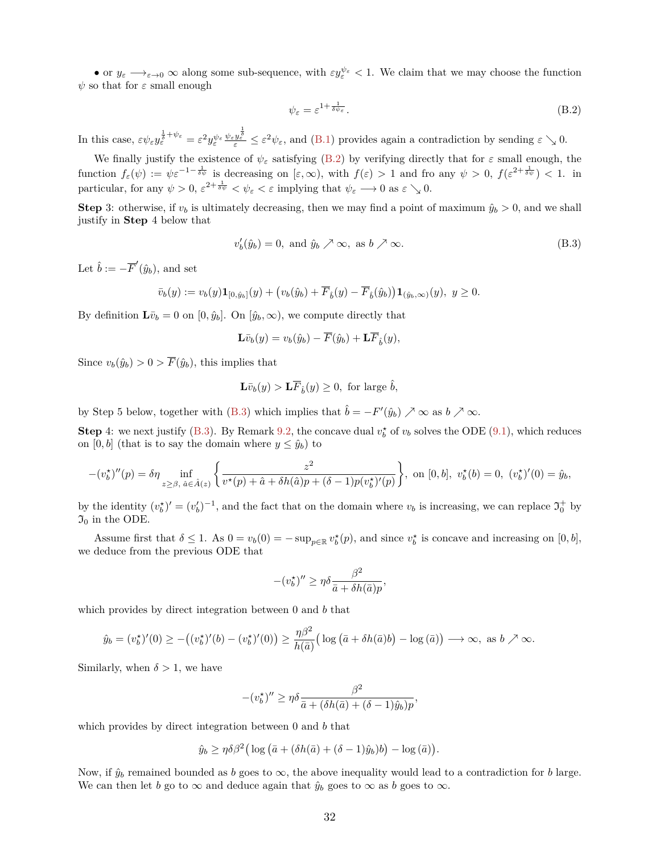• or  $y_{\varepsilon} \longrightarrow_{\varepsilon \to 0} \infty$  along some sub-sequence, with  $\varepsilon y_{\varepsilon}^{\psi_{\varepsilon}} < 1$ . We claim that we may choose the function  $\psi$  so that for  $\varepsilon$  small enough

<span id="page-31-0"></span>
$$
\psi_{\varepsilon} = \varepsilon^{1 + \frac{1}{\delta \psi_{\varepsilon}}}.
$$
\n(B.2)

In this case,  $\varepsilon \psi_{\varepsilon} y_{\varepsilon}^{\frac{1}{3}+\psi_{\varepsilon}} = \varepsilon^2 y_{\varepsilon}^{\psi_{\varepsilon}} \frac{\psi_{\varepsilon} y_{\varepsilon}^{\frac{1}{3}}}{\varepsilon} \leq \varepsilon^2 \psi_{\varepsilon}$ , and [\(B.1\)](#page-30-0) provides again a contradiction by sending  $\varepsilon \searrow 0$ .

We finally justify the existence of  $\psi_{\varepsilon}$  satisfying [\(B.2\)](#page-31-0) by verifying directly that for  $\varepsilon$  small enough, the function  $f_{\varepsilon}(\psi) := \psi \varepsilon^{-1-\frac{1}{\delta\psi}}$  is decreasing on  $[\varepsilon,\infty)$ , with  $f(\varepsilon) > 1$  and fro any  $\psi > 0$ ,  $f(\varepsilon^{2+\frac{1}{\delta\psi}}) < 1$ . in particular, for any  $\psi > 0$ ,  $\varepsilon^{2 + \frac{1}{\delta \psi}} < \psi_{\varepsilon} < \varepsilon$  implying that  $\psi_{\varepsilon} \longrightarrow 0$  as  $\varepsilon \searrow 0$ .

**Step** 3: otherwise, if  $v_b$  is ultimately decreasing, then we may find a point of maximum  $\hat{y}_b > 0$ , and we shall justify in **Step** 4 below that

<span id="page-31-1"></span>
$$
v_b'(\hat{y}_b) = 0, \text{ and } \hat{y}_b \nearrow \infty, \text{ as } b \nearrow \infty.
$$
 (B.3)

Let  $\hat{b} := -\overline{F}'(\hat{y}_b)$ , and set

$$
\bar{v}_b(y) := v_b(y)\mathbf{1}_{[0,\hat{y}_b]}(y) + \big(v_b(\hat{y}_b) + \overline{F}_{\hat{b}}(y) - \overline{F}_{\hat{b}}(\hat{y}_b)\big)\mathbf{1}_{(\hat{y}_b,\infty)}(y), \ y \ge 0.
$$

By definition  $\mathbf{L}\bar{v}_b = 0$  on  $[0, \hat{y}_b]$ . On  $[\hat{y}_b, \infty)$ , we compute directly that

$$
\mathbf{L}\bar{v}_b(y) = v_b(\hat{y}_b) - \overline{F}(\hat{y}_b) + \mathbf{L}\overline{F}_{\hat{b}}(y),
$$

Since  $v_b(\hat{y}_b) > 0 > \overline{F}(\hat{y}_b)$ , this implies that

$$
\mathbf{L}\bar{v}_b(y) > \mathbf{L}\overline{F}_{\hat{b}}(y) \ge 0, \text{ for large } \hat{b},
$$

by Step 5 below, together with [\(B.3\)](#page-31-1) which implies that  $\hat{b} = -F'(\hat{y}_b) \nearrow \infty$  as  $b \nearrow \infty$ .

**Step** 4: we next justify [\(B.3\)](#page-31-1). By Remark [9.2,](#page-20-2) the concave dual  $v_b^*$  of  $v_b$  solves the ODE [\(9.1\)](#page-20-3), which reduces on [0, *b*] (that is to say the domain where  $y \leq \hat{y}_b$ ) to

$$
-(v_b^*)''(p) = \delta \eta \inf_{z \ge \beta, \ \hat{a} \in \hat{A}(z)} \left\{ \frac{z^2}{v^*(p) + \hat{a} + \delta h(\hat{a})p + (\delta - 1)p(v_b^*)'(p)} \right\}, \text{ on } [0, b], \ v_b^*(b) = 0, \ (v_b^*)'(0) = \hat{y}_b,
$$

by the identity  $(v_b^*)' = (v_b')^{-1}$ , and the fact that on the domain where  $v_b$  is increasing, we can replace  $\mathfrak{I}_0^+$  by  $\mathfrak{I}_0$  in the ODE.

Assume first that  $\delta \leq 1$ . As  $0 = v_b(0) = -\sup_{p \in \mathbb{R}} v_b^*(p)$ , and since  $v_b^*$  is concave and increasing on  $[0, b]$ , we deduce from the previous ODE that

$$
-(v_b^*)'' \ge \eta \delta \frac{\beta^2}{\bar{a} + \delta h(\bar{a})p},
$$

which provides by direct integration between 0 and *b* that

$$
\hat{y}_b = (v_b^{\star})'(0) \ge -\big((v_b^{\star})'(b) - (v_b^{\star})'(0)\big) \ge \frac{\eta \beta^2}{h(\bar{a})} \big(\log\big(\bar{a} + \delta h(\bar{a})b\big) - \log(\bar{a})\big) \longrightarrow \infty, \text{ as } b \nearrow \infty.
$$

Similarly, when  $\delta > 1$ , we have

$$
-(v_b^{\star})'' \ge \eta \delta \frac{\beta^2}{\bar{a} + (\delta h(\bar{a}) + (\delta - 1)\hat{y}_b)p},
$$

which provides by direct integration between 0 and *b* that

$$
\hat{y}_b \ge \eta \delta \beta^2 \big( \log \big( \bar{a} + (\delta h(\bar{a}) + (\delta - 1)\hat{y}_b) b \big) - \log \big( \bar{a} \big) \big).
$$

Now, if  $\hat{y}_b$  remained bounded as *b* goes to  $\infty$ , the above inequality would lead to a contradiction for *b* large. We can then let *b* go to  $\infty$  and deduce again that  $\hat{y}_b$  goes to  $\infty$  as *b* goes to  $\infty$ .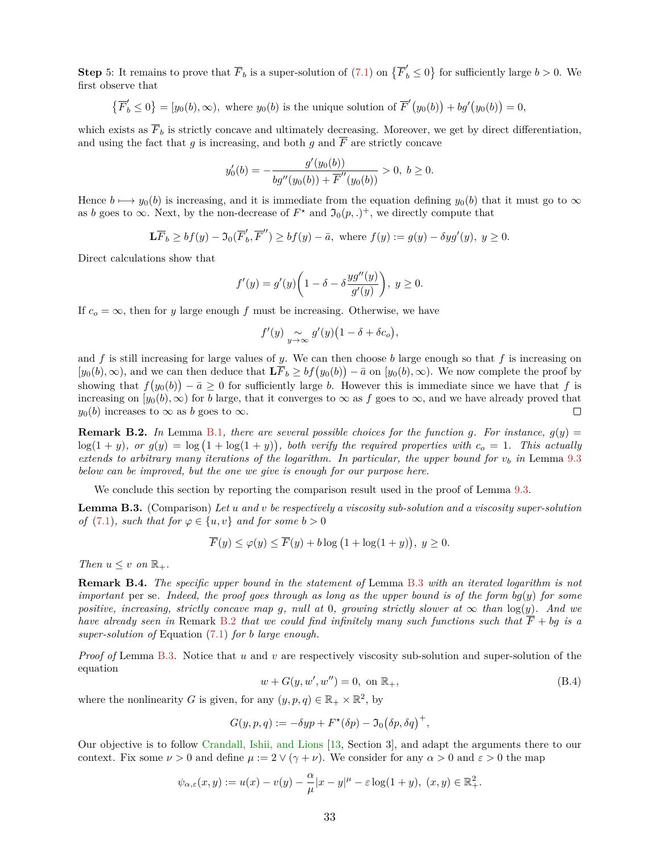**Step** 5: It remains to prove that  $\overline{F}_b$  is a super-solution of [\(7.1\)](#page-16-3) on  $\{\overline{F}'_b \le 0\}$  for sufficiently large  $b > 0$ . We first observe that

$$
\left\{\overline{F}'_b \le 0\right\} = [y_0(b), \infty), \text{ where } y_0(b) \text{ is the unique solution of } \overline{F}'(y_0(b)) + bg'(y_0(b)) = 0,
$$

which exists as  $\overline{F}_b$  is strictly concave and ultimately decreasing. Moreover, we get by direct differentiation, and using the fact that *g* is increasing, and both *g* and  $\overline{F}$  are strictly concave

$$
y'_{0}(b) = -\frac{g'(y_{0}(b))}{bg''(y_{0}(b)) + \overline{F}''(y_{0}(b))} > 0, \ b \ge 0.
$$

Hence  $b \mapsto y_0(b)$  is increasing, and it is immediate from the equation defining  $y_0(b)$  that it must go to  $\infty$ as *b* goes to  $\infty$ . Next, by the non-decrease of  $F^*$  and  $\mathfrak{I}_0(p,.)^+$ , we directly compute that

$$
\mathbf{L}\overline{F}_b \ge bf(y) - \Im_0(\overline{F}'_b, \overline{F}'') \ge bf(y) - \overline{a}, \text{ where } f(y) := g(y) - \delta y g'(y), y \ge 0.
$$

Direct calculations show that

$$
f'(y) = g'(y)\left(1 - \delta - \delta \frac{yg''(y)}{g'(y)}\right), \ y \ge 0.
$$

If  $c<sub>o</sub> = \infty$ , then for *y* large enough *f* must be increasing. Otherwise, we have

$$
f'(y) \underset{y \to \infty}{\sim} g'(y) \big(1 - \delta + \delta c_o\big),
$$

and  $f$  is still increasing for large values of  $y$ . We can then choose  $b$  large enough so that  $f$  is increasing on  $[y_0(b), \infty)$ , and we can then deduce that  $\mathbf{L}(\overline{F}_b \geq bf(y_0(b)) - \overline{a}$  on  $[y_0(b), \infty)$ . We now complete the proof by showing that  $f(y_0(b)) - \bar{a} \geq 0$  for sufficiently large *b*. However this is immediate since we have that *f* is increasing on  $[y_0(b), \infty)$  for *b* large, that it converges to  $\infty$  as *f* goes to  $\infty$ , and we have already proved that  $y_0(b)$  increases to  $\infty$  as *b* goes to  $\infty$ .  $\Box$ 

<span id="page-32-1"></span>**Remark B.2.** In Lemma [B.1](#page-29-0), there are several possible choices for the function g. For instance,  $g(y)$  =  $\log(1 + y)$ , or  $g(y) = \log(1 + \log(1 + y))$ , both verify the required properties with  $c<sub>o</sub> = 1$ . This actually *extends to arbitrary many iterations of the logarithm. In particular, the upper bound for*  $v_b$  *in Lemma [9.3](#page-20-1) below can be improved, but the one we give is enough for our purpose here.*

We conclude this section by reporting the comparison result used in the proof of Lemma [9.3.](#page-20-1)

<span id="page-32-0"></span>**Lemma B.3.** (Comparison) *Let u and v be respectively a viscosity sub-solution and a viscosity super-solution of* [\(7.1\)](#page-16-3)*, such that for*  $\varphi \in \{u, v\}$  *and for some*  $b > 0$ 

$$
\overline{F}(y) \le \varphi(y) \le \overline{F}(y) + b \log (1 + \log(1 + y)), \ y \ge 0.
$$

*Then*  $u \leq v$  *on*  $\mathbb{R}_+$ *.* 

**Remark B.4.** *The specific upper bound in the statement of* Lemma [B.3](#page-32-0) *with an iterated logarithm is not important* per se*. Indeed, the proof goes through as long as the upper bound is of the form bg*(*y*) *for some positive, increasing, strictly concave map g, null at* 0*, growing strictly slower at*  $\infty$  *than*  $\log(y)$ *. And we have already seen in* Remark [B.2](#page-32-1) *that we could find infinitely many such functions such that*  $\overline{F}$  + *bg is a super-solution of* Equation [\(7.1\)](#page-16-3) *for b large enough.*

*Proof of* Lemma [B.3](#page-32-0)*.* Notice that *u* and *v* are respectively viscosity sub-solution and super-solution of the equation

$$
w + G(y, w', w'') = 0, \text{ on } \mathbb{R}_+,
$$
\n(B.4)

where the nonlinearity *G* is given, for any  $(y, p, q) \in \mathbb{R}_+ \times \mathbb{R}^2$ , by

$$
G(y, p, q) := -\delta y p + F^{\star}(\delta p) - \mathfrak{I}_0(\delta p, \delta q)^+,
$$

Our objective is to follow [Crandall, Ishii, and Lions](#page-35-18) [\[13,](#page-35-18) Section 3], and adapt the arguments there to our context. Fix some  $\nu > 0$  and define  $\mu := 2 \vee (\gamma + \nu)$ . We consider for any  $\alpha > 0$  and  $\varepsilon > 0$  the map

$$
\psi_{\alpha,\varepsilon}(x,y) := u(x) - v(y) - \frac{\alpha}{\mu}|x-y|^{\mu} - \varepsilon \log(1+y), \ (x,y) \in \mathbb{R}^2_+.
$$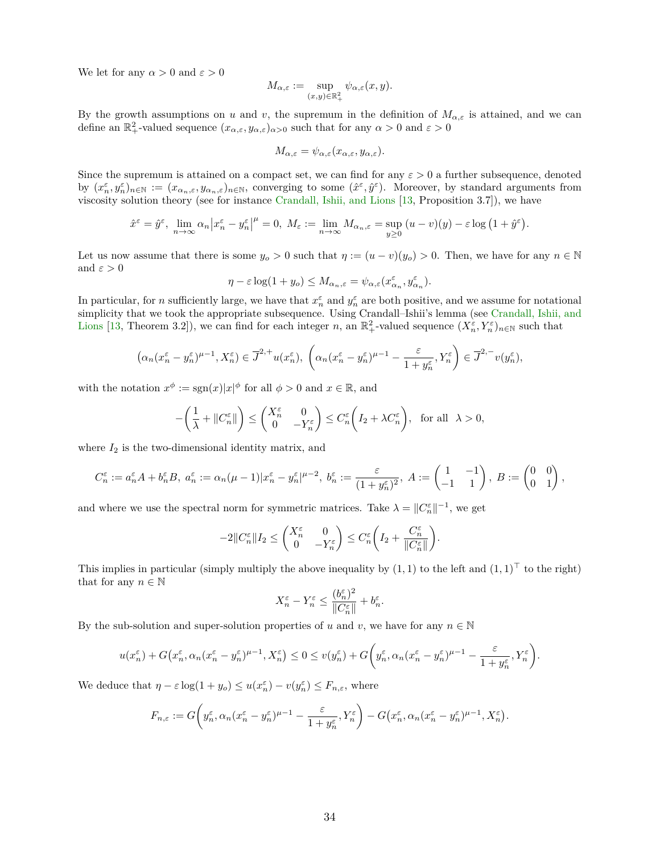We let for any  $\alpha > 0$  and  $\varepsilon > 0$ 

$$
M_{\alpha,\varepsilon} := \sup_{(x,y)\in\mathbb{R}_+^2} \psi_{\alpha,\varepsilon}(x,y).
$$

By the growth assumptions on *u* and *v*, the supremum in the definition of  $M_{\alpha,\varepsilon}$  is attained, and we can define an  $\mathbb{R}^2_+$ -valued sequence  $(x_{\alpha,\varepsilon}, y_{\alpha,\varepsilon})_{\alpha>0}$  such that for any  $\alpha>0$  and  $\varepsilon>0$ 

$$
M_{\alpha,\varepsilon} = \psi_{\alpha,\varepsilon}(x_{\alpha,\varepsilon}, y_{\alpha,\varepsilon}).
$$

Since the supremum is attained on a compact set, we can find for any *ε >* 0 a further subsequence, denoted by  $(x_n^{\varepsilon}, y_n^{\varepsilon})_{n \in \mathbb{N}} := (x_{\alpha_n, \varepsilon}, y_{\alpha_n, \varepsilon})_{n \in \mathbb{N}}$ , converging to some  $(\hat{x}^{\varepsilon}, \hat{y}^{\varepsilon})$ . Moreover, by standard arguments from viscosity solution theory (see for instance [Crandall, Ishii, and Lions](#page-35-18) [\[13,](#page-35-18) Proposition 3.7]), we have

$$
\hat{x}^{\varepsilon} = \hat{y}^{\varepsilon}, \lim_{n \to \infty} \alpha_n \left| x_n^{\varepsilon} - y_n^{\varepsilon} \right|^{\mu} = 0, M_{\varepsilon} := \lim_{n \to \infty} M_{\alpha_n, \varepsilon} = \sup_{y \ge 0} (u - v)(y) - \varepsilon \log \left( 1 + \hat{y}^{\varepsilon} \right).
$$

Let us now assume that there is some  $y_o > 0$  such that  $\eta := (u - v)(y_o) > 0$ . Then, we have for any  $n \in \mathbb{N}$ and  $\varepsilon > 0$ 

$$
\eta - \varepsilon \log(1 + y_o) \le M_{\alpha_n, \varepsilon} = \psi_{\alpha, \varepsilon}(x_{\alpha_n}^{\varepsilon}, y_{\alpha_n}^{\varepsilon}).
$$

In particular, for *n* sufficiently large, we have that  $x_n^{\varepsilon}$  and  $y_n^{\varepsilon}$  are both positive, and we assume for notational simplicity that we took the appropriate subsequence. Using Crandall–Ishii's lemma (see [Crandall, Ishii, and](#page-35-18) [Lions](#page-35-18) [\[13,](#page-35-18) Theorem 3.2]), we can find for each integer *n*, an  $\mathbb{R}^2_+$ -valued sequence  $(X_n^{\varepsilon}, Y_n^{\varepsilon})_{n\in\mathbb{N}}$  such that

$$
\left(\alpha_n(x_n^\varepsilon-y_n^\varepsilon)^{\mu-1},X_n^\varepsilon\right)\in \overline{J}^{2,+}u(x_n^\varepsilon),\ \left(\alpha_n(x_n^\varepsilon-y_n^\varepsilon)^{\mu-1}-\frac{\varepsilon}{1+y_n^\varepsilon},Y_n^\varepsilon\right)\in \overline{J}^{2,-}v(y_n^\varepsilon),
$$

with the notation  $x^{\phi}$  := sgn(*x*)| $x^{\phi}$  for all  $\phi > 0$  and  $x \in \mathbb{R}$ , and

$$
-\left(\frac{1}{\lambda}+\|C_n^\varepsilon\|\right)\leq \begin{pmatrix}X_n^\varepsilon&0\\0&-Y_n^\varepsilon\end{pmatrix}\leq C_n^\varepsilon\bigg(I_2+\lambda C_n^\varepsilon\bigg),\ \ \text{for all}\ \ \lambda>0,
$$

where  $I_2$  is the two-dimensional identity matrix, and

$$
C_n^{\varepsilon} := a_n^{\varepsilon} A + b_n^{\varepsilon} B, \ a_n^{\varepsilon} := \alpha_n (\mu - 1) |x_n^{\varepsilon} - y_n^{\varepsilon}|^{\mu - 2}, \ b_n^{\varepsilon} := \frac{\varepsilon}{(1 + y_n^{\varepsilon})^2}, \ A := \begin{pmatrix} 1 & -1 \\ -1 & 1 \end{pmatrix}, \ B := \begin{pmatrix} 0 & 0 \\ 0 & 1 \end{pmatrix},
$$

and where we use the spectral norm for symmetric matrices. Take  $\lambda = \|C_n^{\varepsilon}\|^{-1}$ , we get

$$
-2\|C_n^\varepsilon\|I_2\le \begin{pmatrix}X_n^\varepsilon&0\\0&-Y_n^\varepsilon\end{pmatrix}\le C_n^\varepsilon\bigg(I_2+\frac{C_n^\varepsilon}{\|C_n^\varepsilon\|}\bigg).
$$

This implies in particular (simply multiply the above inequality by  $(1,1)$  to the left and  $(1,1)^\top$  to the right) that for any  $n \in \mathbb{N}$ 

$$
X_n^{\varepsilon} - Y_n^{\varepsilon} \le \frac{(b_n^{\varepsilon})^2}{\|C_n^{\varepsilon}\|} + b_n^{\varepsilon}.
$$

By the sub-solution and super-solution properties of *u* and *v*, we have for any  $n \in \mathbb{N}$ 

$$
u(x_n^{\varepsilon})+G\big(x_n^{\varepsilon},\alpha_n(x_n^{\varepsilon}-y_n^{\varepsilon})^{\mu-1},X_n^{\varepsilon}\big)\leq 0\leq v(y_n^{\varepsilon})+G\bigg(y_n^{\varepsilon},\alpha_n(x_n^{\varepsilon}-y_n^{\varepsilon})^{\mu-1}-\frac{\varepsilon}{1+y_n^{\varepsilon}},Y_n^{\varepsilon}\bigg).
$$

We deduce that  $\eta - \varepsilon \log(1 + y_o) \leq u(x_n^{\varepsilon}) - v(y_n^{\varepsilon}) \leq F_{n,\varepsilon}$ , where

$$
F_{n,\varepsilon} := G\bigg(y_n^{\varepsilon}, \alpha_n (x_n^{\varepsilon} - y_n^{\varepsilon})^{\mu-1} - \frac{\varepsilon}{1 + y_n^{\varepsilon}}, Y_n^{\varepsilon}\bigg) - G\big(x_n^{\varepsilon}, \alpha_n (x_n^{\varepsilon} - y_n^{\varepsilon})^{\mu-1}, X_n^{\varepsilon}\big).
$$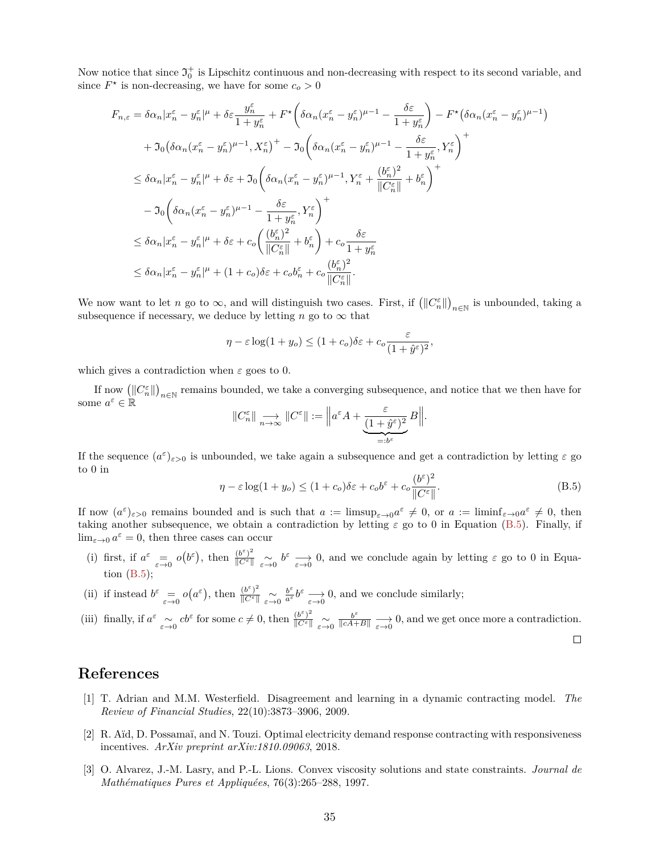Now notice that since  $\mathfrak{I}^+_0$  is Lipschitz continuous and non-decreasing with respect to its second variable, and since  $F^*$  is non-decreasing, we have for some  $c_o > 0$ 

$$
F_{n,\varepsilon} = \delta \alpha_n |x_n^{\varepsilon} - y_n^{\varepsilon}|^{\mu} + \delta \varepsilon \frac{y_n^{\varepsilon}}{1 + y_n^{\varepsilon}} + F^{\star} \left( \delta \alpha_n (x_n^{\varepsilon} - y_n^{\varepsilon})^{\mu - 1} - \frac{\delta \varepsilon}{1 + y_n^{\varepsilon}} \right) - F^{\star} (\delta \alpha_n (x_n^{\varepsilon} - y_n^{\varepsilon})^{\mu - 1})
$$
  
+ 
$$
\mathfrak{I}_0 (\delta \alpha_n (x_n^{\varepsilon} - y_n^{\varepsilon})^{\mu - 1}, X_n^{\varepsilon})^+ - \mathfrak{I}_0 \left( \delta \alpha_n (x_n^{\varepsilon} - y_n^{\varepsilon})^{\mu - 1} - \frac{\delta \varepsilon}{1 + y_n^{\varepsilon}}, Y_n^{\varepsilon} \right)^+
$$
  

$$
\leq \delta \alpha_n |x_n^{\varepsilon} - y_n^{\varepsilon}|^{\mu} + \delta \varepsilon + \mathfrak{I}_0 \left( \delta \alpha_n (x_n^{\varepsilon} - y_n^{\varepsilon})^{\mu - 1}, Y_n^{\varepsilon} + \frac{(b_n^{\varepsilon})^2}{\|C_n^{\varepsilon}\|} + b_n^{\varepsilon} \right)^+
$$
  

$$
- \mathfrak{I}_0 \left( \delta \alpha_n (x_n^{\varepsilon} - y_n^{\varepsilon})^{\mu - 1} - \frac{\delta \varepsilon}{1 + y_n^{\varepsilon}}, Y_n^{\varepsilon} \right)^+
$$
  

$$
\leq \delta \alpha_n |x_n^{\varepsilon} - y_n^{\varepsilon}|^{\mu} + \delta \varepsilon + c_o \left( \frac{(b_n^{\varepsilon})^2}{\|C_n^{\varepsilon}\|} + b_n^{\varepsilon} \right) + c_o \frac{\delta \varepsilon}{1 + y_n^{\varepsilon}}
$$
  

$$
\leq \delta \alpha_n |x_n^{\varepsilon} - y_n^{\varepsilon}|^{\mu} + (1 + c_o) \delta \varepsilon + c_o b_n^{\varepsilon} + c_o \frac{(b_n^{\varepsilon})^2}{\|C_n^{\varepsilon}\|}.
$$

We now want to let *n* go to  $\infty$ , and will distinguish two cases. First, if  $(||C_n^{\varepsilon}||)_{n \in \mathbb{N}}$  is unbounded, taking a subsequence if necessary, we deduce by letting *n* go to  $\infty$  that

$$
\eta - \varepsilon \log(1 + y_o) \le (1 + c_o)\delta \varepsilon + c_o \frac{\varepsilon}{(1 + \hat{y}^{\varepsilon})^2},
$$

which gives a contradiction when *ε* goes to 0.

If now  $(\|C_n^{\varepsilon}\|)_{n\in\mathbb{N}}$  remains bounded, we take a converging subsequence, and notice that we then have for some  $a^{\varepsilon} \in \mathbb{R}$ 

$$
\|C_n^\varepsilon\|\underset{n\to\infty}\longrightarrow \|C^\varepsilon\|:=\Big\|a^\varepsilon A+\underset{ \underbrace{(1+\hat{y}^\varepsilon)^2}\in B}{\underbrace{(1+\hat{y}^\varepsilon)^2}}B\Big\|.
$$

If the sequence  $(a^{\varepsilon})_{\varepsilon>0}$  is unbounded, we take again a subsequence and get a contradiction by letting  $\varepsilon$  go to 0 in

<span id="page-34-3"></span>
$$
\eta - \varepsilon \log(1 + y_o) \le (1 + c_o)\delta\varepsilon + c_o b^{\varepsilon} + c_o \frac{(b^{\varepsilon})^2}{\|C^{\varepsilon}\|}.
$$
\n(B.5)

If now  $(a^{\varepsilon})_{\varepsilon>0}$  remains bounded and is such that  $a := \limsup_{\varepsilon \to 0} a^{\varepsilon} \neq 0$ , or  $a := \liminf_{\varepsilon \to 0} a^{\varepsilon} \neq 0$ , then taking another subsequence, we obtain a contradiction by letting  $\varepsilon$  go to 0 in Equation [\(B.5\)](#page-34-3). Finally, if  $\lim_{\varepsilon \to 0} a^{\varepsilon} = 0$ , then three cases can occur

- (i) first, if  $a^{\varepsilon} = o(b^{\varepsilon})$ , then  $\frac{(b^{\varepsilon})^2}{\|\mathcal{C}^{\varepsilon}\|} \underset{\varepsilon \to 0}{\sim} b^{\varepsilon} \longrightarrow 0$ , and we conclude again by letting  $\varepsilon$  go to 0 in Equation  $(B.5)$ ;
- (ii) if instead  $b^{\varepsilon} \equiv o(a^{\varepsilon})$ , then  $\frac{(b^{\varepsilon})^2}{\|C^{\varepsilon}\|} \sim o(a^{\varepsilon})$  $\frac{b^{\varepsilon}}{a^{\varepsilon}} b^{\varepsilon} \longrightarrow 0$ , and we conclude similarly;

(iii) finally, if 
$$
a^{\varepsilon} \underset{\varepsilon \to 0}{\sim} cb^{\varepsilon}
$$
 for some  $c \neq 0$ , then  $\frac{(b^{\varepsilon})^2}{\|C^{\varepsilon}\|} \underset{\varepsilon \to 0}{\sim} \frac{b^{\varepsilon}}{\|cA+B\|} \underset{\varepsilon \to 0}{\to} 0$ , and we get once more a contradiction.

## **References**

- <span id="page-34-0"></span>[1] T. Adrian and M.M. Westerfield. Disagreement and learning in a dynamic contracting model. *The Review of Financial Studies*, 22(10):3873–3906, 2009.
- <span id="page-34-2"></span>[2] R. Aïd, D. Possamaï, and N. Touzi. Optimal electricity demand response contracting with responsiveness incentives. *ArXiv preprint arXiv:1810.09063*, 2018.
- <span id="page-34-1"></span>[3] O. Alvarez, J.-M. Lasry, and P.-L. Lions. Convex viscosity solutions and state constraints. *Journal de Mathématiques Pures et Appliquées*, 76(3):265–288, 1997.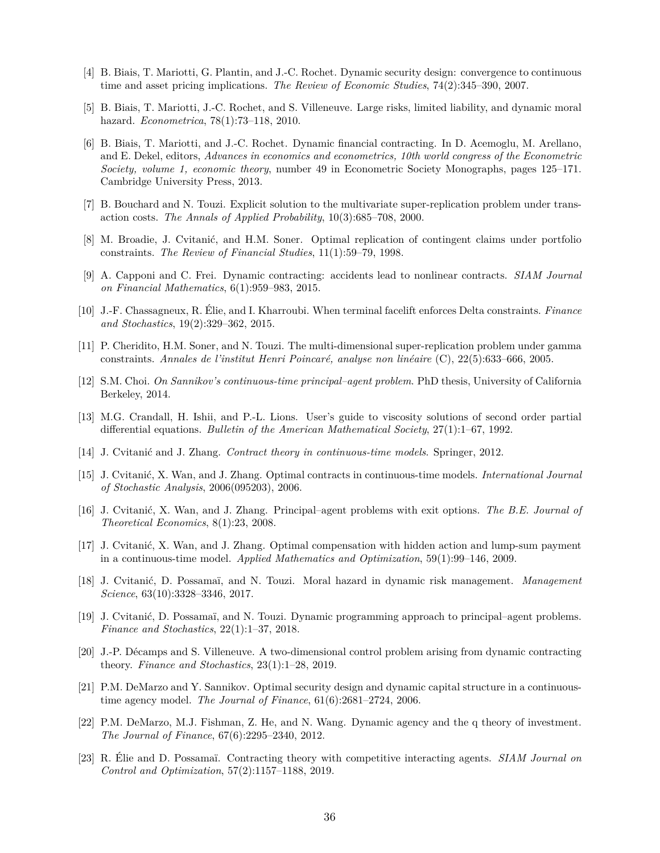- <span id="page-35-7"></span>[4] B. Biais, T. Mariotti, G. Plantin, and J.-C. Rochet. Dynamic security design: convergence to continuous time and asset pricing implications. *The Review of Economic Studies*, 74(2):345–390, 2007.
- <span id="page-35-8"></span>[5] B. Biais, T. Mariotti, J.-C. Rochet, and S. Villeneuve. Large risks, limited liability, and dynamic moral hazard. *Econometrica*, 78(1):73–118, 2010.
- <span id="page-35-9"></span>[6] B. Biais, T. Mariotti, and J.-C. Rochet. Dynamic financial contracting. In D. Acemoglu, M. Arellano, and E. Dekel, editors, *Advances in economics and econometrics, 10th world congress of the Econometric Society, volume 1, economic theory*, number 49 in Econometric Society Monographs, pages 125–171. Cambridge University Press, 2013.
- <span id="page-35-15"></span>[7] B. Bouchard and N. Touzi. Explicit solution to the multivariate super-replication problem under transaction costs. *The Annals of Applied Probability*, 10(3):685–708, 2000.
- <span id="page-35-14"></span>[8] M. Broadie, J. Cvitanić, and H.M. Soner. Optimal replication of contingent claims under portfolio constraints. *The Review of Financial Studies*, 11(1):59–79, 1998.
- <span id="page-35-11"></span>[9] A. Capponi and C. Frei. Dynamic contracting: accidents lead to nonlinear contracts. *SIAM Journal on Financial Mathematics*, 6(1):959–983, 2015.
- <span id="page-35-16"></span>[10] J.-F. Chassagneux, R. Élie, and I. Kharroubi. When terminal facelift enforces Delta constraints. *Finance and Stochastics*, 19(2):329–362, 2015.
- <span id="page-35-17"></span>[11] P. Cheridito, H.M. Soner, and N. Touzi. The multi-dimensional super-replication problem under gamma constraints. *Annales de l'institut Henri Poincaré, analyse non linéaire* (C), 22(5):633–666, 2005.
- <span id="page-35-4"></span>[12] S.M. Choi. *On Sannikov's continuous-time principal–agent problem*. PhD thesis, University of California Berkeley, 2014.
- <span id="page-35-18"></span>[13] M.G. Crandall, H. Ishii, and P.-L. Lions. User's guide to viscosity solutions of second order partial differential equations. *Bulletin of the American Mathematical Society*, 27(1):1–67, 1992.
- <span id="page-35-3"></span>[14] J. Cvitanić and J. Zhang. *Contract theory in continuous-time models*. Springer, 2012.
- <span id="page-35-1"></span>[15] J. Cvitanić, X. Wan, and J. Zhang. Optimal contracts in continuous-time models. *International Journal of Stochastic Analysis*, 2006(095203), 2006.
- <span id="page-35-2"></span>[16] J. Cvitanić, X. Wan, and J. Zhang. Principal–agent problems with exit options. *The B.E. Journal of Theoretical Economics*, 8(1):23, 2008.
- <span id="page-35-0"></span>[17] J. Cvitanić, X. Wan, and J. Zhang. Optimal compensation with hidden action and lump-sum payment in a continuous-time model. *Applied Mathematics and Optimization*, 59(1):99–146, 2009.
- <span id="page-35-12"></span>[18] J. Cvitanić, D. Possamaï, and N. Touzi. Moral hazard in dynamic risk management. *Management Science*, 63(10):3328–3346, 2017.
- <span id="page-35-13"></span>[19] J. Cvitanić, D. Possamaï, and N. Touzi. Dynamic programming approach to principal–agent problems. *Finance and Stochastics*, 22(1):1–37, 2018.
- <span id="page-35-5"></span>[20] J.-P. Décamps and S. Villeneuve. A two-dimensional control problem arising from dynamic contracting theory. *Finance and Stochastics*, 23(1):1–28, 2019.
- <span id="page-35-6"></span>[21] P.M. DeMarzo and Y. Sannikov. Optimal security design and dynamic capital structure in a continuoustime agency model. *The Journal of Finance*, 61(6):2681–2724, 2006.
- <span id="page-35-10"></span>[22] P.M. DeMarzo, M.J. Fishman, Z. He, and N. Wang. Dynamic agency and the q theory of investment. *The Journal of Finance*, 67(6):2295–2340, 2012.
- <span id="page-35-19"></span>[23] R. Élie and D. Possamaï. Contracting theory with competitive interacting agents. *SIAM Journal on Control and Optimization*, 57(2):1157–1188, 2019.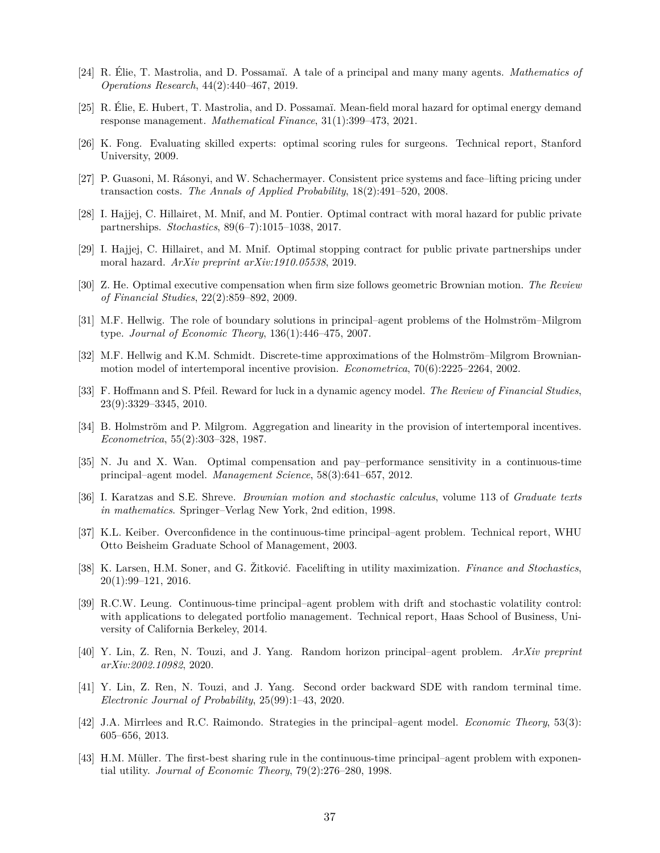- <span id="page-36-18"></span>[24] R. Élie, T. Mastrolia, and D. Possamaï. A tale of a principal and many many agents. *Mathematics of Operations Research*, 44(2):440–467, 2019.
- <span id="page-36-19"></span>[25] R. Élie, E. Hubert, T. Mastrolia, and D. Possamaï. Mean-field moral hazard for optimal energy demand response management. *Mathematical Finance*, 31(1):399–473, 2021.
- <span id="page-36-4"></span>[26] K. Fong. Evaluating skilled experts: optimal scoring rules for surgeons. Technical report, Stanford University, 2009.
- <span id="page-36-14"></span>[27] P. Guasoni, M. Rásonyi, and W. Schachermayer. Consistent price systems and face–lifting pricing under transaction costs. *The Annals of Applied Probability*, 18(2):491–520, 2008.
- <span id="page-36-5"></span>[28] I. Hajjej, C. Hillairet, M. Mnif, and M. Pontier. Optimal contract with moral hazard for public private partnerships. *Stochastics*, 89(6–7):1015–1038, 2017.
- <span id="page-36-12"></span>[29] I. Hajjej, C. Hillairet, and M. Mnif. Optimal stopping contract for public private partnerships under moral hazard. *ArXiv preprint arXiv:1910.05538*, 2019.
- <span id="page-36-6"></span>[30] Z. He. Optimal executive compensation when firm size follows geometric Brownian motion. *The Review of Financial Studies*, 22(2):859–892, 2009.
- <span id="page-36-3"></span>[31] M.F. Hellwig. The role of boundary solutions in principal–agent problems of the Holmström–Milgrom type. *Journal of Economic Theory*, 136(1):446–475, 2007.
- <span id="page-36-2"></span>[32] M.F. Hellwig and K.M. Schmidt. Discrete-time approximations of the Holmström–Milgrom Brownianmotion model of intertemporal incentive provision. *Econometrica*, 70(6):2225–2264, 2002.
- <span id="page-36-7"></span>[33] F. Hoffmann and S. Pfeil. Reward for luck in a dynamic agency model. *The Review of Financial Studies*, 23(9):3329–3345, 2010.
- <span id="page-36-0"></span>[34] B. Holmström and P. Milgrom. Aggregation and linearity in the provision of intertemporal incentives. *Econometrica*, 55(2):303–328, 1987.
- <span id="page-36-8"></span>[35] N. Ju and X. Wan. Optimal compensation and pay–performance sensitivity in a continuous-time principal–agent model. *Management Science*, 58(3):641–657, 2012.
- <span id="page-36-17"></span>[36] I. Karatzas and S.E. Shreve. *Brownian motion and stochastic calculus*, volume 113 of *Graduate texts in mathematics*. Springer–Verlag New York, 2nd edition, 1998.
- <span id="page-36-9"></span>[37] K.L. Keiber. Overconfidence in the continuous-time principal–agent problem. Technical report, WHU Otto Beisheim Graduate School of Management, 2003.
- <span id="page-36-15"></span>[38] K. Larsen, H.M. Soner, and G. Žitković. Facelifting in utility maximization. *Finance and Stochastics*, 20(1):99–121, 2016.
- <span id="page-36-10"></span>[39] R.C.W. Leung. Continuous-time principal–agent problem with drift and stochastic volatility control: with applications to delegated portfolio management. Technical report, Haas School of Business, University of California Berkeley, 2014.
- <span id="page-36-13"></span>[40] Y. Lin, Z. Ren, N. Touzi, and J. Yang. Random horizon principal–agent problem. *ArXiv preprint arXiv:2002.10982*, 2020.
- <span id="page-36-16"></span>[41] Y. Lin, Z. Ren, N. Touzi, and J. Yang. Second order backward SDE with random terminal time. *Electronic Journal of Probability*, 25(99):1–43, 2020.
- <span id="page-36-11"></span>[42] J.A. Mirrlees and R.C. Raimondo. Strategies in the principal–agent model. *Economic Theory*, 53(3): 605–656, 2013.
- <span id="page-36-1"></span>[43] H.M. Müller. The first-best sharing rule in the continuous-time principal–agent problem with exponential utility. *Journal of Economic Theory*, 79(2):276–280, 1998.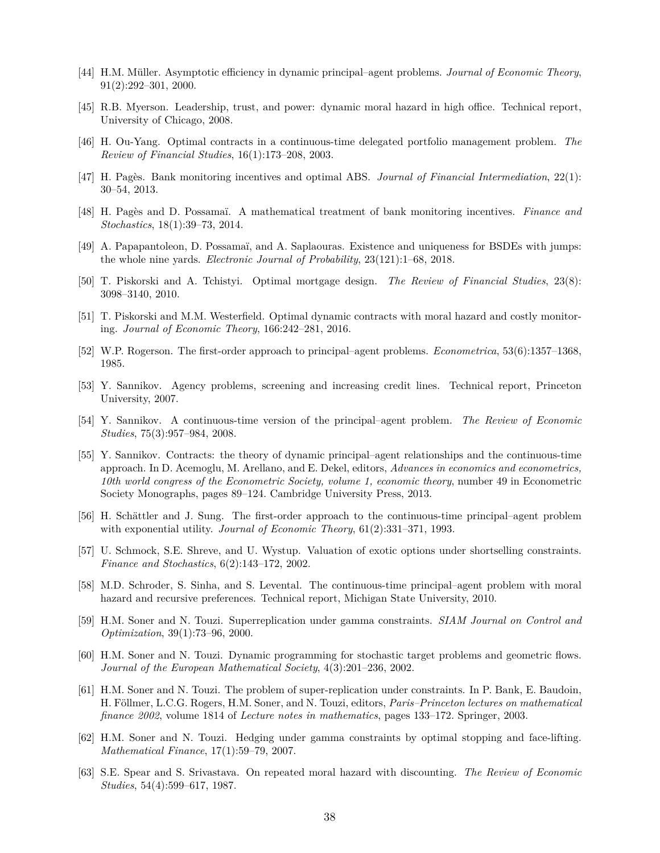- <span id="page-37-2"></span>[44] H.M. Müller. Asymptotic efficiency in dynamic principal–agent problems. *Journal of Economic Theory*, 91(2):292–301, 2000.
- <span id="page-37-6"></span>[45] R.B. Myerson. Leadership, trust, and power: dynamic moral hazard in high office. Technical report, University of Chicago, 2008.
- <span id="page-37-10"></span>[46] H. Ou-Yang. Optimal contracts in a continuous-time delegated portfolio management problem. *The Review of Financial Studies*, 16(1):173–208, 2003.
- <span id="page-37-11"></span>[47] H. Pagès. Bank monitoring incentives and optimal ABS. *Journal of Financial Intermediation*, 22(1): 30–54, 2013.
- <span id="page-37-9"></span>[48] H. Pagès and D. Possamaï. A mathematical treatment of bank monitoring incentives. *Finance and Stochastics*, 18(1):39–73, 2014.
- <span id="page-37-19"></span>[49] A. Papapantoleon, D. Possamaï, and A. Saplaouras. Existence and uniqueness for BSDEs with jumps: the whole nine yards. *Electronic Journal of Probability*, 23(121):1–68, 2018.
- <span id="page-37-7"></span>[50] T. Piskorski and A. Tchistyi. Optimal mortgage design. *The Review of Financial Studies*, 23(8): 3098–3140, 2010.
- <span id="page-37-8"></span>[51] T. Piskorski and M.M. Westerfield. Optimal dynamic contracts with moral hazard and costly monitoring. *Journal of Economic Theory*, 166:242–281, 2016.
- <span id="page-37-3"></span>[52] W.P. Rogerson. The first-order approach to principal–agent problems. *Econometrica*, 53(6):1357–1368, 1985.
- <span id="page-37-12"></span>[53] Y. Sannikov. Agency problems, screening and increasing credit lines. Technical report, Princeton University, 2007.
- <span id="page-37-0"></span>[54] Y. Sannikov. A continuous-time version of the principal–agent problem. *The Review of Economic Studies*, 75(3):957–984, 2008.
- <span id="page-37-4"></span>[55] Y. Sannikov. Contracts: the theory of dynamic principal–agent relationships and the continuous-time approach. In D. Acemoglu, M. Arellano, and E. Dekel, editors, *Advances in economics and econometrics, 10th world congress of the Econometric Society, volume 1, economic theory*, number 49 in Econometric Society Monographs, pages 89–124. Cambridge University Press, 2013.
- <span id="page-37-1"></span>[56] H. Schättler and J. Sung. The first-order approach to the continuous-time principal–agent problem with exponential utility. *Journal of Economic Theory*, 61(2):331–371, 1993.
- <span id="page-37-18"></span>[57] U. Schmock, S.E. Shreve, and U. Wystup. Valuation of exotic options under shortselling constraints. *Finance and Stochastics*, 6(2):143–172, 2002.
- <span id="page-37-13"></span>[58] M.D. Schroder, S. Sinha, and S. Levental. The continuous-time principal–agent problem with moral hazard and recursive preferences. Technical report, Michigan State University, 2010.
- <span id="page-37-15"></span>[59] H.M. Soner and N. Touzi. Superreplication under gamma constraints. *SIAM Journal on Control and Optimization*, 39(1):73–96, 2000.
- <span id="page-37-14"></span>[60] H.M. Soner and N. Touzi. Dynamic programming for stochastic target problems and geometric flows. *Journal of the European Mathematical Society*, 4(3):201–236, 2002.
- <span id="page-37-16"></span>[61] H.M. Soner and N. Touzi. The problem of super-replication under constraints. In P. Bank, E. Baudoin, H. Föllmer, L.C.G. Rogers, H.M. Soner, and N. Touzi, editors, *Paris–Princeton lectures on mathematical finance 2002*, volume 1814 of *Lecture notes in mathematics*, pages 133–172. Springer, 2003.
- <span id="page-37-17"></span>[62] H.M. Soner and N. Touzi. Hedging under gamma constraints by optimal stopping and face-lifting. *Mathematical Finance*, 17(1):59–79, 2007.
- <span id="page-37-5"></span>[63] S.E. Spear and S. Srivastava. On repeated moral hazard with discounting. *The Review of Economic Studies*, 54(4):599–617, 1987.